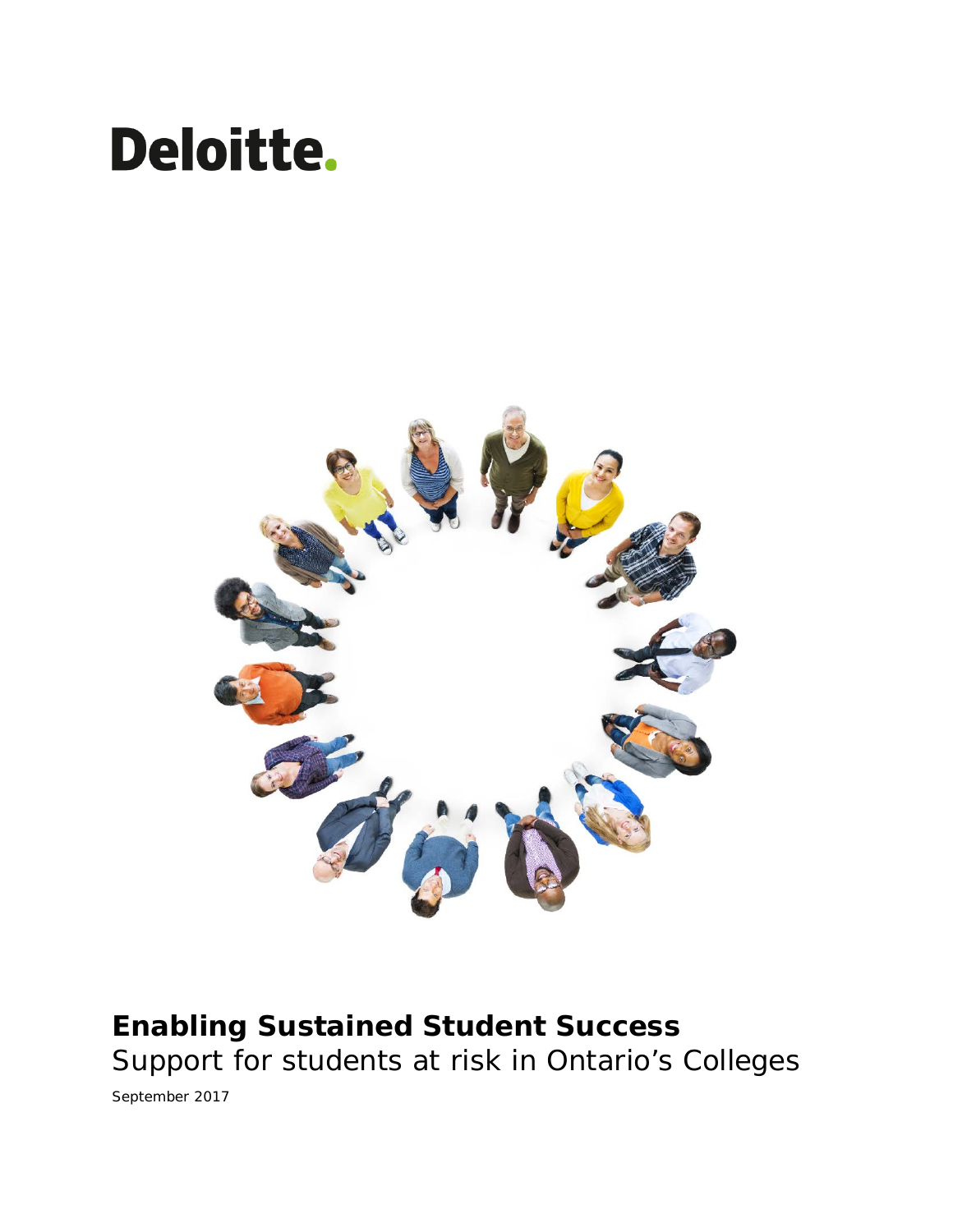# **Deloitte.**



# **Enabling Sustained Student Success** Support for students at risk in Ontario's Colleges

September 2017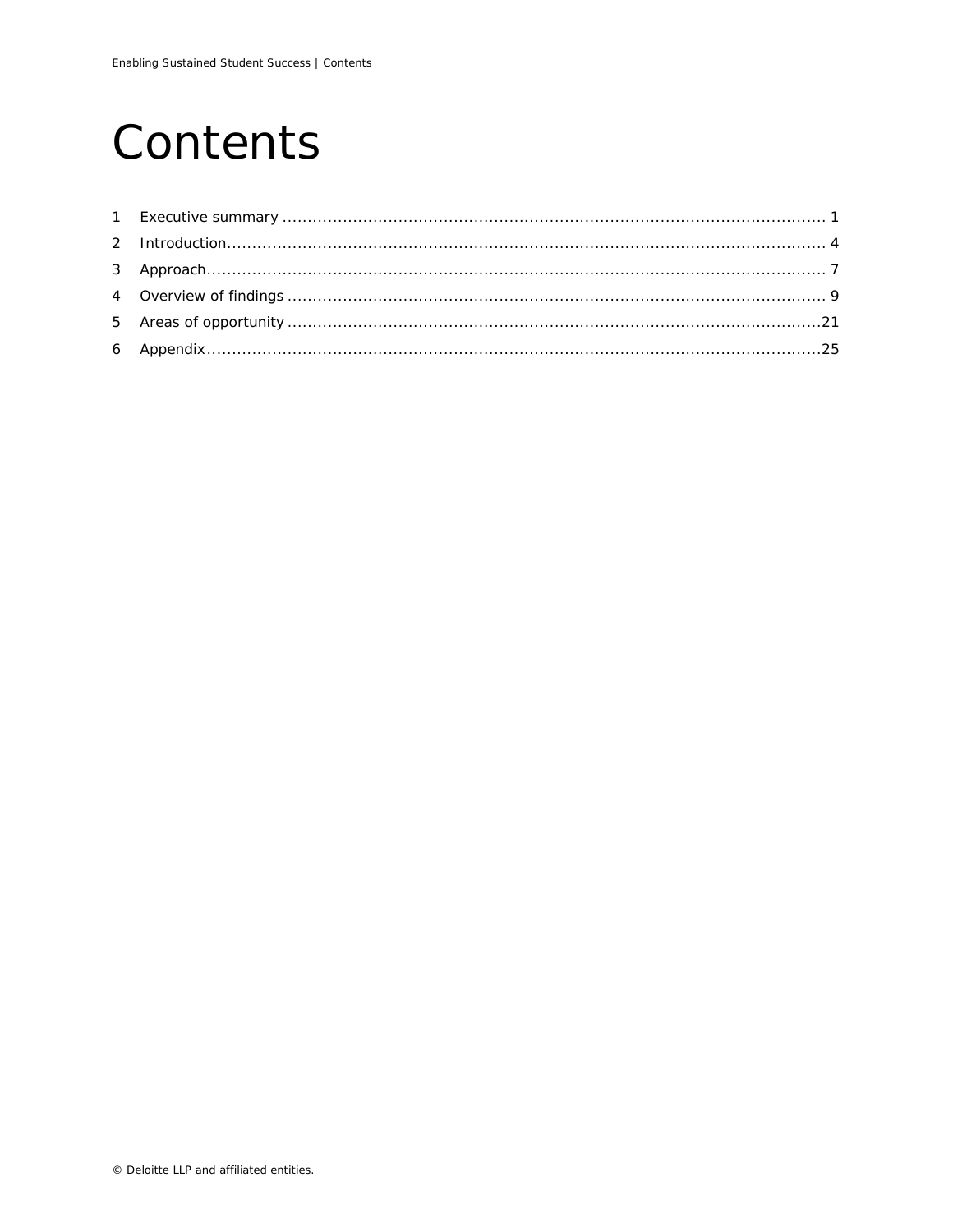# Contents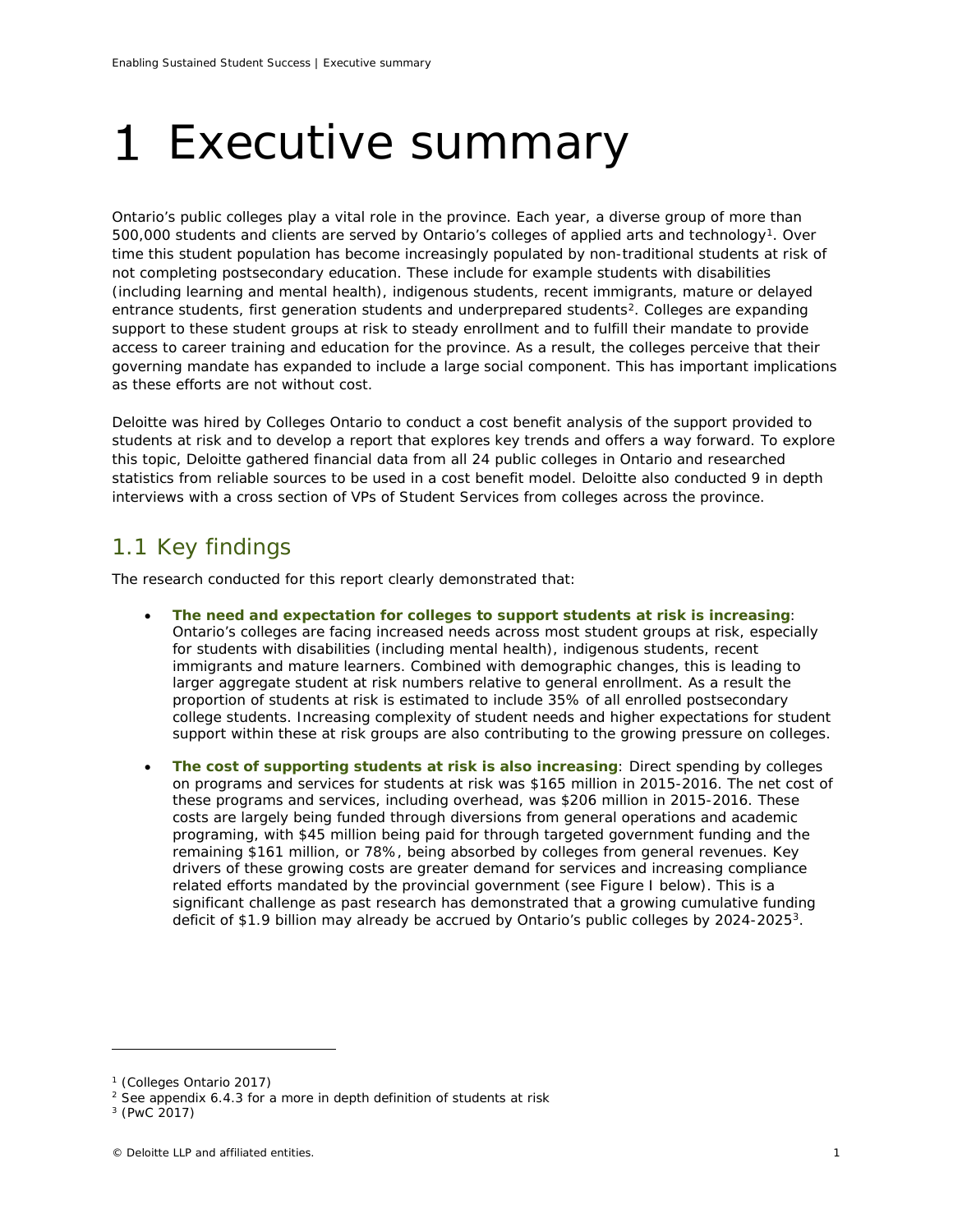# <span id="page-2-0"></span>1 Executive summary

Ontario's public colleges play a vital role in the province. Each year, a diverse group of more than 500,000 students and clients are served by Ontario's colleges of applied arts and technology[1.](#page-2-1) Over time this student population has become increasingly populated by non-traditional students at risk of not completing postsecondary education. These include for example students with disabilities (including learning and mental health), indigenous students, recent immigrants, mature or delayed entrance students, first generation students and underprepared students<sup>2</sup>. Colleges are expanding support to these student groups at risk to steady enrollment and to fulfill their mandate to provide access to career training and education for the province. As a result, the colleges perceive that their governing mandate has expanded to include a large social component. This has important implications as these efforts are not without cost.

Deloitte was hired by Colleges Ontario to conduct a cost benefit analysis of the support provided to students at risk and to develop a report that explores key trends and offers a way forward. To explore this topic, Deloitte gathered financial data from all 24 public colleges in Ontario and researched statistics from reliable sources to be used in a cost benefit model. Deloitte also conducted 9 in depth interviews with a cross section of VPs of Student Services from colleges across the province.

# 1.1 Key findings

The research conducted for this report clearly demonstrated that:

- **The need and expectation for colleges to support students at risk is increasing**: Ontario's colleges are facing increased needs across most student groups at risk, especially for students with disabilities (including mental health), indigenous students, recent immigrants and mature learners. Combined with demographic changes, this is leading to larger aggregate student at risk numbers relative to general enrollment. As a result the proportion of students at risk is estimated to include 35% of all enrolled postsecondary college students. Increasing complexity of student needs and higher expectations for student support within these at risk groups are also contributing to the growing pressure on colleges.
- **The cost of supporting students at risk is also increasing**: Direct spending by colleges on programs and services for students at risk was \$165 million in 2015-2016. The net cost of these programs and services, including overhead, was \$206 million in 2015-2016. These costs are largely being funded through diversions from general operations and academic programing, with \$45 million being paid for through targeted government funding and the remaining \$161 million, or 78%, being absorbed by colleges from general revenues. Key drivers of these growing costs are greater demand for services and increasing compliance related efforts mandated by the provincial government (see Figure I below). This is a significant challenge as past research has demonstrated that a growing cumulative funding deficit of \$1.9 billion may already be accrued by Ontario's public colleges by 2024-2025[3](#page-2-3).

<span id="page-2-1"></span><sup>1</sup> (Colleges Ontario 2017)

<span id="page-2-2"></span> $2$  See appendix 6.4.3 for a more in depth definition of students at risk

<span id="page-2-3"></span><sup>3</sup> (PwC 2017)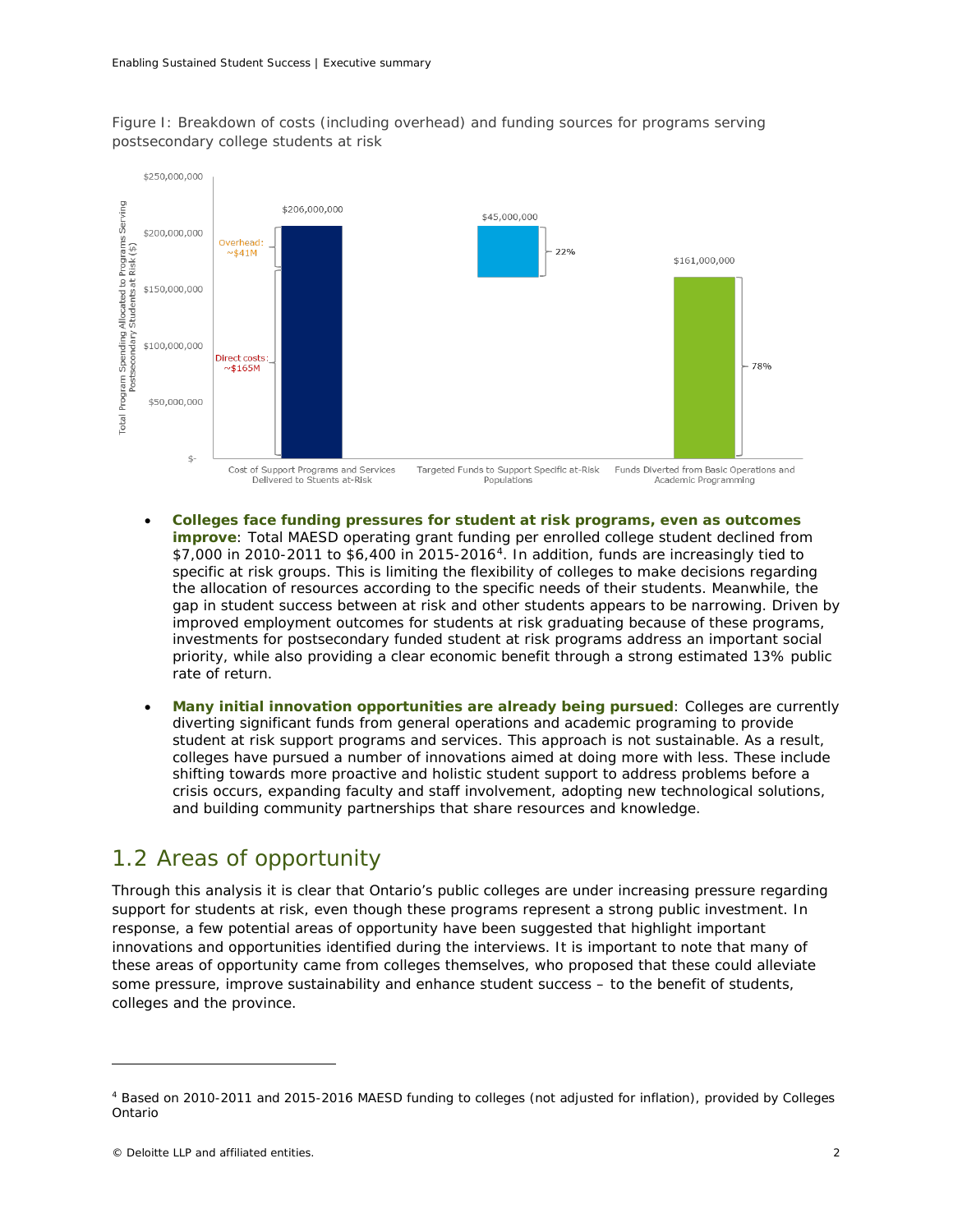



- **Colleges face funding pressures for student at risk programs, even as outcomes improve**: Total MAESD operating grant funding per enrolled college student declined from \$7,000 in 2010-2011 to \$6,400 in 2015-2016[4](#page-3-0). In addition, funds are increasingly tied to specific at risk groups. This is limiting the flexibility of colleges to make decisions regarding the allocation of resources according to the specific needs of their students. Meanwhile, the gap in student success between at risk and other students appears to be narrowing. Driven by improved employment outcomes for students at risk graduating because of these programs, investments for postsecondary funded student at risk programs address an important social priority, while also providing a clear economic benefit through a strong estimated 13% public rate of return.
- **Many initial innovation opportunities are already being pursued**: Colleges are currently diverting significant funds from general operations and academic programing to provide student at risk support programs and services. This approach is not sustainable. As a result, colleges have pursued a number of innovations aimed at doing more with less. These include shifting towards more proactive and holistic student support to address problems before a crisis occurs, expanding faculty and staff involvement, adopting new technological solutions, and building community partnerships that share resources and knowledge.

# 1.2 Areas of opportunity

Through this analysis it is clear that Ontario's public colleges are under increasing pressure regarding support for students at risk, even though these programs represent a strong public investment. In response, a few potential areas of opportunity have been suggested that highlight important innovations and opportunities identified during the interviews. It is important to note that many of these areas of opportunity came from colleges themselves, who proposed that these could alleviate some pressure, improve sustainability and enhance student success – to the benefit of students, colleges and the province.

<span id="page-3-0"></span><sup>4</sup> Based on 2010-2011 and 2015-2016 MAESD funding to colleges (not adjusted for inflation), provided by Colleges Ontario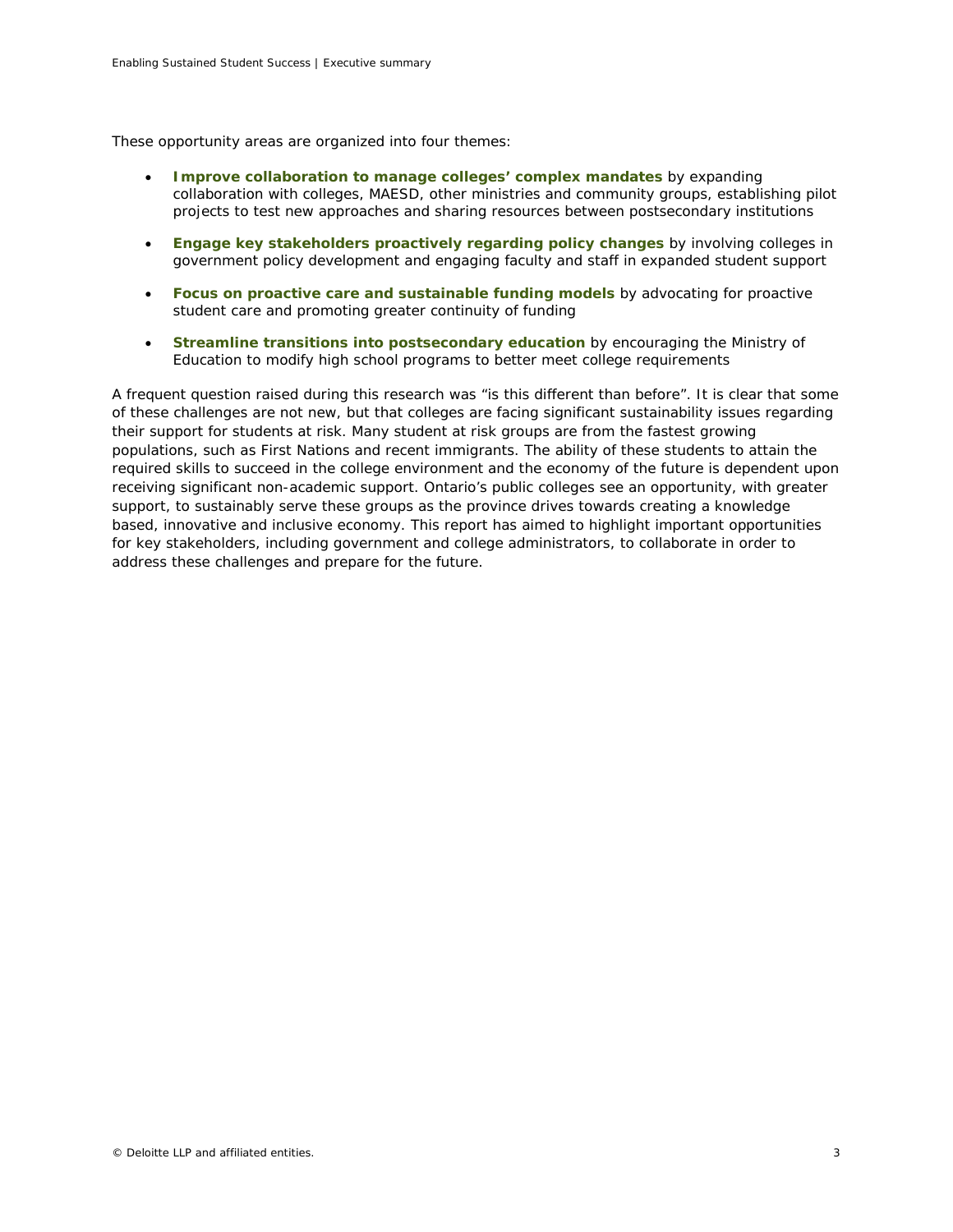These opportunity areas are organized into four themes:

- **Improve collaboration to manage colleges' complex mandates** by expanding collaboration with colleges, MAESD, other ministries and community groups, establishing pilot projects to test new approaches and sharing resources between postsecondary institutions
- **Engage key stakeholders proactively regarding policy changes** by involving colleges in government policy development and engaging faculty and staff in expanded student support
- **Focus on proactive care and sustainable funding models** by advocating for proactive student care and promoting greater continuity of funding
- **Streamline transitions into postsecondary education** by encouraging the Ministry of Education to modify high school programs to better meet college requirements

A frequent question raised during this research was "is this different than before". It is clear that some of these challenges are not new, but that colleges are facing significant sustainability issues regarding their support for students at risk. Many student at risk groups are from the fastest growing populations, such as First Nations and recent immigrants. The ability of these students to attain the required skills to succeed in the college environment and the economy of the future is dependent upon receiving significant non-academic support. Ontario's public colleges see an opportunity, with greater support, to sustainably serve these groups as the province drives towards creating a knowledge based, innovative and inclusive economy. This report has aimed to highlight important opportunities for key stakeholders, including government and college administrators, to collaborate in order to address these challenges and prepare for the future.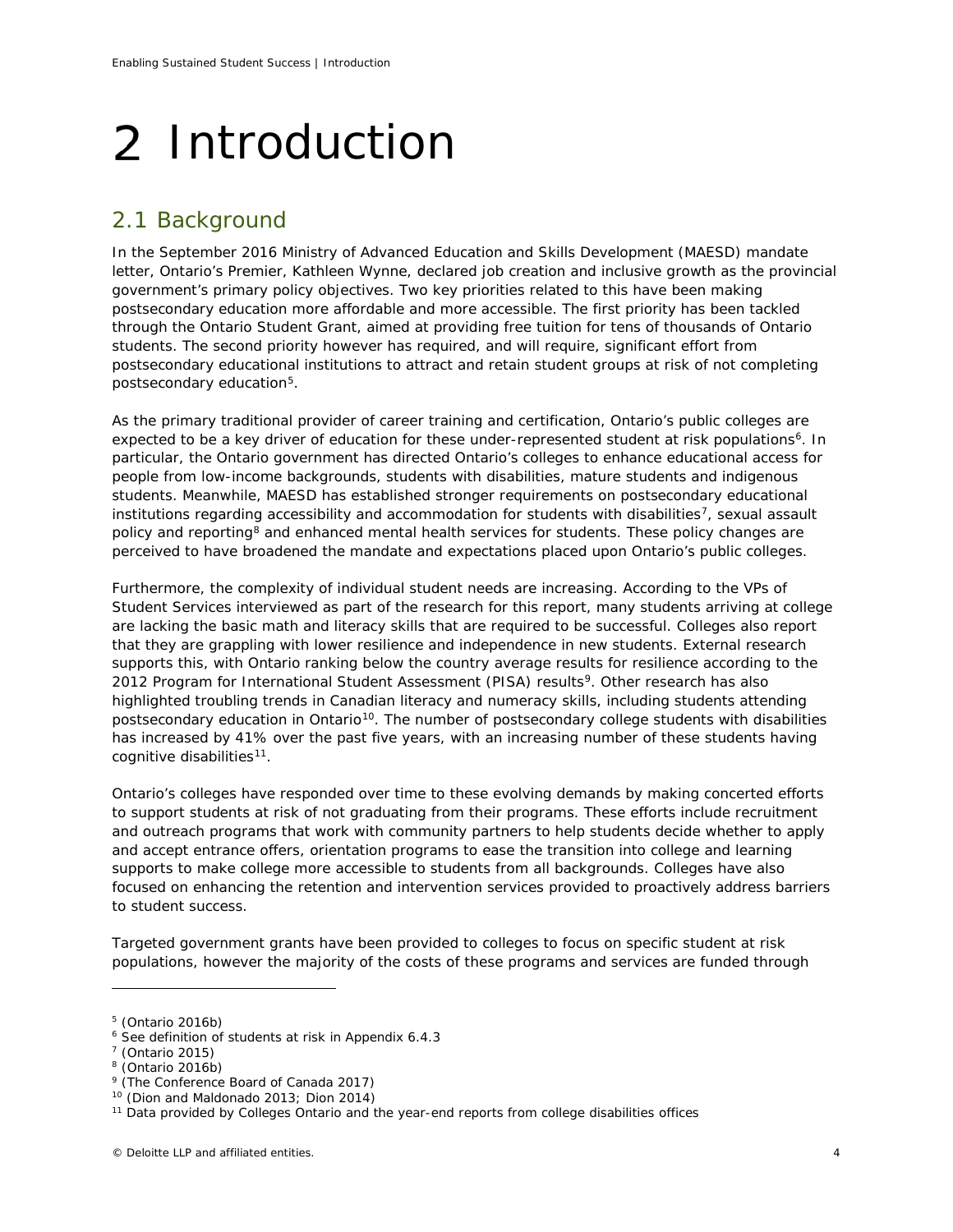# <span id="page-5-0"></span>2 Introduction

# 2.1 Background

In the September 2016 Ministry of Advanced Education and Skills Development (MAESD) mandate letter, Ontario's Premier, Kathleen Wynne, declared job creation and inclusive growth as the provincial government's primary policy objectives. Two key priorities related to this have been making postsecondary education more affordable and more accessible. The first priority has been tackled through the Ontario Student Grant, aimed at providing free tuition for tens of thousands of Ontario students. The second priority however has required, and will require, significant effort from postsecondary educational institutions to attract and retain student groups at risk of not completing postsecondary education[5.](#page-5-1)

As the primary traditional provider of career training and certification, Ontario's public colleges are expected to be a key driver of education for these under-represented student at risk populations<sup>[6](#page-5-2)</sup>. In particular, the Ontario government has directed Ontario's colleges to enhance educational access for people from low-income backgrounds, students with disabilities, mature students and indigenous students. Meanwhile, MAESD has established stronger requirements on postsecondary educational institutions regarding accessibility and accommodation for students with disabilities<sup>7</sup>, sexual assault policy and reporting<sup>[8](#page-5-4)</sup> and enhanced mental health services for students. These policy changes are perceived to have broadened the mandate and expectations placed upon Ontario's public colleges.

Furthermore, the complexity of individual student needs are increasing. According to the VPs of Student Services interviewed as part of the research for this report, many students arriving at college are lacking the basic math and literacy skills that are required to be successful. Colleges also report that they are grappling with lower resilience and independence in new students. External research supports this, with Ontario ranking below the country average results for resilience according to the 2012 Program for International Student Assessment (PISA) results<sup>9</sup>. Other research has also highlighted troubling trends in Canadian literacy and numeracy skills, including students attending postsecondary education in Ontario<sup>10</sup>. The number of postsecondary college students with disabilities has increased by 41% over the past five years, with an increasing number of these students having cognitive disabilities<sup>[11](#page-5-7)</sup>.

Ontario's colleges have responded over time to these evolving demands by making concerted efforts to support students at risk of not graduating from their programs. These efforts include recruitment and outreach programs that work with community partners to help students decide whether to apply and accept entrance offers, orientation programs to ease the transition into college and learning supports to make college more accessible to students from all backgrounds. Colleges have also focused on enhancing the retention and intervention services provided to proactively address barriers to student success.

Targeted government grants have been provided to colleges to focus on specific student at risk populations, however the majority of the costs of these programs and services are funded through

<span id="page-5-1"></span><sup>5</sup> (Ontario 2016b)

<span id="page-5-2"></span><sup>6</sup> See definition of students at risk in Appendix 6.4.3

<span id="page-5-3"></span> $7$  (Ontario 2015)

<span id="page-5-5"></span><span id="page-5-4"></span><sup>8</sup> (Ontario 2016b)

<sup>&</sup>lt;sup>9</sup> (The Conference Board of Canada 2017)

<sup>&</sup>lt;sup>10</sup> (Dion and Maldonado 2013; Dion 2014)

<span id="page-5-7"></span><span id="page-5-6"></span><sup>&</sup>lt;sup>11</sup> Data provided by Colleges Ontario and the year-end reports from college disabilities offices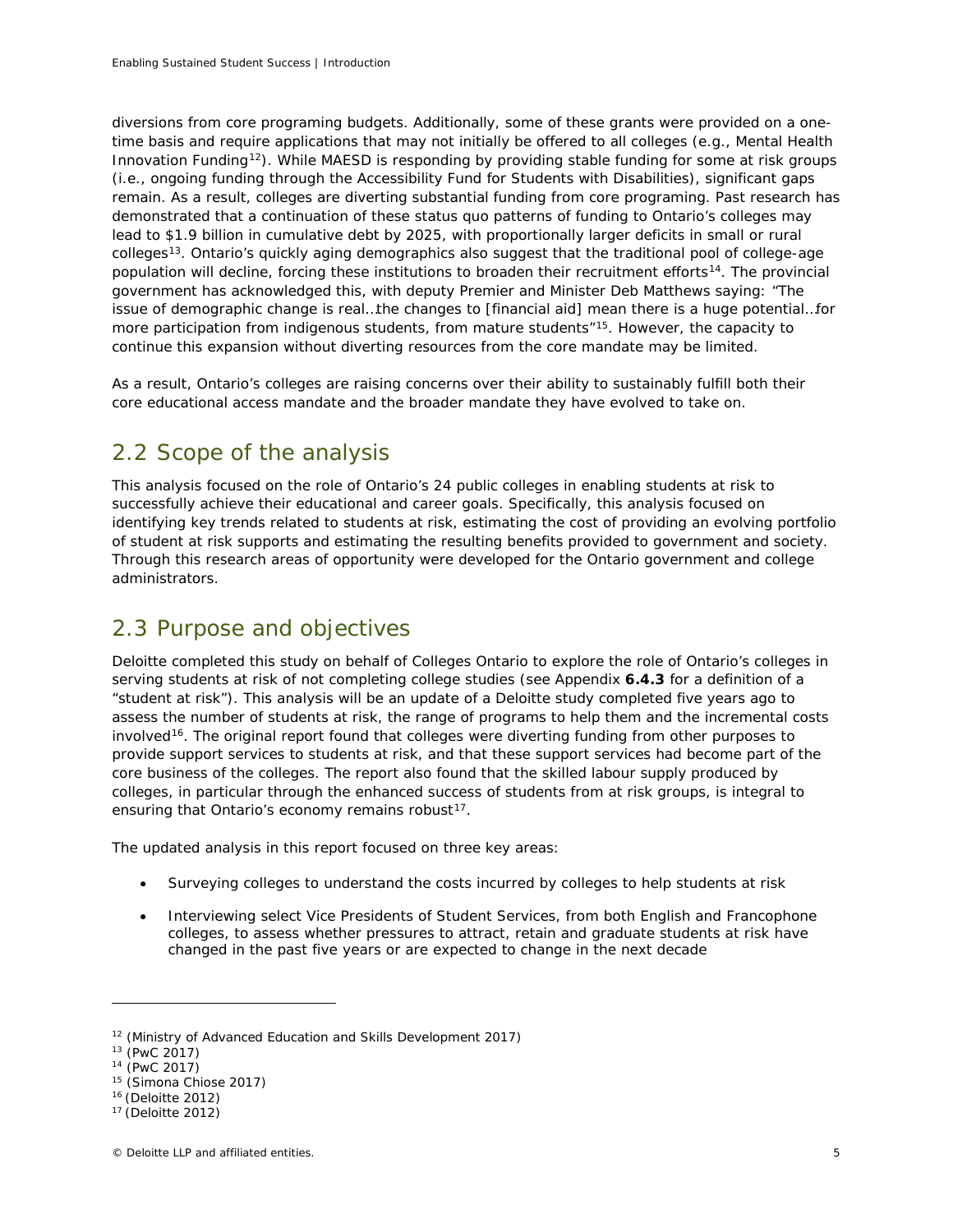diversions from core programing budgets. Additionally, some of these grants were provided on a onetime basis and require applications that may not initially be offered to all colleges (e.g., Mental Health Innovation Funding<sup>12</sup>). While MAESD is responding by providing stable funding for some at risk groups (i.e., ongoing funding through the Accessibility Fund for Students with Disabilities), significant gaps remain. As a result, colleges are diverting substantial funding from core programing. Past research has demonstrated that a continuation of these status quo patterns of funding to Ontario's colleges may lead to \$1.9 billion in cumulative debt by 2025, with proportionally larger deficits in small or rural colleges[13](#page-6-1). Ontario's quickly aging demographics also suggest that the traditional pool of college-age population will decline, forcing these institutions to broaden their recruitment efforts<sup>[14](#page-6-2)</sup>. The provincial government has acknowledged this, with deputy Premier and Minister Deb Matthews saying: "The issue of demographic change is real…the changes to [financial aid] mean there is a huge potential…for more participation from indigenous students, from mature students"<sup>15</sup>. However, the capacity to continue this expansion without diverting resources from the core mandate may be limited.

As a result, Ontario's colleges are raising concerns over their ability to sustainably fulfill both their core educational access mandate and the broader mandate they have evolved to take on.

# 2.2 Scope of the analysis

This analysis focused on the role of Ontario's 24 public colleges in enabling students at risk to successfully achieve their educational and career goals. Specifically, this analysis focused on identifying key trends related to students at risk, estimating the cost of providing an evolving portfolio of student at risk supports and estimating the resulting benefits provided to government and society. Through this research areas of opportunity were developed for the Ontario government and college administrators.

# 2.3 Purpose and objectives

Deloitte completed this study on behalf of Colleges Ontario to explore the role of Ontario's colleges in serving students at risk of not completing college studies (see Appendix **6.4.3** for a definition of a "student at risk"). This analysis will be an update of a Deloitte study completed five years ago to assess the number of students at risk, the range of programs to help them and the incremental costs involved<sup>16</sup>. The original report found that colleges were diverting funding from other purposes to provide support services to students at risk, and that these support services had become part of the core business of the colleges. The report also found that the skilled labour supply produced by colleges, in particular through the enhanced success of students from at risk groups, is integral to ensuring that Ontario's economy remains robust<sup>17</sup>.

The updated analysis in this report focused on three key areas:

- Surveying colleges to understand the costs incurred by colleges to help students at risk
- Interviewing select Vice Presidents of Student Services, from both English and Francophone colleges, to assess whether pressures to attract, retain and graduate students at risk have changed in the past five years or are expected to change in the next decade

<span id="page-6-0"></span><sup>&</sup>lt;sup>12</sup> (Ministry of Advanced Education and Skills Development 2017)

<span id="page-6-1"></span> $13$  (PwC 2017)

<span id="page-6-2"></span><sup>14</sup> (PwC 2017)

<span id="page-6-3"></span><sup>15</sup> (Simona Chiose 2017)

<span id="page-6-4"></span><sup>16</sup> (Deloitte 2012)

<span id="page-6-5"></span><sup>17</sup> (Deloitte 2012)

<sup>©</sup> Deloitte LLP and affiliated entities. 5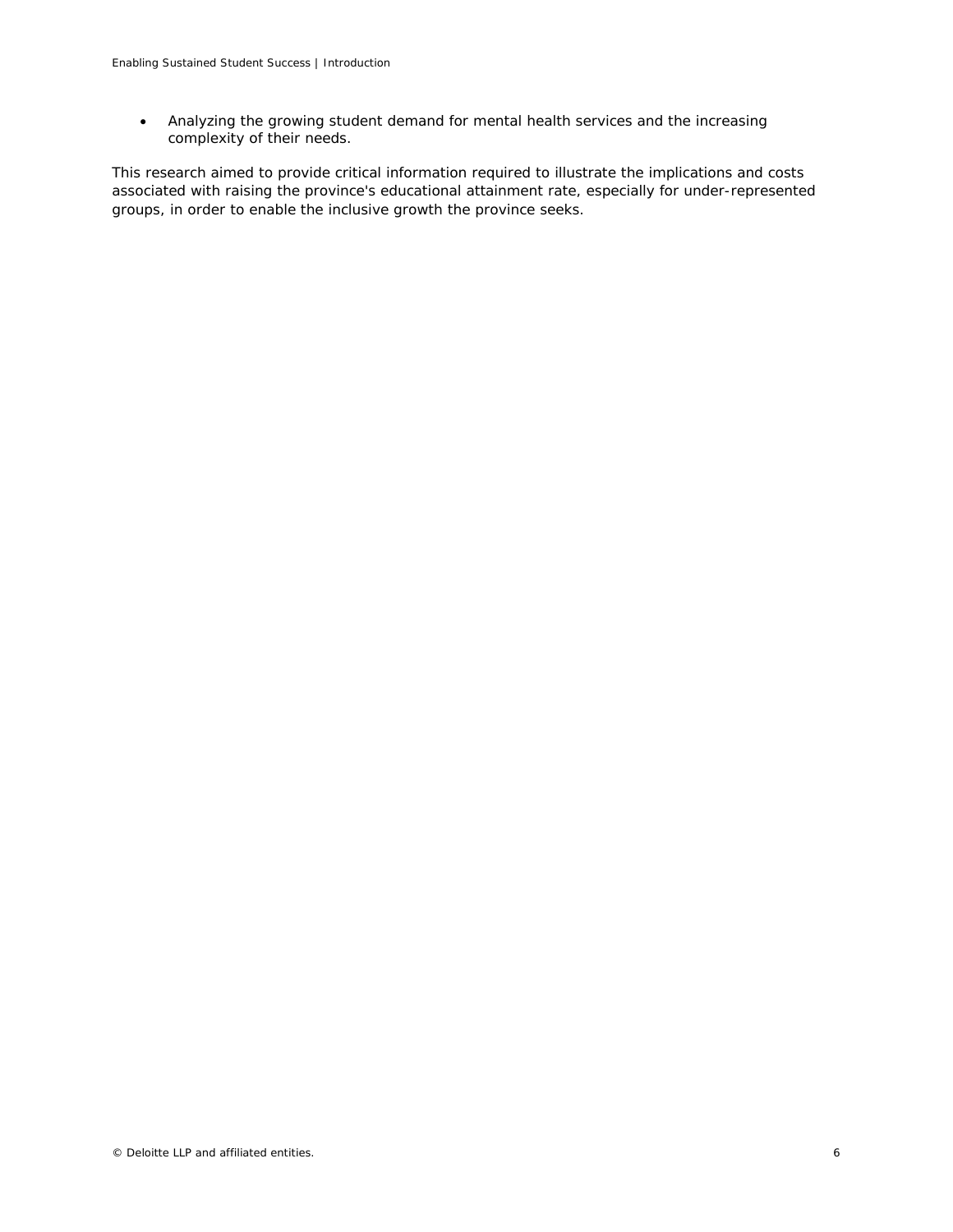• Analyzing the growing student demand for mental health services and the increasing complexity of their needs.

This research aimed to provide critical information required to illustrate the implications and costs associated with raising the province's educational attainment rate, especially for under-represented groups, in order to enable the inclusive growth the province seeks.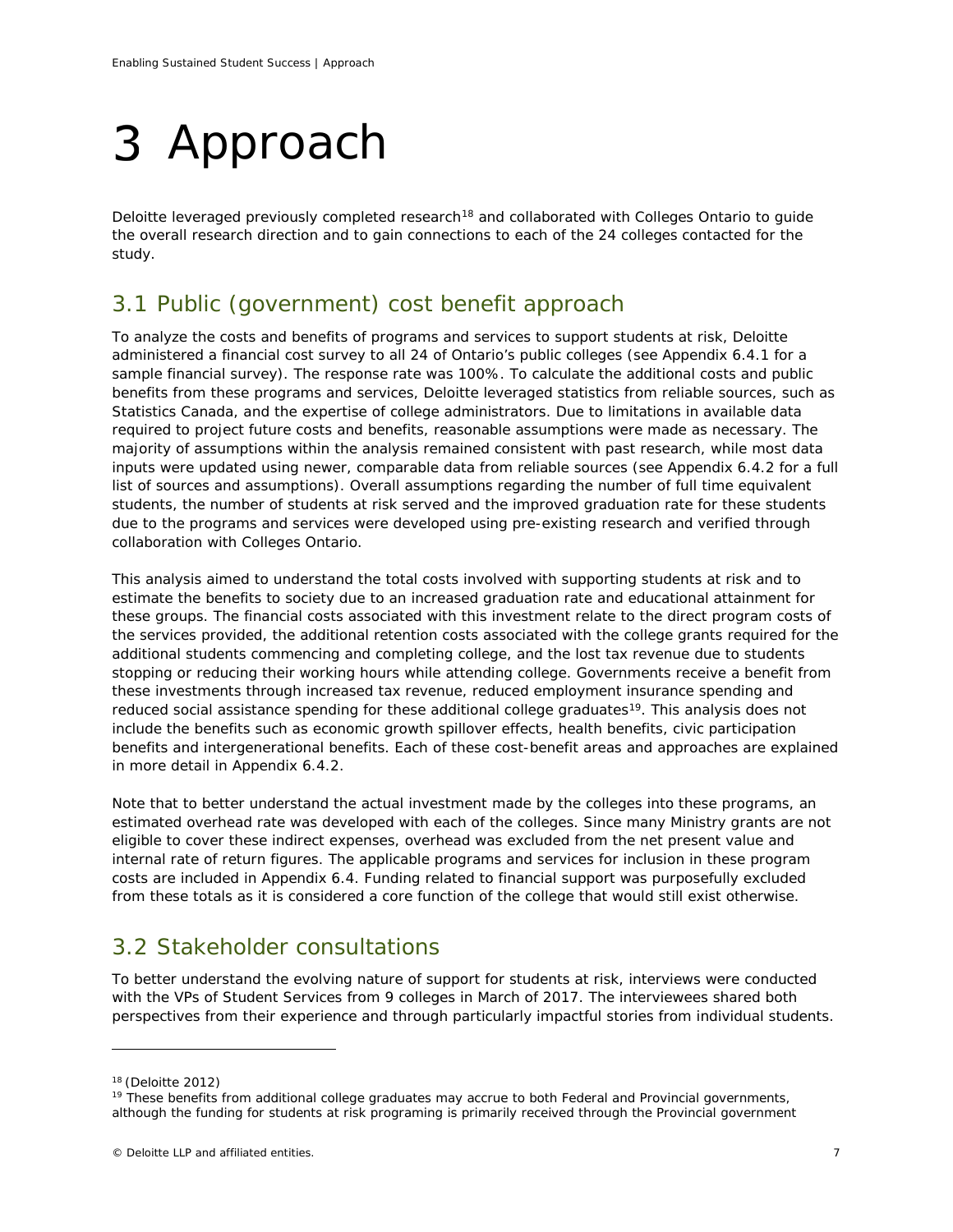# <span id="page-8-0"></span>3 Approach

Deloitte leveraged previously completed research<sup>[18](#page-8-1)</sup> and collaborated with Colleges Ontario to guide the overall research direction and to gain connections to each of the 24 colleges contacted for the study.

# 3.1 Public (government) cost benefit approach

To analyze the costs and benefits of programs and services to support students at risk, Deloitte administered a financial cost survey to all 24 of Ontario's public colleges (see Appendix 6.4.1 for a sample financial survey). The response rate was 100%. To calculate the additional costs and public benefits from these programs and services, Deloitte leveraged statistics from reliable sources, such as Statistics Canada, and the expertise of college administrators. Due to limitations in available data required to project future costs and benefits, reasonable assumptions were made as necessary. The majority of assumptions within the analysis remained consistent with past research, while most data inputs were updated using newer, comparable data from reliable sources (see Appendix 6.4.2 for a full list of sources and assumptions). Overall assumptions regarding the number of full time equivalent students, the number of students at risk served and the improved graduation rate for these students due to the programs and services were developed using pre-existing research and verified through collaboration with Colleges Ontario.

This analysis aimed to understand the total costs involved with supporting students at risk and to estimate the benefits to society due to an increased graduation rate and educational attainment for these groups. The financial costs associated with this investment relate to the direct program costs of the services provided, the additional retention costs associated with the college grants required for the additional students commencing and completing college, and the lost tax revenue due to students stopping or reducing their working hours while attending college. Governments receive a benefit from these investments through increased tax revenue, reduced employment insurance spending and reduced social assistance spending for these additional college graduates<sup>19</sup>. This analysis does not include the benefits such as economic growth spillover effects, health benefits, civic participation benefits and intergenerational benefits. Each of these cost-benefit areas and approaches are explained in more detail in Appendix 6.4.2.

Note that to better understand the actual investment made by the colleges into these programs, an estimated overhead rate was developed with each of the colleges. Since many Ministry grants are not eligible to cover these indirect expenses, overhead was excluded from the net present value and internal rate of return figures. The applicable programs and services for inclusion in these program costs are included in Appendix 6.4. Funding related to financial support was purposefully excluded from these totals as it is considered a core function of the college that would still exist otherwise.

# 3.2 Stakeholder consultations

To better understand the evolving nature of support for students at risk, interviews were conducted with the VPs of Student Services from 9 colleges in March of 2017. The interviewees shared both perspectives from their experience and through particularly impactful stories from individual students.

<span id="page-8-1"></span><sup>18</sup> (Deloitte 2012)

<span id="page-8-2"></span> $19$  These benefits from additional college graduates may accrue to both Federal and Provincial governments, although the funding for students at risk programing is primarily received through the Provincial government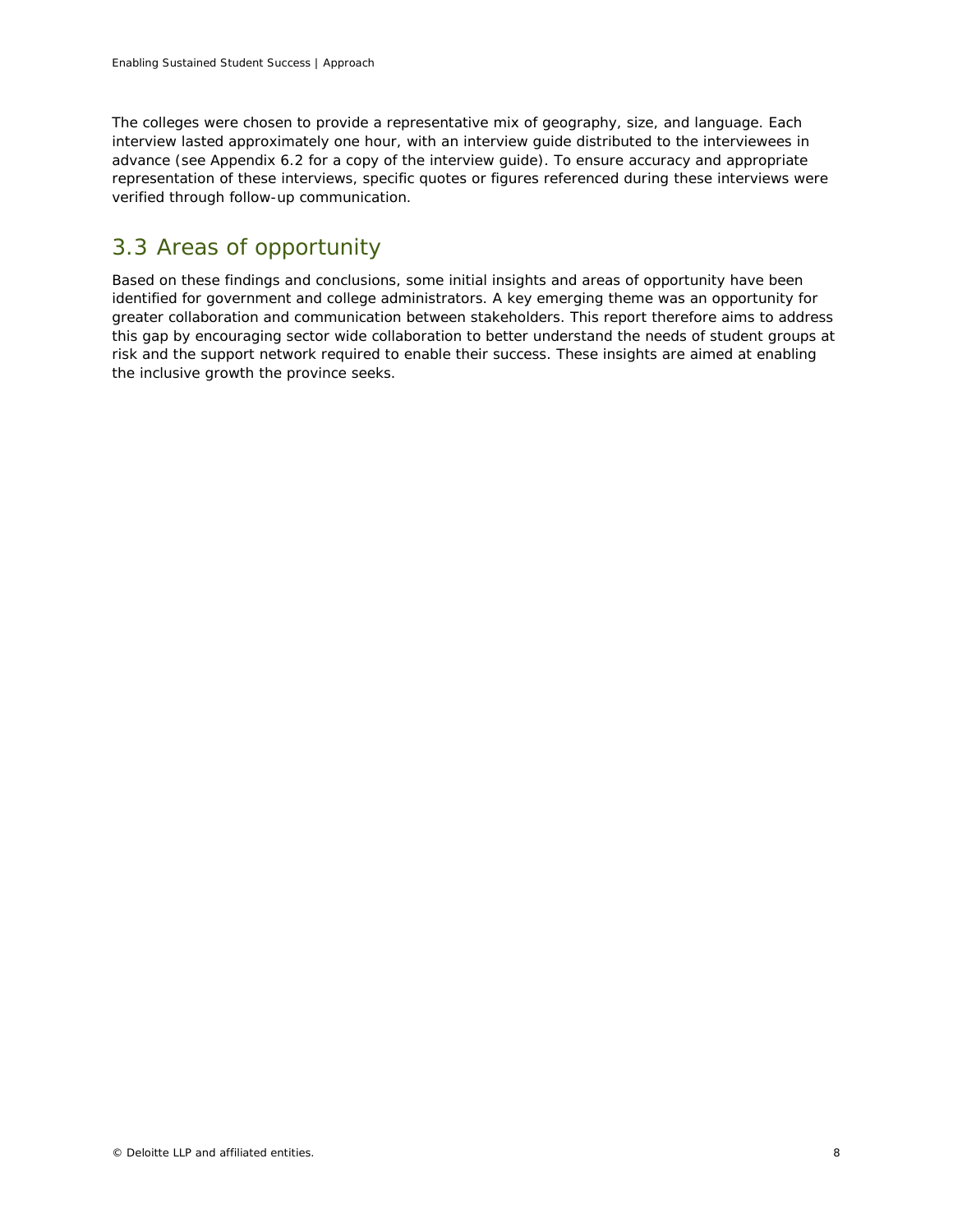The colleges were chosen to provide a representative mix of geography, size, and language. Each interview lasted approximately one hour, with an interview guide distributed to the interviewees in advance (see Appendix 6.2 for a copy of the interview guide). To ensure accuracy and appropriate representation of these interviews, specific quotes or figures referenced during these interviews were verified through follow-up communication.

# 3.3 Areas of opportunity

Based on these findings and conclusions, some initial insights and areas of opportunity have been identified for government and college administrators. A key emerging theme was an opportunity for greater collaboration and communication between stakeholders. This report therefore aims to address this gap by encouraging sector wide collaboration to better understand the needs of student groups at risk and the support network required to enable their success. These insights are aimed at enabling the inclusive growth the province seeks.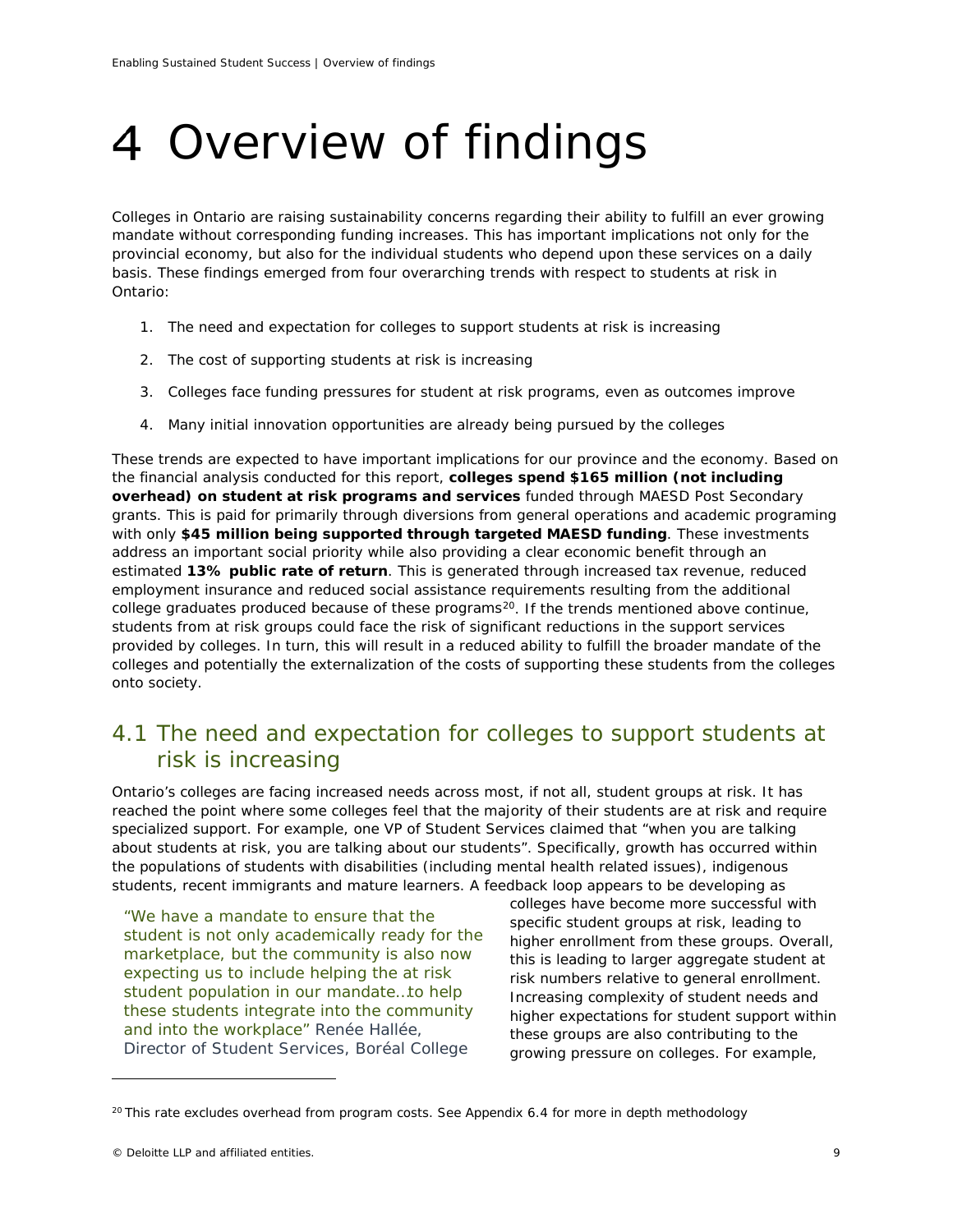# <span id="page-10-0"></span>Overview of findings

Colleges in Ontario are raising sustainability concerns regarding their ability to fulfill an ever growing mandate without corresponding funding increases. This has important implications not only for the provincial economy, but also for the individual students who depend upon these services on a daily basis. These findings emerged from four overarching trends with respect to students at risk in Ontario:

- 1. The need and expectation for colleges to support students at risk is increasing
- 2. The cost of supporting students at risk is increasing
- 3. Colleges face funding pressures for student at risk programs, even as outcomes improve
- 4. Many initial innovation opportunities are already being pursued by the colleges

These trends are expected to have important implications for our province and the economy. Based on the financial analysis conducted for this report, **colleges spend \$165 million (not including overhead) on student at risk programs and services** funded through MAESD Post Secondary grants. This is paid for primarily through diversions from general operations and academic programing with only **\$45 million being supported through targeted MAESD funding**. These investments address an important social priority while also providing a clear economic benefit through an estimated **13% public rate of return**. This is generated through increased tax revenue, reduced employment insurance and reduced social assistance requirements resulting from the additional college graduates produced because of these programs<sup>20</sup>. If the trends mentioned above continue, students from at risk groups could face the risk of significant reductions in the support services provided by colleges. In turn, this will result in a reduced ability to fulfill the broader mandate of the colleges and potentially the externalization of the costs of supporting these students from the colleges onto society.

# 4.1 The need and expectation for colleges to support students at risk is increasing

Ontario's colleges are facing increased needs across most, if not all, student groups at risk. It has reached the point where some colleges feel that the majority of their students are at risk and require specialized support. For example, one VP of Student Services claimed that "when you are talking about students at risk, you are talking about our students". Specifically, growth has occurred within the populations of students with disabilities (including mental health related issues), indigenous students, recent immigrants and mature learners. A feedback loop appears to be developing as

*"We have a mandate to ensure that the student is not only academically ready for the marketplace, but the community is also now expecting us to include helping the at risk student population in our mandate…to help these students integrate into the community and into the workplace" Renée Hallée, Director of Student Services, Boréal College*

colleges have become more successful with specific student groups at risk, leading to higher enrollment from these groups. Overall, this is leading to larger aggregate student at risk numbers relative to general enrollment. Increasing complexity of student needs and higher expectations for student support within these groups are also contributing to the growing pressure on colleges. For example,

<span id="page-10-1"></span> $20$  This rate excludes overhead from program costs. See Appendix 6.4 for more in depth methodology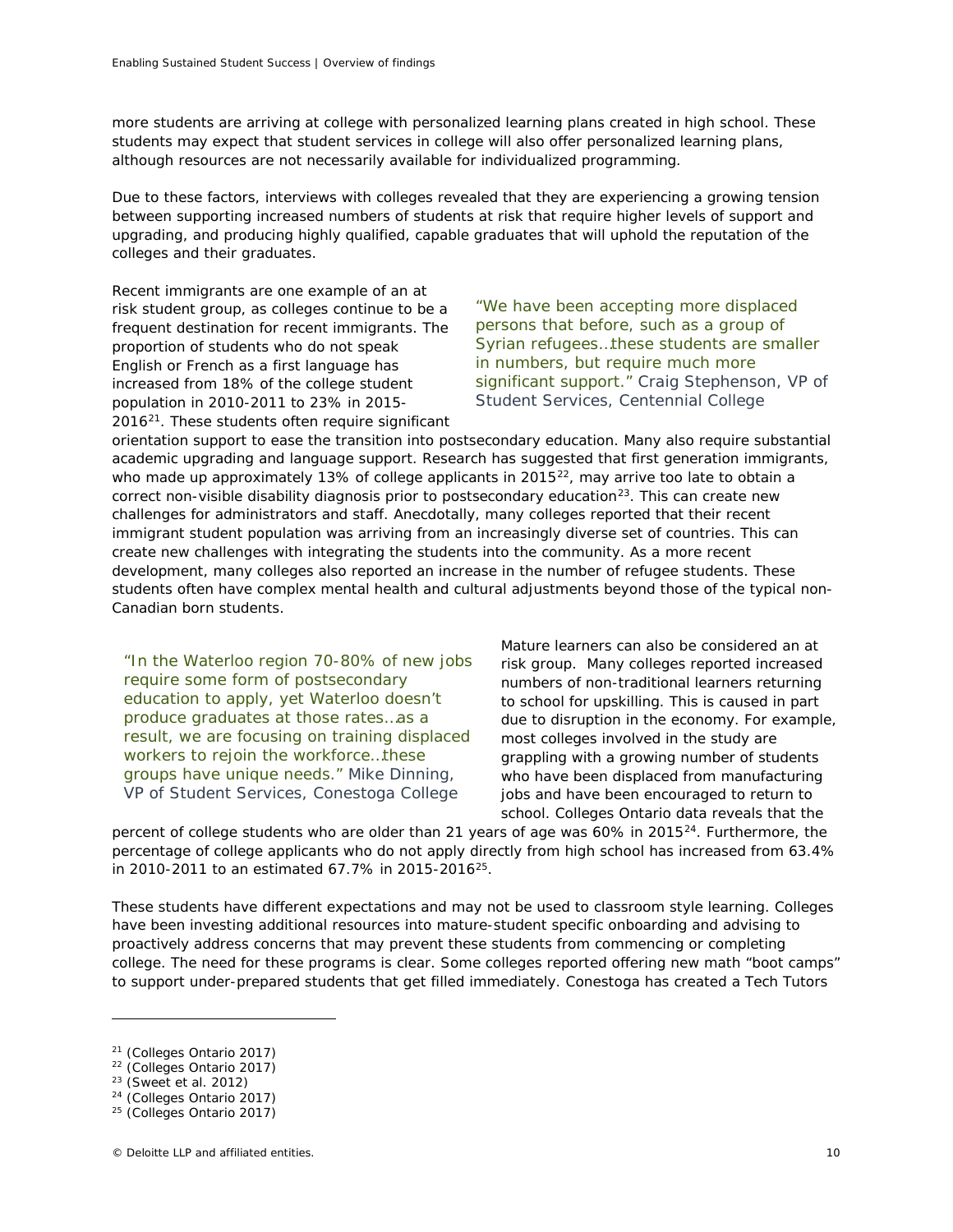more students are arriving at college with personalized learning plans created in high school. These students may expect that student services in college will also offer personalized learning plans, although resources are not necessarily available for individualized programming.

Due to these factors, interviews with colleges revealed that they are experiencing a growing tension between supporting increased numbers of students at risk that require higher levels of support and upgrading, and producing highly qualified, capable graduates that will uphold the reputation of the colleges and their graduates.

Recent immigrants are one example of an at risk student group, as colleges continue to be a frequent destination for recent immigrants. The proportion of students who do not speak English or French as a first language has increased from 18% of the college student population in 2010-2011 to 23% in 2015- 201[621](#page-11-0). These students often require significant

*"We have been accepting more displaced persons that before, such as a group of Syrian refugees…these students are smaller in numbers, but require much more significant support." Craig Stephenson, VP of Student Services, Centennial College*

orientation support to ease the transition into postsecondary education. Many also require substantial academic upgrading and language support. Research has suggested that first generation immigrants, who made up approximately 13% of college applicants in 2015 $^{22}$ , may arrive too late to obtain a correct non-visible disability diagnosis prior to postsecondary education $^{23}$ . This can create new challenges for administrators and staff. Anecdotally, many colleges reported that their recent immigrant student population was arriving from an increasingly diverse set of countries. This can create new challenges with integrating the students into the community. As a more recent development, many colleges also reported an increase in the number of refugee students. These students often have complex mental health and cultural adjustments beyond those of the typical non-Canadian born students.

*"In the Waterloo region 70-80% of new jobs require some form of postsecondary education to apply, yet Waterloo doesn't produce graduates at those rates…as a result, we are focusing on training displaced workers to rejoin the workforce…these groups have unique needs." Mike Dinning, VP of Student Services, Conestoga College*

Mature learners can also be considered an at risk group. Many colleges reported increased numbers of non-traditional learners returning to school for upskilling. This is caused in part due to disruption in the economy. For example, most colleges involved in the study are grappling with a growing number of students who have been displaced from manufacturing jobs and have been encouraged to return to school. Colleges Ontario data reveals that the

percent of college students who are older than 21 years of age was 60% in 2015<sup>24</sup>. Furthermore, the percentage of college applicants who do not apply directly from high school has increased from 63.4% in 2010-2011 to an estimated 67.7% in 2015-2016<sup>[25](#page-11-4)</sup>.

These students have different expectations and may not be used to classroom style learning. Colleges have been investing additional resources into mature-student specific onboarding and advising to proactively address concerns that may prevent these students from commencing or completing college. The need for these programs is clear. Some colleges reported offering new math "boot camps" to support under-prepared students that get filled immediately. Conestoga has created a Tech Tutors

<span id="page-11-0"></span><sup>21</sup> (Colleges Ontario 2017)

<span id="page-11-1"></span><sup>22</sup> (Colleges Ontario 2017)

<span id="page-11-2"></span><sup>23</sup> (Sweet et al. 2012)

<span id="page-11-4"></span><span id="page-11-3"></span><sup>24</sup> (Colleges Ontario 2017)

<sup>25</sup> (Colleges Ontario 2017)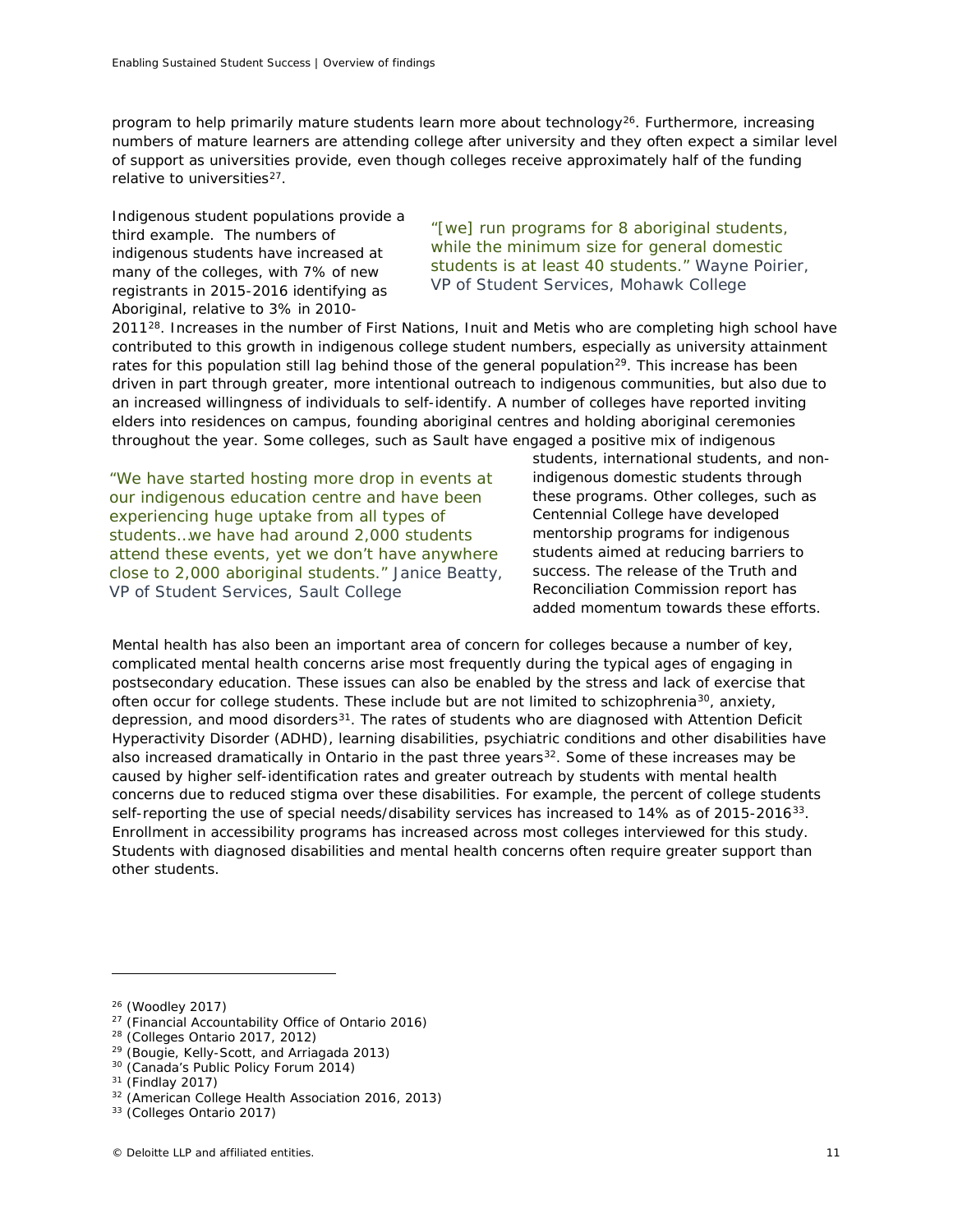program to help primarily mature students learn more about technology<sup>[26](#page-12-0)</sup>. Furthermore, increasing numbers of mature learners are attending college after university and they often expect a similar level of support as universities provide, even though colleges receive approximately half of the funding relative to universities<sup>27</sup>.

Indigenous student populations provide a third example. The numbers of indigenous students have increased at many of the colleges, with 7% of new registrants in 2015-2016 identifying as Aboriginal, relative to 3% in 2010-

*"[we] run programs for 8 aboriginal students, while the minimum size for general domestic students is at least 40 students." Wayne Poirier, VP of Student Services, Mohawk College*

2011<sup>28</sup>. Increases in the number of First Nations, Inuit and Metis who are completing high school have contributed to this growth in indigenous college student numbers, especially as university attainment rates for this population still lag behind those of the general population<sup>29</sup>. This increase has been driven in part through greater, more intentional outreach to indigenous communities, but also due to an increased willingness of individuals to self-identify. A number of colleges have reported inviting elders into residences on campus, founding aboriginal centres and holding aboriginal ceremonies throughout the year. Some colleges, such as Sault have engaged a positive mix of indigenous

*"We have started hosting more drop in events at our indigenous education centre and have been experiencing huge uptake from all types of students…we have had around 2,000 students attend these events, yet we don't have anywhere close to 2,000 aboriginal students." Janice Beatty, VP of Student Services, Sault College*

students, international students, and nonindigenous domestic students through these programs. Other colleges, such as Centennial College have developed mentorship programs for indigenous students aimed at reducing barriers to success. The release of the Truth and Reconciliation Commission report has added momentum towards these efforts.

Mental health has also been an important area of concern for colleges because a number of key, complicated mental health concerns arise most frequently during the typical ages of engaging in postsecondary education. These issues can also be enabled by the stress and lack of exercise that often occur for college students. These include but are not limited to schizophrenia<sup>[30](#page-12-4)</sup>, anxiety, depression, and mood disorders $31$ . The rates of students who are diagnosed with Attention Deficit Hyperactivity Disorder (ADHD), learning disabilities, psychiatric conditions and other disabilities have also increased dramatically in Ontario in the past three years<sup>[32](#page-12-6)</sup>. Some of these increases may be caused by higher self-identification rates and greater outreach by students with mental health concerns due to reduced stigma over these disabilities. For example, the percent of college students self-reporting the use of special needs/disability services has increased to 14% as of 2015-2016<sup>[33](#page-12-7)</sup>. Enrollment in accessibility programs has increased across most colleges interviewed for this study. Students with diagnosed disabilities and mental health concerns often require greater support than other students.

ł

 $27$  (Financial Accountability Office of Ontario 2016)

- <span id="page-12-3"></span><sup>29</sup> (Bougie, Kelly-Scott, and Arriagada 2013)
- <span id="page-12-4"></span><sup>30</sup> (Canada's Public Policy Forum 2014)

<span id="page-12-1"></span><span id="page-12-0"></span><sup>26</sup> (Woodley 2017)

<span id="page-12-2"></span> $28$  (Colleges Ontario 2017, 2012)

<span id="page-12-5"></span><sup>31</sup> (Findlay 2017)

<span id="page-12-6"></span><sup>32</sup> (American College Health Association 2016, 2013)

<span id="page-12-7"></span><sup>33</sup> (Colleges Ontario 2017)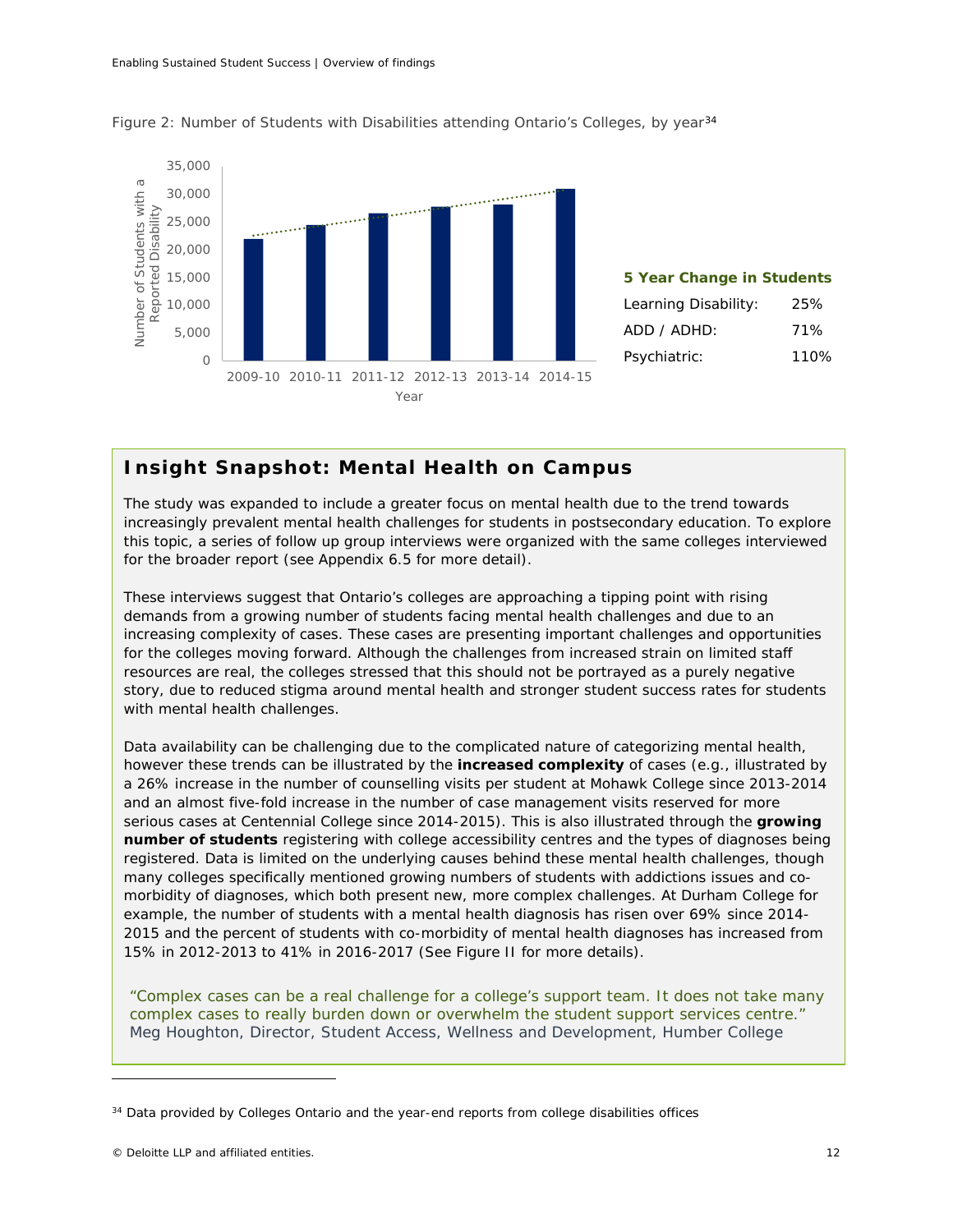

Figure 2: Number of Students with Disabilities attending Ontario's Colleges, by year<sup>[34](#page-13-0)</sup>



# *Insight Snapshot: Mental Health on Campus*

*The study was expanded to include a greater focus on mental health due to the trend towards increasingly prevalent mental health challenges for students in postsecondary education. To explore this topic, a series of follow up group interviews were organized with the same colleges interviewed for the broader report (see Appendix 6.5 for more detail).*

*These interviews suggest that Ontario's colleges are approaching a tipping point with rising demands from a growing number of students facing mental health challenges and due to an increasing complexity of cases. These cases are presenting important challenges and opportunities for the colleges moving forward. Although the challenges from increased strain on limited staff resources are real, the colleges stressed that this should not be portrayed as a purely negative story, due to reduced stigma around mental health and stronger student success rates for students with mental health challenges.*

*Data availability can be challenging due to the complicated nature of categorizing mental health, however these trends can be illustrated by the increased complexity of cases (e.g., illustrated by a 26% increase in the number of counselling visits per student at Mohawk College since 2013-2014 and an almost five-fold increase in the number of case management visits reserved for more serious cases at Centennial College since 2014-2015). This is also illustrated through the growing number of students registering with college accessibility centres and the types of diagnoses being registered. Data is limited on the underlying causes behind these mental health challenges, though many colleges specifically mentioned growing numbers of students with addictions issues and comorbidity of diagnoses, which both present new, more complex challenges. At Durham College for example, the number of students with a mental health diagnosis has risen over 69% since 2014- 2015 and the percent of students with co-morbidity of mental health diagnoses has increased from 15% in 2012-2013 to 41% in 2016-2017 (See Figure II for more details).*

*"Complex cases can be a real challenge for a college's support team. It does not take many complex cases to really burden down or overwhelm the student support services centre." Meg Houghton, Director, Student Access, Wellness and Development, Humber College*

<span id="page-13-0"></span><sup>&</sup>lt;sup>34</sup> Data provided by Colleges Ontario and the year-end reports from college disabilities offices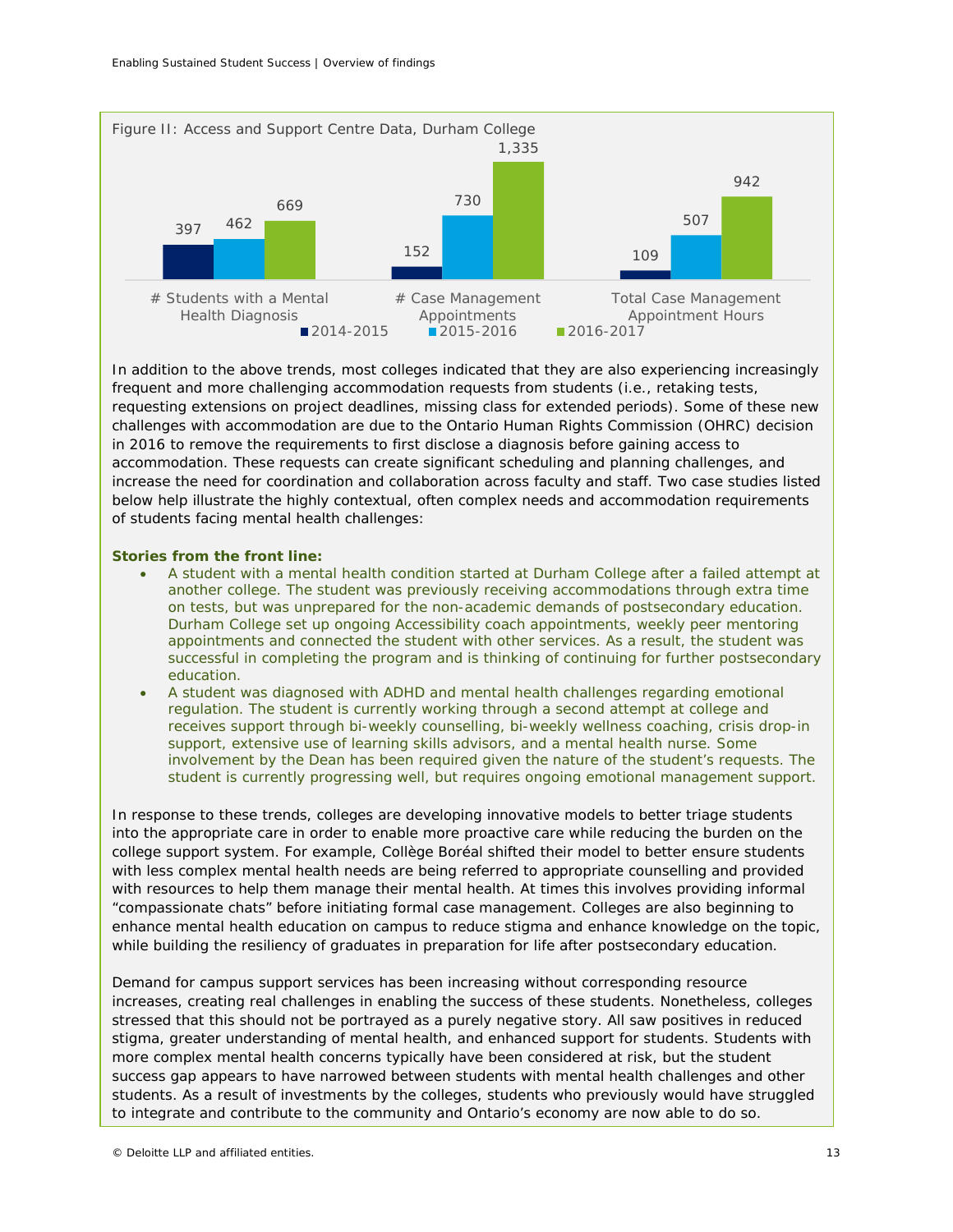

*In addition to the above trends, most colleges indicated that they are also experiencing increasingly frequent and more challenging accommodation requests from students (i.e., retaking tests, requesting extensions on project deadlines, missing class for extended periods). Some of these new challenges with accommodation are due to the Ontario Human Rights Commission (OHRC) decision in 2016 to remove the requirements to first disclose a diagnosis before gaining access to accommodation. These requests can create significant scheduling and planning challenges, and increase the need for coordination and collaboration across faculty and staff. Two case studies listed below help illustrate the highly contextual, often complex needs and accommodation requirements of students facing mental health challenges:*

### *Stories from the front line:*

- *A student with a mental health condition started at Durham College after a failed attempt at another college. The student was previously receiving accommodations through extra time on tests, but was unprepared for the non-academic demands of postsecondary education. Durham College set up ongoing Accessibility coach appointments, weekly peer mentoring appointments and connected the student with other services. As a result, the student was successful in completing the program and is thinking of continuing for further postsecondary education.*
- *A student was diagnosed with ADHD and mental health challenges regarding emotional regulation. The student is currently working through a second attempt at college and receives support through bi-weekly counselling, bi-weekly wellness coaching, crisis drop-in support, extensive use of learning skills advisors, and a mental health nurse. Some involvement by the Dean has been required given the nature of the student's requests. The student is currently progressing well, but requires ongoing emotional management support.*

*In response to these trends, colleges are developing innovative models to better triage students into the appropriate care in order to enable more proactive care while reducing the burden on the college support system. For example, Collège Boréal shifted their model to better ensure students with less complex mental health needs are being referred to appropriate counselling and provided*  with resources to help them manage their mental health. At times this involves providing informal *"compassionate chats" before initiating formal case management. Colleges are also beginning to enhance mental health education on campus to reduce stigma and enhance knowledge on the topic, while building the resiliency of graduates in preparation for life after postsecondary education.*

*Demand for campus support services has been increasing without corresponding resource increases, creating real challenges in enabling the success of these students. Nonetheless, colleges stressed that this should not be portrayed as a purely negative story. All saw positives in reduced stigma, greater understanding of mental health, and enhanced support for students. Students with more complex mental health concerns typically have been considered at risk, but the student success gap appears to have narrowed between students with mental health challenges and other students. As a result of investments by the colleges, students who previously would have struggled to integrate and contribute to the community and Ontario's economy are now able to do so.*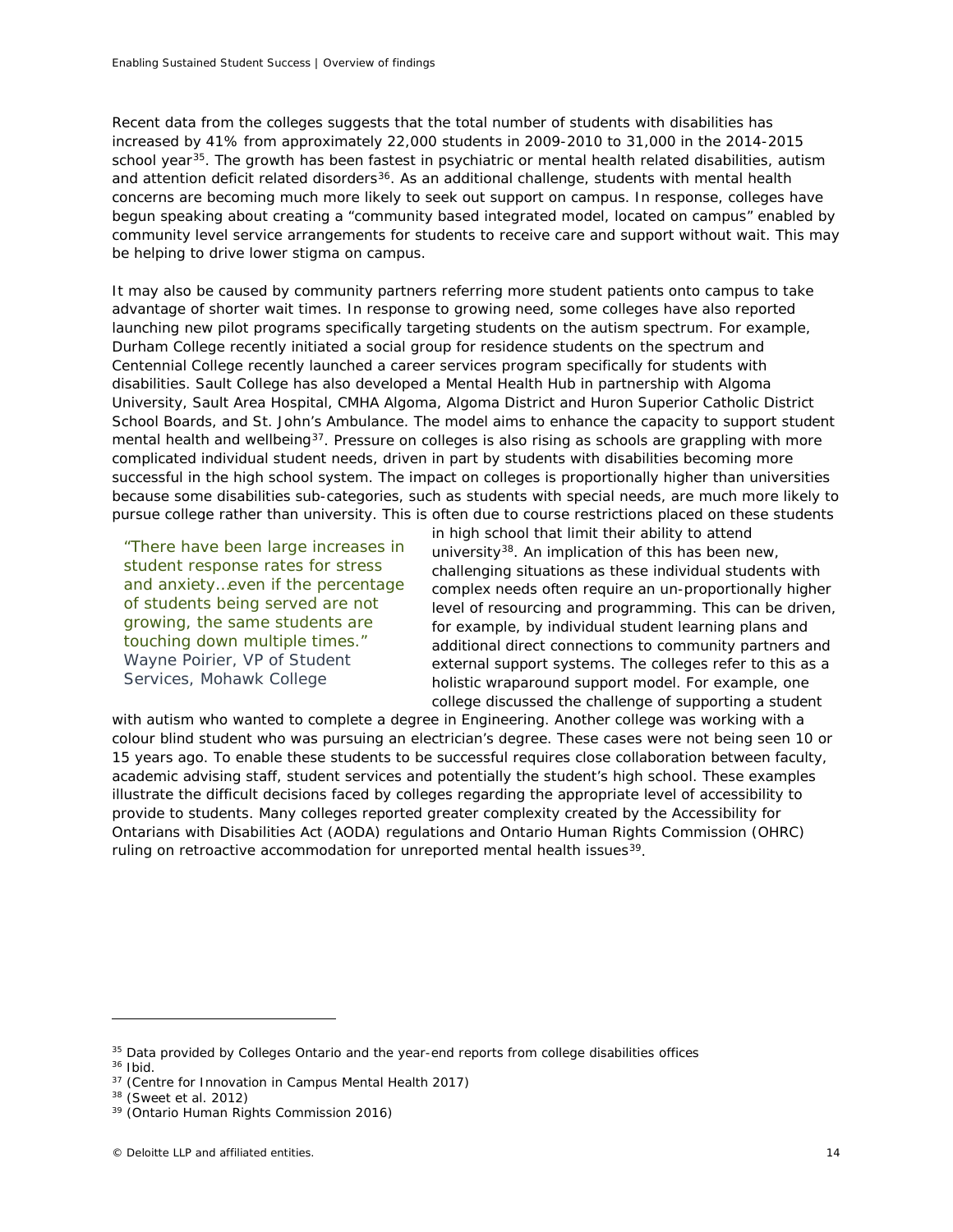Recent data from the colleges suggests that the total number of students with disabilities has increased by 41% from approximately 22,000 students in 2009-2010 to 31,000 in the 2014-2015 school year<sup>35</sup>. The growth has been fastest in psychiatric or mental health related disabilities, autism and attention deficit related disorders<sup>36</sup>. As an additional challenge, students with mental health concerns are becoming much more likely to seek out support on campus. In response, colleges have begun speaking about creating a "community based integrated model, located on campus" enabled by community level service arrangements for students to receive care and support without wait. This may be helping to drive lower stigma on campus.

It may also be caused by community partners referring more student patients onto campus to take advantage of shorter wait times. In response to growing need, some colleges have also reported launching new pilot programs specifically targeting students on the autism spectrum. For example, Durham College recently initiated a social group for residence students on the spectrum and Centennial College recently launched a career services program specifically for students with disabilities. Sault College has also developed a Mental Health Hub in partnership with Algoma University, Sault Area Hospital, CMHA Algoma, Algoma District and Huron Superior Catholic District School Boards, and St. John's Ambulance. The model aims to enhance the capacity to support student mental health and wellbeing<sup>[37](#page-15-2)</sup>. Pressure on colleges is also rising as schools are grappling with more complicated individual student needs, driven in part by students with disabilities becoming more successful in the high school system. The impact on colleges is proportionally higher than universities because some disabilities sub-categories, such as students with special needs, are much more likely to pursue college rather than university. This is often due to course restrictions placed on these students

*"There have been large increases in student response rates for stress and anxiety…even if the percentage of students being served are not growing, the same students are touching down multiple times." Wayne Poirier, VP of Student Services, Mohawk College*

in high school that limit their ability to attend university<sup>38</sup>. An implication of this has been new, challenging situations as these individual students with complex needs often require an un-proportionally higher level of resourcing and programming. This can be driven, for example, by individual student learning plans and additional direct connections to community partners and external support systems. The colleges refer to this as a holistic wraparound support model. For example, one college discussed the challenge of supporting a student

with autism who wanted to complete a degree in Engineering. Another college was working with a colour blind student who was pursuing an electrician's degree. These cases were not being seen 10 or 15 years ago. To enable these students to be successful requires close collaboration between faculty, academic advising staff, student services and potentially the student's high school. These examples illustrate the difficult decisions faced by colleges regarding the appropriate level of accessibility to provide to students. Many colleges reported greater complexity created by the Accessibility for Ontarians with Disabilities Act (AODA) regulations and Ontario Human Rights Commission (OHRC) ruling on retroactive accommodation for unreported mental health issues<sup>[39](#page-15-4)</sup>.

<span id="page-15-0"></span><sup>&</sup>lt;sup>35</sup> Data provided by Colleges Ontario and the year-end reports from college disabilities offices

<span id="page-15-1"></span><sup>36</sup> Ibid.

<span id="page-15-3"></span><span id="page-15-2"></span><sup>37</sup> (Centre for Innovation in Campus Mental Health 2017)

<sup>38</sup> (Sweet et al. 2012)

<span id="page-15-4"></span><sup>39</sup> (Ontario Human Rights Commission 2016)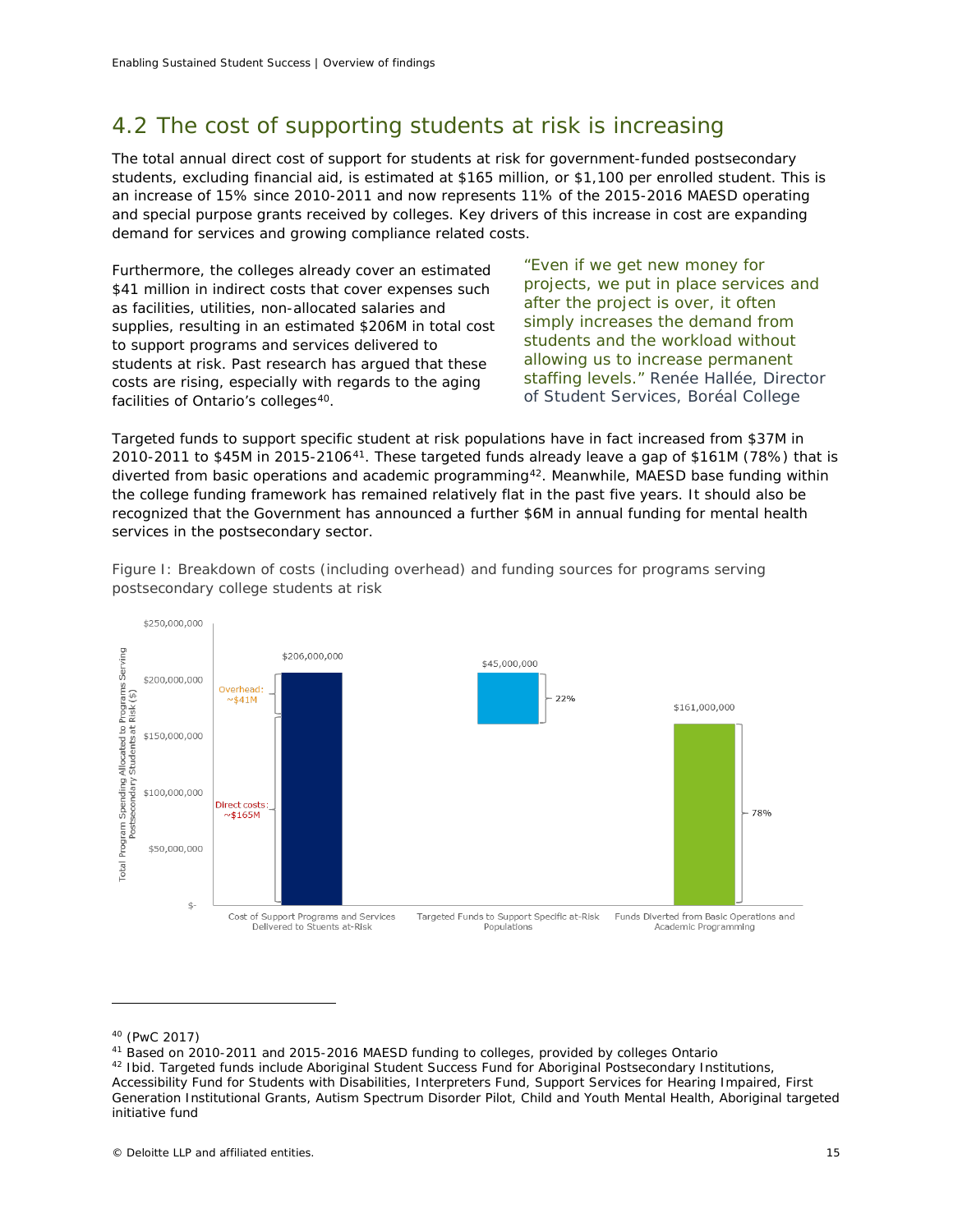# 4.2 The cost of supporting students at risk is increasing

The total annual direct cost of support for students at risk for government-funded postsecondary students, excluding financial aid, is estimated at \$165 million, or \$1,100 per enrolled student. This is an increase of 15% since 2010-2011 and now represents 11% of the 2015-2016 MAESD operating and special purpose grants received by colleges. Key drivers of this increase in cost are expanding demand for services and growing compliance related costs.

Furthermore, the colleges already cover an estimated \$41 million in indirect costs that cover expenses such as facilities, utilities, non-allocated salaries and supplies, resulting in an estimated \$206M in total cost to support programs and services delivered to students at risk. Past research has argued that these costs are rising, especially with regards to the aging facilities of Ontario's colleges<sup>40</sup>.

*"Even if we get new money for projects, we put in place services and after the project is over, it often simply increases the demand from students and the workload without allowing us to increase permanent staffing levels." Renée Hallée, Director of Student Services, Boréal College*

Targeted funds to support specific student at risk populations have in fact increased from \$37M in 2010-2011 to \$45M in 2015-2106[41](#page-16-1). These targeted funds already leave a gap of \$161M (78%) that is diverted from basic operations and academic programming[42](#page-16-2). Meanwhile, MAESD base funding within the college funding framework has remained relatively flat in the past five years. It should also be recognized that the Government has announced a further \$6M in annual funding for mental health services in the postsecondary sector.



*Figure I: Breakdown of costs (including overhead) and funding sources for programs serving postsecondary college students at risk*

<sup>40</sup> (PwC 2017)

<span id="page-16-1"></span><span id="page-16-0"></span><sup>41</sup> Based on 2010-2011 and 2015-2016 MAESD funding to colleges, provided by colleges Ontario

<span id="page-16-2"></span><sup>42</sup> Ibid. Targeted funds include Aboriginal Student Success Fund for Aboriginal Postsecondary Institutions,

Accessibility Fund for Students with Disabilities, Interpreters Fund, Support Services for Hearing Impaired, First Generation Institutional Grants, Autism Spectrum Disorder Pilot, Child and Youth Mental Health, Aboriginal targeted initiative fund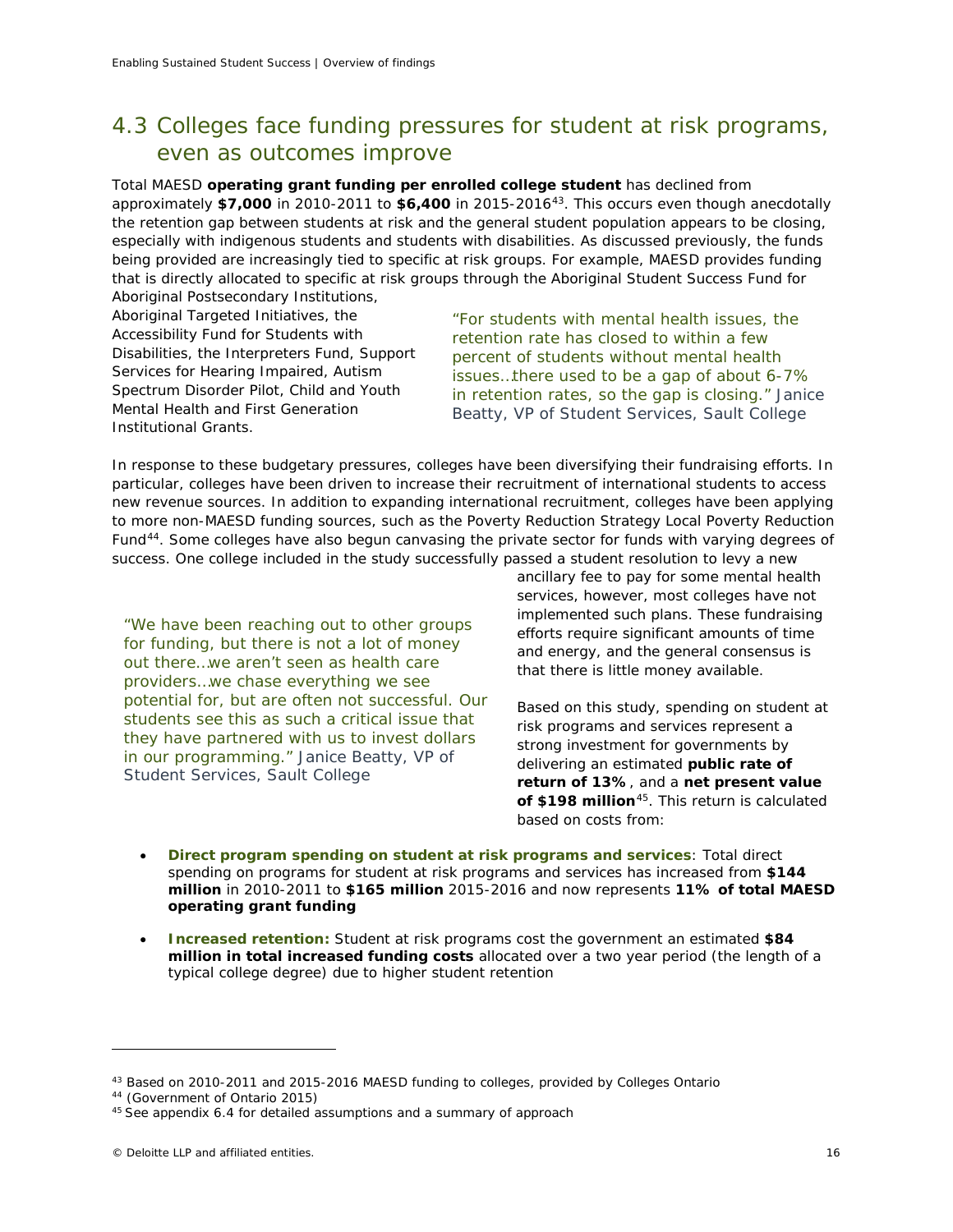# 4.3 Colleges face funding pressures for student at risk programs, even as outcomes improve

Total MAESD **operating grant funding per enrolled college student** has declined from approximately **\$7,000** in 2010-2011 to **\$6,400** in 2015-2016[43.](#page-17-0) This occurs even though anecdotally the retention gap between students at risk and the general student population appears to be closing, especially with indigenous students and students with disabilities. As discussed previously, the funds being provided are increasingly tied to specific at risk groups. For example, MAESD provides funding that is directly allocated to specific at risk groups through the Aboriginal Student Success Fund for Aboriginal Postsecondary Institutions,

Aboriginal Targeted Initiatives, the Accessibility Fund for Students with Disabilities, the Interpreters Fund, Support Services for Hearing Impaired, Autism Spectrum Disorder Pilot, Child and Youth Mental Health and First Generation Institutional Grants.

*"For students with mental health issues, the retention rate has closed to within a few percent of students without mental health issues…there used to be a gap of about 6-7% in retention rates, so the gap is closing." Janice Beatty, VP of Student Services, Sault College*

In response to these budgetary pressures, colleges have been diversifying their fundraising efforts. In particular, colleges have been driven to increase their recruitment of international students to access new revenue sources. In addition to expanding international recruitment, colleges have been applying to more non-MAESD funding sources, such as the Poverty Reduction Strategy Local Poverty Reduction Fund<sup>[44](#page-17-1)</sup>. Some colleges have also begun canvasing the private sector for funds with varying degrees of success. One college included in the study successfully passed a student resolution to levy a new

*"We have been reaching out to other groups for funding, but there is not a lot of money out there…we aren't seen as health care providers…we chase everything we see potential for, but are often not successful. Our students see this as such a critical issue that they have partnered with us to invest dollars in our programming." Janice Beatty, VP of Student Services, Sault College*

ancillary fee to pay for some mental health services, however, most colleges have not implemented such plans. These fundraising efforts require significant amounts of time and energy, and the general consensus is that there is little money available.

Based on this study, spending on student at risk programs and services represent a strong investment for governments by delivering an estimated **public rate of return of 13%**, and a **net present value of \$198 million**[45.](#page-17-2) This return is calculated based on costs from:

- **Direct program spending on student at risk programs and services**: Total direct spending on programs for student at risk programs and services has increased from **\$144 million** in 2010-2011 to **\$165 million** 2015-2016 and now represents **11% of total MAESD operating grant funding**
- **Increased retention:** Student at risk programs cost the government an estimated **\$84 million in total increased funding costs** allocated over a two year period (the length of a typical college degree) due to higher student retention

<span id="page-17-0"></span><sup>&</sup>lt;sup>43</sup> Based on 2010-2011 and 2015-2016 MAESD funding to colleges, provided by Colleges Ontario

<span id="page-17-1"></span><sup>44</sup> (Government of Ontario 2015)

<span id="page-17-2"></span><sup>&</sup>lt;sup>45</sup> See appendix 6.4 for detailed assumptions and a summary of approach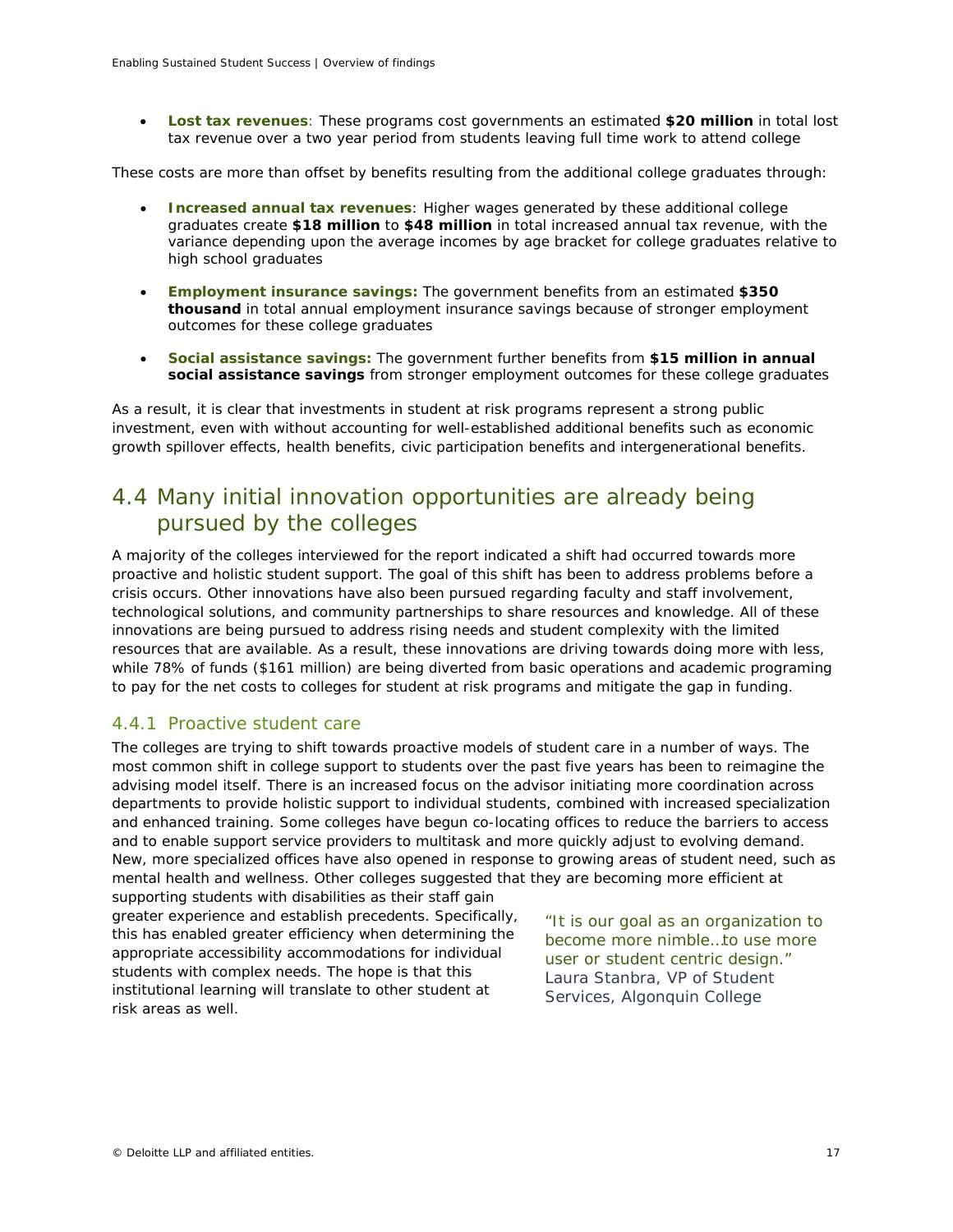• **Lost tax revenues**: These programs cost governments an estimated **\$20 million** in total lost tax revenue over a two year period from students leaving full time work to attend college

These costs are more than offset by benefits resulting from the additional college graduates through:

- **Increased annual tax revenues**: Higher wages generated by these additional college graduates create **\$18 million** to **\$48 million** in total increased annual tax revenue, with the variance depending upon the average incomes by age bracket for college graduates relative to high school graduates
- **Employment insurance savings:** The government benefits from an estimated **\$350 thousand** in total annual employment insurance savings because of stronger employment outcomes for these college graduates
- **Social assistance savings:** The government further benefits from **\$15 million in annual social assistance savings** from stronger employment outcomes for these college graduates

As a result, it is clear that investments in student at risk programs represent a strong public investment, even with without accounting for well-established additional benefits such as economic growth spillover effects, health benefits, civic participation benefits and intergenerational benefits.

# 4.4 Many initial innovation opportunities are already being pursued by the colleges

A majority of the colleges interviewed for the report indicated a shift had occurred towards more proactive and holistic student support. The goal of this shift has been to address problems before a crisis occurs. Other innovations have also been pursued regarding faculty and staff involvement, technological solutions, and community partnerships to share resources and knowledge. All of these innovations are being pursued to address rising needs and student complexity with the limited resources that are available. As a result, these innovations are driving towards doing more with less, while 78% of funds (\$161 million) are being diverted from basic operations and academic programing to pay for the net costs to colleges for student at risk programs and mitigate the gap in funding.

## 4.4.1 Proactive student care

The colleges are trying to shift towards proactive models of student care in a number of ways. The most common shift in college support to students over the past five years has been to reimagine the advising model itself. There is an increased focus on the advisor initiating more coordination across departments to provide holistic support to individual students, combined with increased specialization and enhanced training. Some colleges have begun co-locating offices to reduce the barriers to access and to enable support service providers to multitask and more quickly adjust to evolving demand. New, more specialized offices have also opened in response to growing areas of student need, such as mental health and wellness. Other colleges suggested that they are becoming more efficient at

supporting students with disabilities as their staff gain greater experience and establish precedents. Specifically, this has enabled greater efficiency when determining the appropriate accessibility accommodations for individual students with complex needs. The hope is that this institutional learning will translate to other student at risk areas as well.

*"It is our goal as an organization to become more nimble…to use more user or student centric design." Laura Stanbra, VP of Student Services, Algonquin College*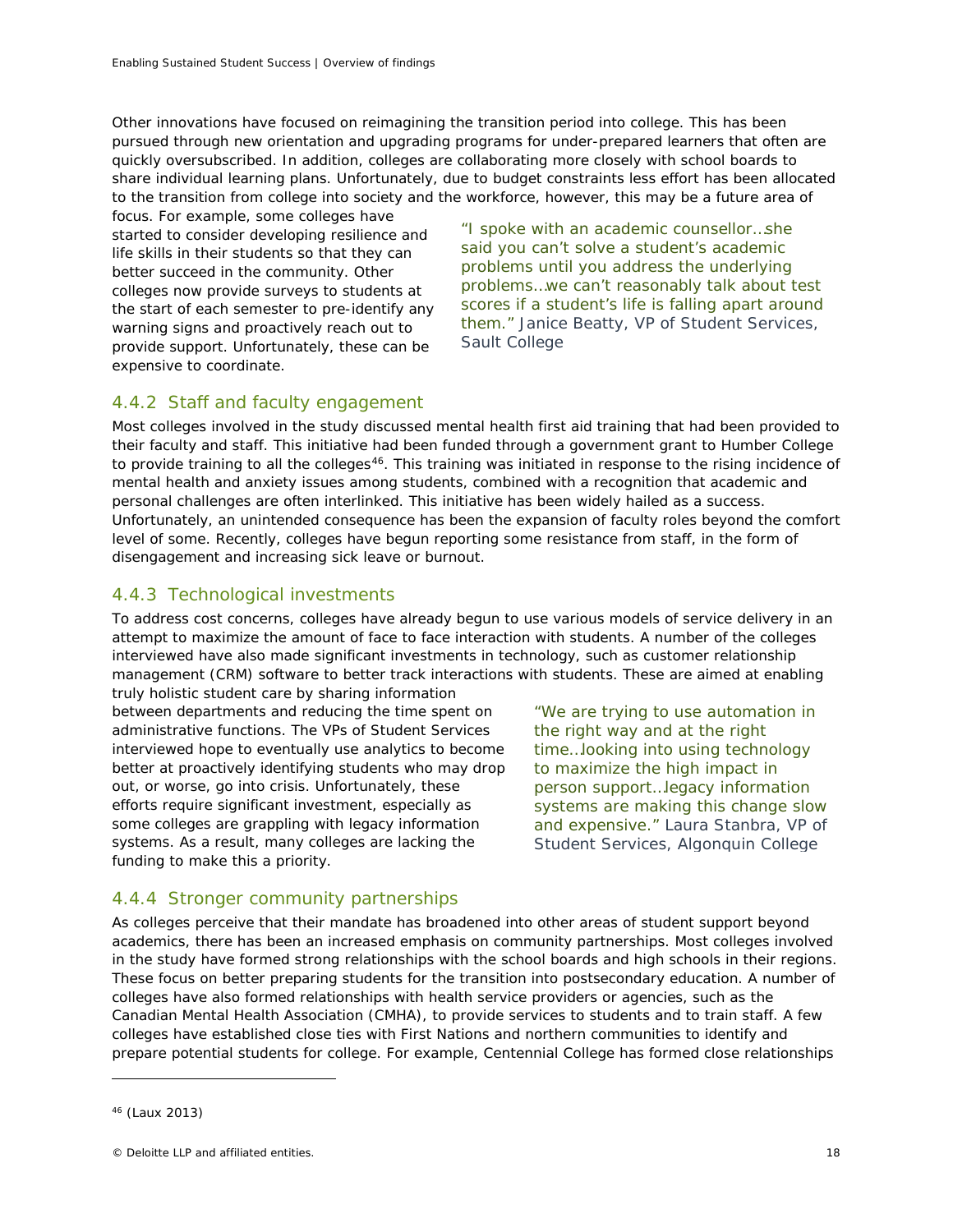Other innovations have focused on reimagining the transition period into college. This has been pursued through new orientation and upgrading programs for under-prepared learners that often are quickly oversubscribed. In addition, colleges are collaborating more closely with school boards to share individual learning plans. Unfortunately, due to budget constraints less effort has been allocated to the transition from college into society and the workforce, however, this may be a future area of

focus. For example, some colleges have started to consider developing resilience and life skills in their students so that they can better succeed in the community. Other colleges now provide surveys to students at the start of each semester to pre-identify any warning signs and proactively reach out to provide support. Unfortunately, these can be expensive to coordinate.

*"I spoke with an academic counsellor…she said you can't solve a student's academic problems until you address the underlying problems…we can't reasonably talk about test scores if a student's life is falling apart around them." Janice Beatty, VP of Student Services, Sault College*

# 4.4.2 Staff and faculty engagement

Most colleges involved in the study discussed mental health first aid training that had been provided to their faculty and staff. This initiative had been funded through a government grant to Humber College to provide training to all the colleges<sup>46</sup>. This training was initiated in response to the rising incidence of mental health and anxiety issues among students, combined with a recognition that academic and personal challenges are often interlinked. This initiative has been widely hailed as a success. Unfortunately, an unintended consequence has been the expansion of faculty roles beyond the comfort level of some. Recently, colleges have begun reporting some resistance from staff, in the form of disengagement and increasing sick leave or burnout.

# 4.4.3 Technological investments

To address cost concerns, colleges have already begun to use various models of service delivery in an attempt to maximize the amount of face to face interaction with students. A number of the colleges interviewed have also made significant investments in technology, such as customer relationship management (CRM) software to better track interactions with students. These are aimed at enabling

truly holistic student care by sharing information between departments and reducing the time spent on administrative functions. The VPs of Student Services interviewed hope to eventually use analytics to become better at proactively identifying students who may drop out, or worse, go into crisis. Unfortunately, these efforts require significant investment, especially as some colleges are grappling with legacy information systems. As a result, many colleges are lacking the funding to make this a priority.

*"We are trying to use automation in the right way and at the right time…looking into using technology to maximize the high impact in person support…legacy information systems are making this change slow and expensive." Laura Stanbra, VP of Student Services, Algonquin College*

## 4.4.4 Stronger community partnerships

As colleges perceive that their mandate has broadened into other areas of student support beyond academics, there has been an increased emphasis on community partnerships. Most colleges involved in the study have formed strong relationships with the school boards and high schools in their regions. These focus on better preparing students for the transition into postsecondary education. A number of colleges have also formed relationships with health service providers or agencies, such as the Canadian Mental Health Association (CMHA), to provide services to students and to train staff. A few colleges have established close ties with First Nations and northern communities to identify and prepare potential students for college. For example, Centennial College has formed close relationships

<span id="page-19-0"></span><sup>46</sup> (Laux 2013)

<sup>©</sup> Deloitte LLP and affiliated entities. 18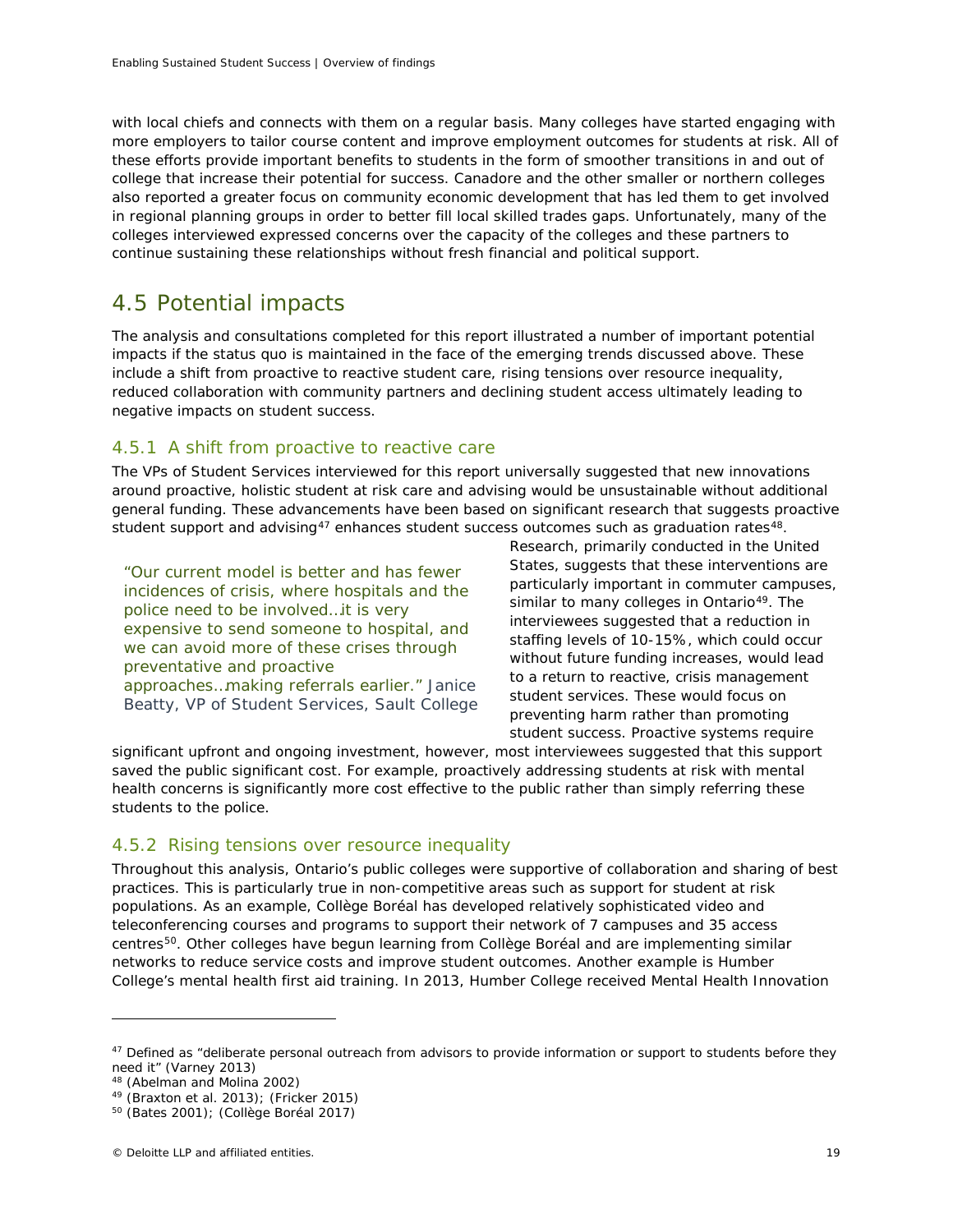with local chiefs and connects with them on a regular basis. Many colleges have started engaging with more employers to tailor course content and improve employment outcomes for students at risk. All of these efforts provide important benefits to students in the form of smoother transitions in and out of college that increase their potential for success. Canadore and the other smaller or northern colleges also reported a greater focus on community economic development that has led them to get involved in regional planning groups in order to better fill local skilled trades gaps. Unfortunately, many of the colleges interviewed expressed concerns over the capacity of the colleges and these partners to continue sustaining these relationships without fresh financial and political support.

# 4.5 Potential impacts

The analysis and consultations completed for this report illustrated a number of important potential impacts if the status quo is maintained in the face of the emerging trends discussed above. These include a shift from proactive to reactive student care, rising tensions over resource inequality, reduced collaboration with community partners and declining student access ultimately leading to negative impacts on student success.

## 4.5.1 A shift from proactive to reactive care

The VPs of Student Services interviewed for this report universally suggested that new innovations around proactive, holistic student at risk care and advising would be unsustainable without additional general funding. These advancements have been based on significant research that suggests proactive student support and advising<sup>47</sup> enhances student success outcomes such as graduation rates<sup>48</sup>.

*"Our current model is better and has fewer incidences of crisis, where hospitals and the police need to be involved…it is very expensive to send someone to hospital, and we can avoid more of these crises through preventative and proactive approaches…making referrals earlier." Janice Beatty, VP of Student Services, Sault College* Research, primarily conducted in the United States, suggests that these interventions are particularly important in commuter campuses, similar to many colleges in Ontario<sup>49</sup>. The interviewees suggested that a reduction in staffing levels of 10-15%, which could occur without future funding increases, would lead to a return to reactive, crisis management student services. These would focus on preventing harm rather than promoting student success. Proactive systems require

significant upfront and ongoing investment, however, most interviewees suggested that this support saved the public significant cost. For example, proactively addressing students at risk with mental health concerns is significantly more cost effective to the public rather than simply referring these students to the police.

## 4.5.2 Rising tensions over resource inequality

Throughout this analysis, Ontario's public colleges were supportive of collaboration and sharing of best practices. This is particularly true in non-competitive areas such as support for student at risk populations. As an example, Collège Boréal has developed relatively sophisticated video and teleconferencing courses and programs to support their network of 7 campuses and 35 access centres<sup>[50](#page-20-3)</sup>. Other colleges have begun learning from Collège Boréal and are implementing similar networks to reduce service costs and improve student outcomes. Another example is Humber College's mental health first aid training. In 2013, Humber College received Mental Health Innovation

<span id="page-20-0"></span><sup>&</sup>lt;sup>47</sup> Defined as "deliberate personal outreach from advisors to provide information or support to students before they need it" (Varney 2013)

<sup>48</sup> (Abelman and Molina 2002)

<span id="page-20-2"></span><span id="page-20-1"></span> $49$  (Braxton et al. 2013); (Fricker 2015)

<span id="page-20-3"></span><sup>50</sup> (Bates 2001); (Collège Boréal 2017)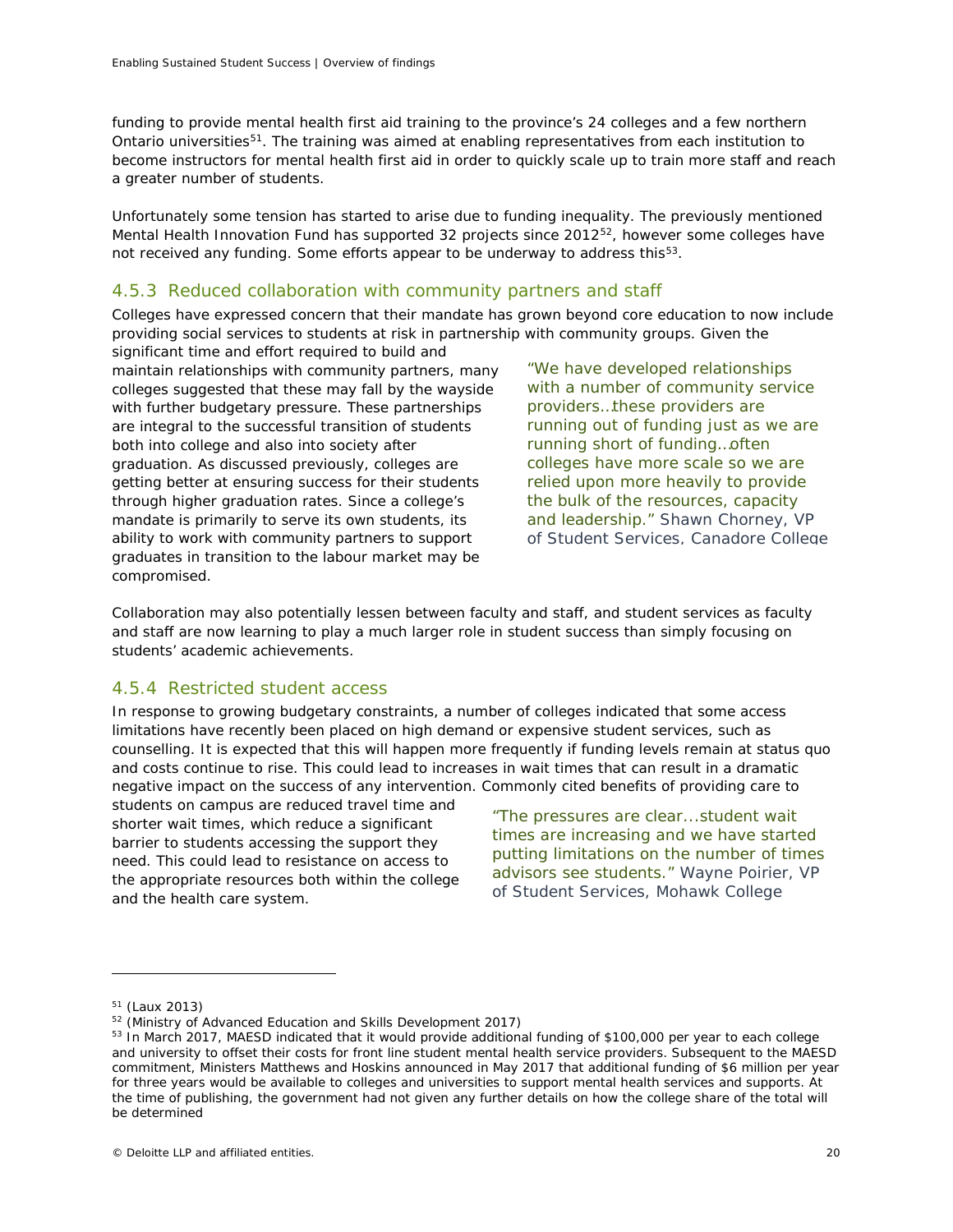funding to provide mental health first aid training to the province's 24 colleges and a few northern Ontario universities<sup>[51](#page-21-1)</sup>. The training was aimed at enabling representatives from each institution to become instructors for mental health first aid in order to quickly scale up to train more staff and reach a greater number of students.

Unfortunately some tension has started to arise due to funding inequality. The previously mentioned Mental Health Innovation Fund has supported 32 projects since 2012<sup>[52](#page-21-2)</sup>, however some colleges have not received any funding. Some efforts appear to be underway to address this<sup>53</sup>.

## 4.5.3 Reduced collaboration with community partners and staff

Colleges have expressed concern that their mandate has grown beyond core education to now include providing social services to students at risk in partnership with community groups. Given the

significant time and effort required to build and maintain relationships with community partners, many colleges suggested that these may fall by the wayside with further budgetary pressure. These partnerships are integral to the successful transition of students both into college and also into society after graduation. As discussed previously, colleges are getting better at ensuring success for their students through higher graduation rates. Since a college's mandate is primarily to serve its own students, its ability to work with community partners to support graduates in transition to the labour market may be compromised.

*"We have developed relationships with a number of community service providers…these providers are running out of funding just as we are running short of funding…often colleges have more scale so we are relied upon more heavily to provide the bulk of the resources, capacity and leadership." Shawn Chorney, VP of Student Services, Canadore College*

Collaboration may also potentially lessen between faculty and staff, and student services as faculty and staff are now learning to play a much larger role in student success than simply focusing on students' academic achievements.

## 4.5.4 Restricted student access

In response to growing budgetary constraints, a number of colleges indicated that some access limitations have recently been placed on high demand or expensive student services, such as counselling. It is expected that this will happen more frequently if funding levels remain at status quo and costs continue to rise. This could lead to increases in wait times that can result in a dramatic negative impact on the success of any intervention. Commonly cited benefits of providing care to

students on campus are reduced travel time and shorter wait times, which reduce a significant barrier to students accessing the support they need. This could lead to resistance on access to the appropriate resources both within the college and the health care system.

<span id="page-21-0"></span>*"The pressures are clear...student wait times are increasing and we have started putting limitations on the number of times advisors see students." Wayne Poirier, VP of Student Services, Mohawk College*

<span id="page-21-1"></span><sup>51</sup> (Laux 2013)

<span id="page-21-2"></span><sup>&</sup>lt;sup>52</sup> (Ministry of Advanced Education and Skills Development 2017)

<span id="page-21-3"></span><sup>53</sup> In March 2017, MAESD indicated that it would provide additional funding of \$100,000 per year to each college and university to offset their costs for front line student mental health service providers. Subsequent to the MAESD commitment, Ministers Matthews and Hoskins announced in May 2017 that additional funding of \$6 million per year for three years would be available to colleges and universities to support mental health services and supports. At the time of publishing, the government had not given any further details on how the college share of the total will be determined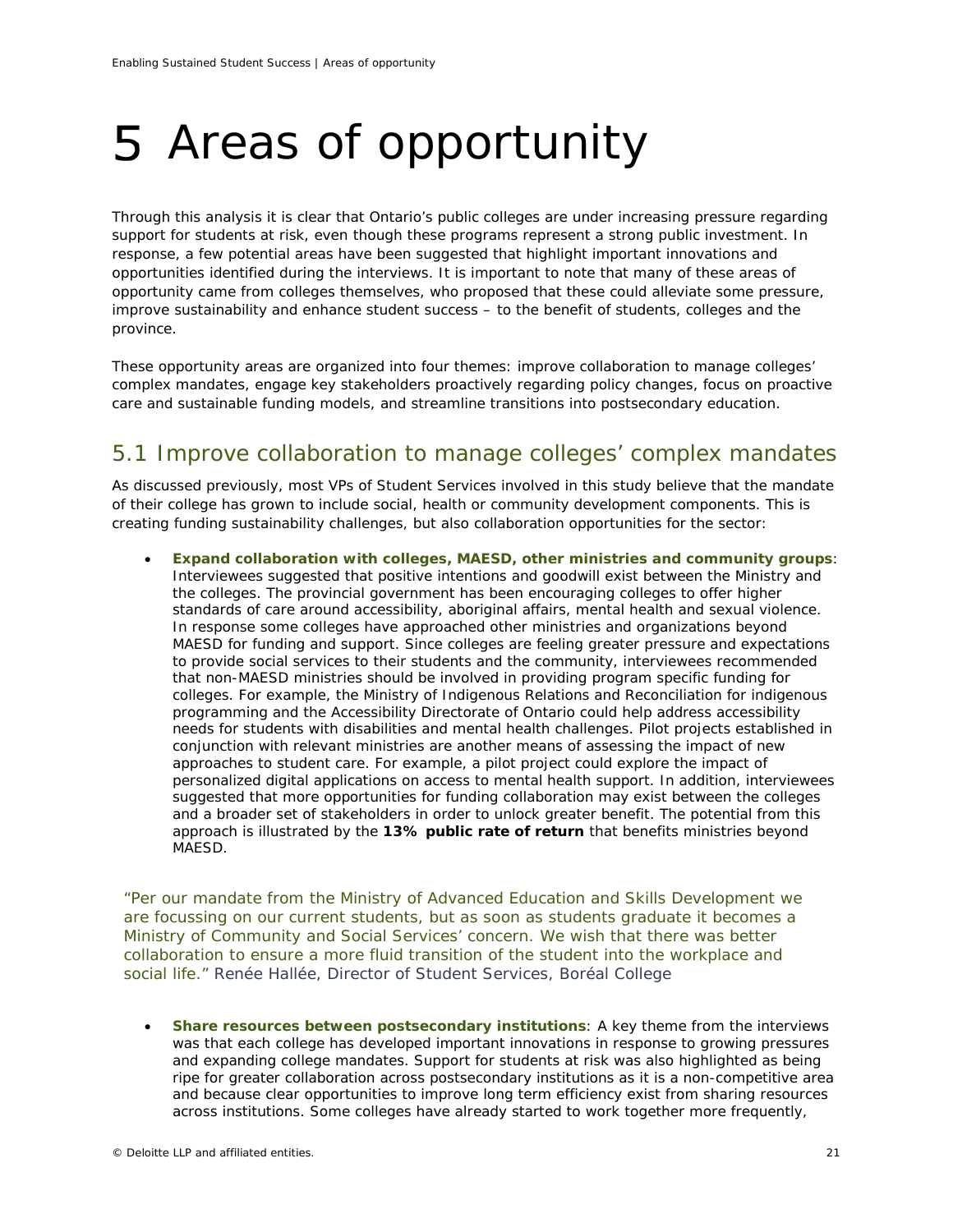# Areas of opportunity

Through this analysis it is clear that Ontario's public colleges are under increasing pressure regarding support for students at risk, even though these programs represent a strong public investment. In response, a few potential areas have been suggested that highlight important innovations and opportunities identified during the interviews. It is important to note that many of these areas of opportunity came from colleges themselves, who proposed that these could alleviate some pressure, improve sustainability and enhance student success – to the benefit of students, colleges and the province.

These opportunity areas are organized into four themes: improve collaboration to manage colleges' complex mandates, engage key stakeholders proactively regarding policy changes, focus on proactive care and sustainable funding models, and streamline transitions into postsecondary education.

# 5.1 Improve collaboration to manage colleges' complex mandates

As discussed previously, most VPs of Student Services involved in this study believe that the mandate of their college has grown to include social, health or community development components. This is creating funding sustainability challenges, but also collaboration opportunities for the sector:

• **Expand collaboration with colleges, MAESD, other ministries and community groups**: Interviewees suggested that positive intentions and goodwill exist between the Ministry and the colleges. The provincial government has been encouraging colleges to offer higher standards of care around accessibility, aboriginal affairs, mental health and sexual violence. In response some colleges have approached other ministries and organizations beyond MAESD for funding and support. Since colleges are feeling greater pressure and expectations to provide social services to their students and the community, interviewees recommended that non-MAESD ministries should be involved in providing program specific funding for colleges. For example, the Ministry of Indigenous Relations and Reconciliation for indigenous programming and the Accessibility Directorate of Ontario could help address accessibility needs for students with disabilities and mental health challenges. Pilot projects established in conjunction with relevant ministries are another means of assessing the impact of new approaches to student care. For example, a pilot project could explore the impact of personalized digital applications on access to mental health support. In addition, interviewees suggested that more opportunities for funding collaboration may exist between the colleges and a broader set of stakeholders in order to unlock greater benefit. The potential from this approach is illustrated by the **13% public rate of return** that benefits ministries beyond MAESD.

*"Per our mandate from the Ministry of Advanced Education and Skills Development we are focussing on our current students, but as soon as students graduate it becomes a Ministry of Community and Social Services' concern. We wish that there was better collaboration to ensure a more fluid transition of the student into the workplace and social life." Renée Hallée, Director of Student Services, Boréal College*

• **Share resources between postsecondary institutions**: A key theme from the interviews was that each college has developed important innovations in response to growing pressures and expanding college mandates. Support for students at risk was also highlighted as being ripe for greater collaboration across postsecondary institutions as it is a non-competitive area and because clear opportunities to improve long term efficiency exist from sharing resources across institutions. Some colleges have already started to work together more frequently,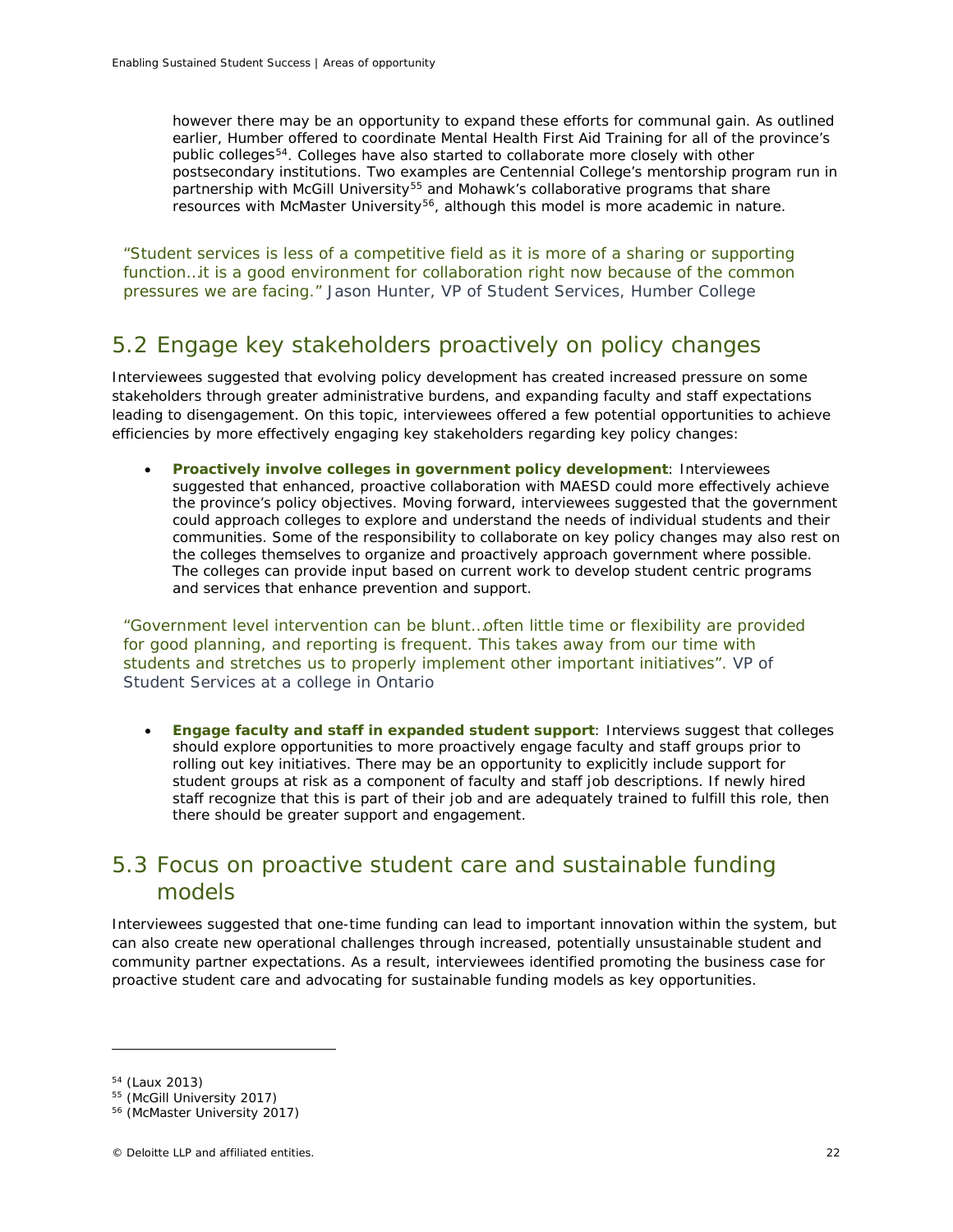however there may be an opportunity to expand these efforts for communal gain. As outlined earlier, Humber offered to coordinate Mental Health First Aid Training for all of the province's public colleges[54.](#page-23-0) Colleges have also started to collaborate more closely with other postsecondary institutions. Two examples are Centennial College's mentorship program run in partnership with McGill University<sup>[55](#page-23-1)</sup> and Mohawk's collaborative programs that share resources with McMaster University<sup>[56](#page-23-2)</sup>, although this model is more academic in nature.

*"Student services is less of a competitive field as it is more of a sharing or supporting function…it is a good environment for collaboration right now because of the common pressures we are facing." Jason Hunter, VP of Student Services, Humber College*

# 5.2 Engage key stakeholders proactively on policy changes

Interviewees suggested that evolving policy development has created increased pressure on some stakeholders through greater administrative burdens, and expanding faculty and staff expectations leading to disengagement. On this topic, interviewees offered a few potential opportunities to achieve efficiencies by more effectively engaging key stakeholders regarding key policy changes:

• **Proactively involve colleges in government policy development**: Interviewees suggested that enhanced, proactive collaboration with MAESD could more effectively achieve the province's policy objectives. Moving forward, interviewees suggested that the government could approach colleges to explore and understand the needs of individual students and their communities. Some of the responsibility to collaborate on key policy changes may also rest on the colleges themselves to organize and proactively approach government where possible. The colleges can provide input based on current work to develop student centric programs and services that enhance prevention and support.

*"Government level intervention can be blunt…often little time or flexibility are provided for good planning, and reporting is frequent. This takes away from our time with students and stretches us to properly implement other important initiatives". VP of Student Services at a college in Ontario*

• **Engage faculty and staff in expanded student support**: Interviews suggest that colleges should explore opportunities to more proactively engage faculty and staff groups prior to rolling out key initiatives. There may be an opportunity to explicitly include support for student groups at risk as a component of faculty and staff job descriptions. If newly hired staff recognize that this is part of their job and are adequately trained to fulfill this role, then there should be greater support and engagement.

# 5.3 Focus on proactive student care and sustainable funding models

Interviewees suggested that one-time funding can lead to important innovation within the system, but can also create new operational challenges through increased, potentially unsustainable student and community partner expectations. As a result, interviewees identified promoting the business case for proactive student care and advocating for sustainable funding models as key opportunities.

<span id="page-23-0"></span><sup>54</sup> (Laux 2013)

<sup>55</sup> (McGill University 2017)

<span id="page-23-2"></span><span id="page-23-1"></span><sup>56</sup> (McMaster University 2017)

<sup>©</sup> Deloitte LLP and affiliated entities. 22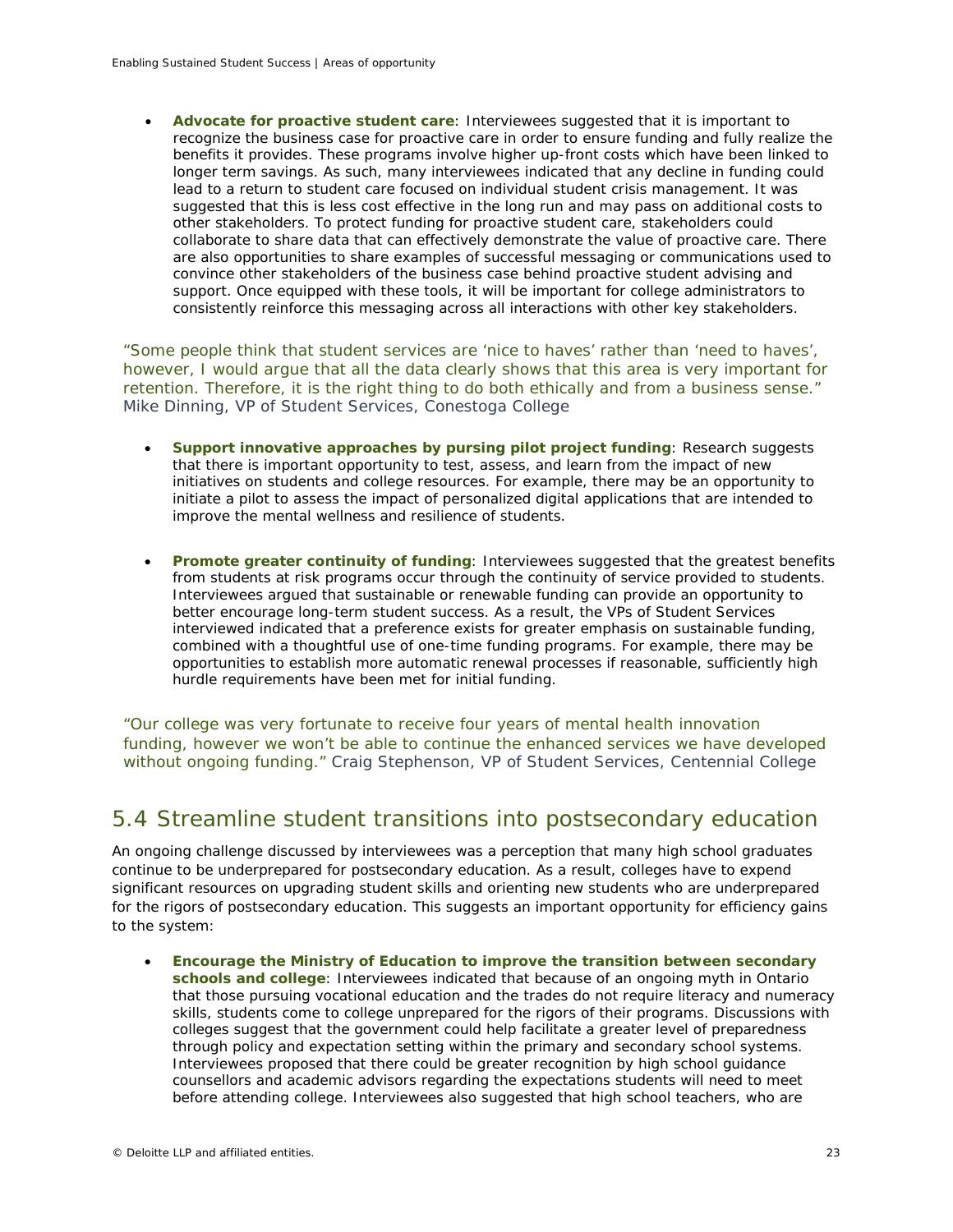• **Advocate for proactive student care**: Interviewees suggested that it is important to recognize the business case for proactive care in order to ensure funding and fully realize the benefits it provides. These programs involve higher up-front costs which have been linked to longer term savings. As such, many interviewees indicated that any decline in funding could lead to a return to student care focused on individual student crisis management. It was suggested that this is less cost effective in the long run and may pass on additional costs to other stakeholders. To protect funding for proactive student care, stakeholders could collaborate to share data that can effectively demonstrate the value of proactive care. There are also opportunities to share examples of successful messaging or communications used to convince other stakeholders of the business case behind proactive student advising and support. Once equipped with these tools, it will be important for college administrators to consistently reinforce this messaging across all interactions with other key stakeholders.

*"Some people think that student services are 'nice to haves' rather than 'need to haves', however, I would argue that all the data clearly shows that this area is very important for retention. Therefore, it is the right thing to do both ethically and from a business sense." Mike Dinning, VP of Student Services, Conestoga College*

- **Support innovative approaches by pursing pilot project funding**: Research suggests that there is important opportunity to test, assess, and learn from the impact of new initiatives on students and college resources. For example, there may be an opportunity to initiate a pilot to assess the impact of personalized digital applications that are intended to improve the mental wellness and resilience of students.
- **Promote greater continuity of funding**: Interviewees suggested that the greatest benefits from students at risk programs occur through the continuity of service provided to students. Interviewees argued that sustainable or renewable funding can provide an opportunity to better encourage long-term student success. As a result, the VPs of Student Services interviewed indicated that a preference exists for greater emphasis on sustainable funding, combined with a thoughtful use of one-time funding programs. For example, there may be opportunities to establish more automatic renewal processes if reasonable, sufficiently high hurdle requirements have been met for initial funding.

*"Our college was very fortunate to receive four years of mental health innovation funding, however we won't be able to continue the enhanced services we have developed without ongoing funding." Craig Stephenson, VP of Student Services, Centennial College*

# 5.4 Streamline student transitions into postsecondary education

An ongoing challenge discussed by interviewees was a perception that many high school graduates continue to be underprepared for postsecondary education. As a result, colleges have to expend significant resources on upgrading student skills and orienting new students who are underprepared for the rigors of postsecondary education. This suggests an important opportunity for efficiency gains to the system:

• **Encourage the Ministry of Education to improve the transition between secondary schools and college**: Interviewees indicated that because of an ongoing myth in Ontario that those pursuing vocational education and the trades do not require literacy and numeracy skills, students come to college unprepared for the rigors of their programs. Discussions with colleges suggest that the government could help facilitate a greater level of preparedness through policy and expectation setting within the primary and secondary school systems. Interviewees proposed that there could be greater recognition by high school guidance counsellors and academic advisors regarding the expectations students will need to meet before attending college. Interviewees also suggested that high school teachers, who are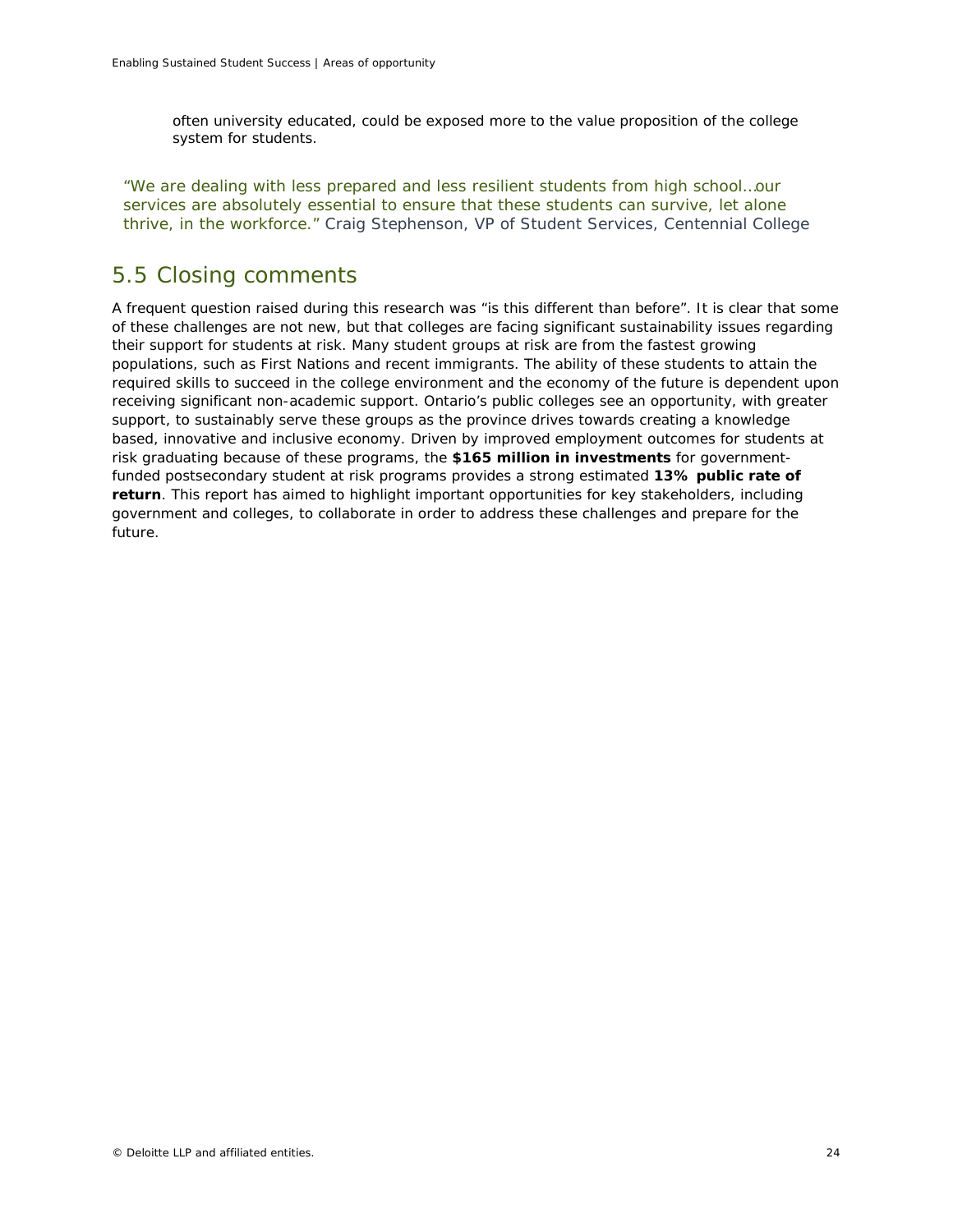often university educated, could be exposed more to the value proposition of the college system for students.

*"We are dealing with less prepared and less resilient students from high school…our services are absolutely essential to ensure that these students can survive, let alone thrive, in the workforce." Craig Stephenson, VP of Student Services, Centennial College*

# 5.5 Closing comments

A frequent question raised during this research was "is this different than before". It is clear that some of these challenges are not new, but that colleges are facing significant sustainability issues regarding their support for students at risk. Many student groups at risk are from the fastest growing populations, such as First Nations and recent immigrants. The ability of these students to attain the required skills to succeed in the college environment and the economy of the future is dependent upon receiving significant non-academic support. Ontario's public colleges see an opportunity, with greater support, to sustainably serve these groups as the province drives towards creating a knowledge based, innovative and inclusive economy. Driven by improved employment outcomes for students at risk graduating because of these programs, the **\$165 million in investments** for governmentfunded postsecondary student at risk programs provides a strong estimated **13% public rate of return**. This report has aimed to highlight important opportunities for key stakeholders, including government and colleges, to collaborate in order to address these challenges and prepare for the future.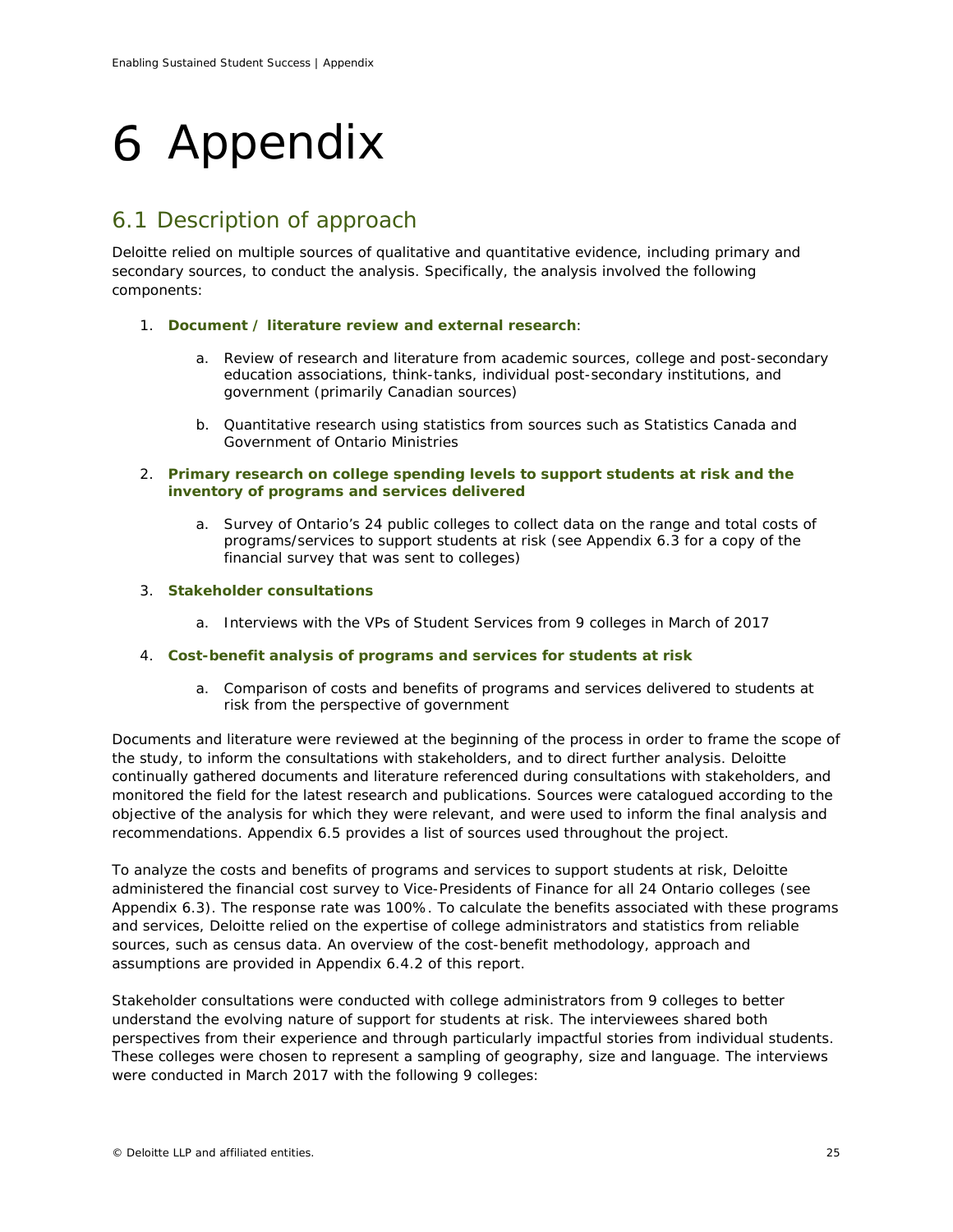# <span id="page-26-0"></span>Appendix

# 6.1 Description of approach

Deloitte relied on multiple sources of qualitative and quantitative evidence, including primary and secondary sources, to conduct the analysis. Specifically, the analysis involved the following components:

- 1. **Document / literature review and external research**:
	- a. Review of research and literature from academic sources, college and post-secondary education associations, think-tanks, individual post-secondary institutions, and government (primarily Canadian sources)
	- b. Quantitative research using statistics from sources such as Statistics Canada and Government of Ontario Ministries
- 2. **Primary research on college spending levels to support students at risk and the inventory of programs and services delivered**
	- a. Survey of Ontario's 24 public colleges to collect data on the range and total costs of programs/services to support students at risk (see Appendix 6.3 for a copy of the financial survey that was sent to colleges)

## 3. **Stakeholder consultations**

a. Interviews with the VPs of Student Services from 9 colleges in March of 2017

### 4. **Cost-benefit analysis of programs and services for students at risk**

a. Comparison of costs and benefits of programs and services delivered to students at risk from the perspective of government

Documents and literature were reviewed at the beginning of the process in order to frame the scope of the study, to inform the consultations with stakeholders, and to direct further analysis. Deloitte continually gathered documents and literature referenced during consultations with stakeholders, and monitored the field for the latest research and publications. Sources were catalogued according to the objective of the analysis for which they were relevant, and were used to inform the final analysis and recommendations. Appendix 6.5 provides a list of sources used throughout the project.

To analyze the costs and benefits of programs and services to support students at risk, Deloitte administered the financial cost survey to Vice-Presidents of Finance for all 24 Ontario colleges (see Appendix 6.3). The response rate was 100%. To calculate the benefits associated with these programs and services, Deloitte relied on the expertise of college administrators and statistics from reliable sources, such as census data. An overview of the cost-benefit methodology, approach and assumptions are provided in Appendix 6.4.2 of this report.

Stakeholder consultations were conducted with college administrators from 9 colleges to better understand the evolving nature of support for students at risk. The interviewees shared both perspectives from their experience and through particularly impactful stories from individual students. These colleges were chosen to represent a sampling of geography, size and language. The interviews were conducted in March 2017 with the following 9 colleges: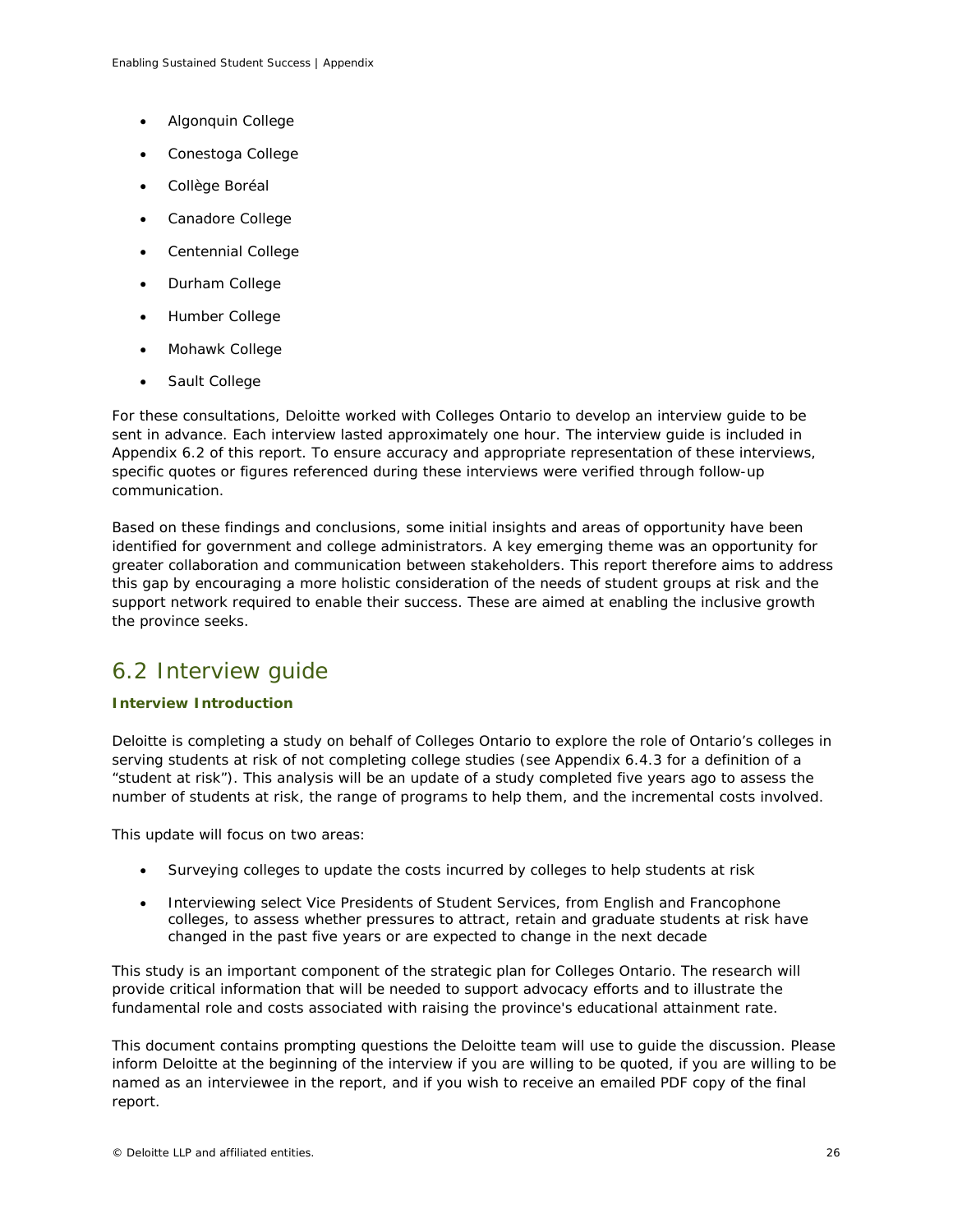- Algonquin College
- Conestoga College
- Collège Boréal
- Canadore College
- Centennial College
- Durham College
- Humber College
- Mohawk College
- Sault College

For these consultations, Deloitte worked with Colleges Ontario to develop an interview guide to be sent in advance. Each interview lasted approximately one hour. The interview guide is included in Appendix 6.2 of this report. To ensure accuracy and appropriate representation of these interviews, specific quotes or figures referenced during these interviews were verified through follow-up communication.

Based on these findings and conclusions, some initial insights and areas of opportunity have been identified for government and college administrators. A key emerging theme was an opportunity for greater collaboration and communication between stakeholders. This report therefore aims to address this gap by encouraging a more holistic consideration of the needs of student groups at risk and the support network required to enable their success. These are aimed at enabling the inclusive growth the province seeks.

# 6.2 Interview guide

### **Interview Introduction**

Deloitte is completing a study on behalf of Colleges Ontario to explore the role of Ontario's colleges in serving students at risk of not completing college studies (see Appendix 6.4.3 for a definition of a "student at risk"). This analysis will be an update of a study completed five years ago to assess the number of students at risk, the range of programs to help them, and the incremental costs involved.

This update will focus on two areas:

- Surveying colleges to update the costs incurred by colleges to help students at risk
- Interviewing select Vice Presidents of Student Services, from English and Francophone colleges, to assess whether pressures to attract, retain and graduate students at risk have changed in the past five years or are expected to change in the next decade

This study is an important component of the strategic plan for Colleges Ontario. The research will provide critical information that will be needed to support advocacy efforts and to illustrate the fundamental role and costs associated with raising the province's educational attainment rate.

This document contains prompting questions the Deloitte team will use to guide the discussion. Please inform Deloitte at the beginning of the interview if you are willing to be quoted, if you are willing to be named as an interviewee in the report, and if you wish to receive an emailed PDF copy of the final report.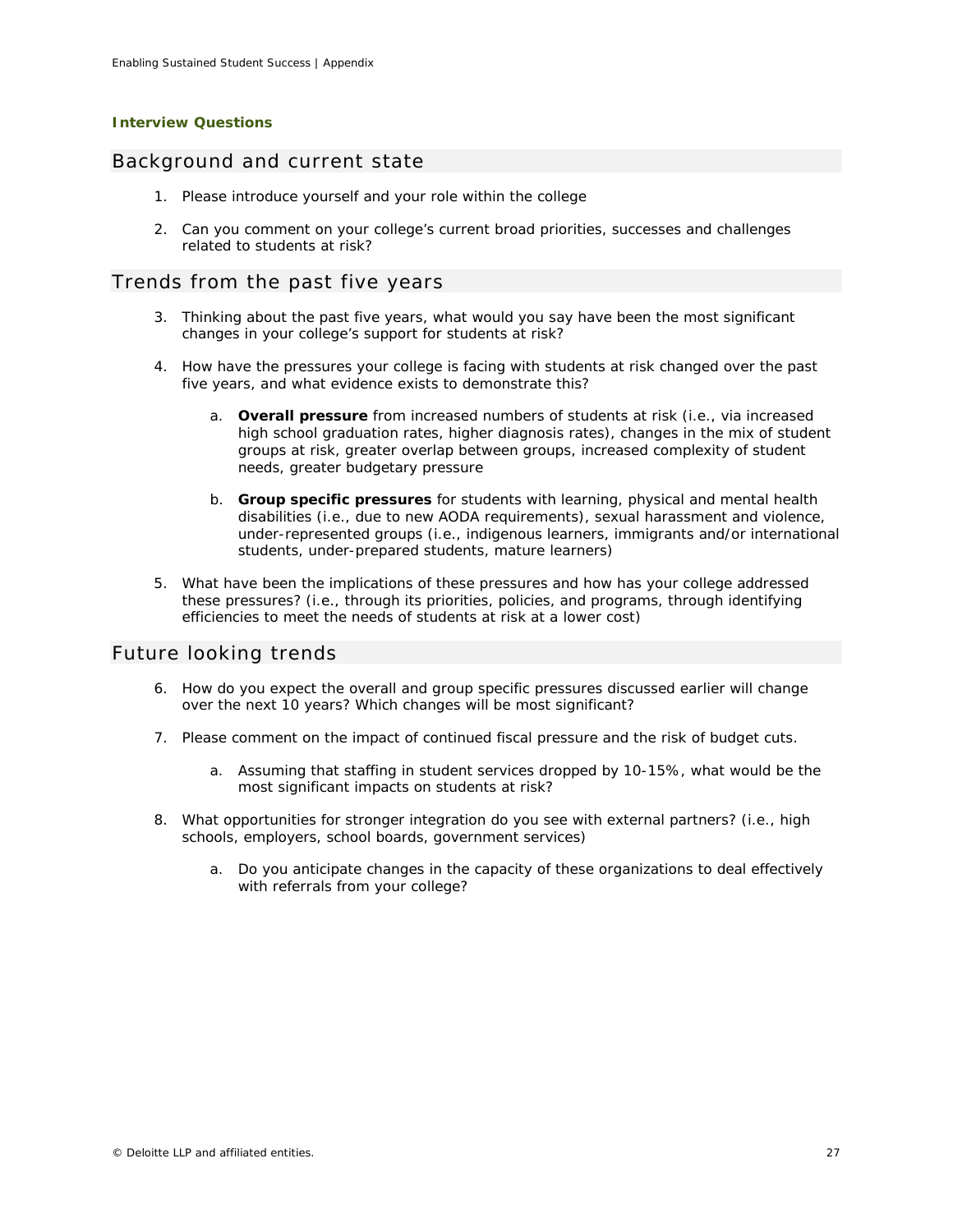### **Interview Questions**

## *Background and current state*

- 1. Please introduce yourself and your role within the college
- 2. Can you comment on your college's current broad priorities, successes and challenges related to students at risk?

## *Trends from the past five years*

- 3. Thinking about the past five years, what would you say have been the most significant changes in your college's support for students at risk?
- 4. How have the pressures your college is facing with students at risk changed over the past five years, and what evidence exists to demonstrate this?
	- a. **Overall pressure** from increased numbers of students at risk (i.e., via increased high school graduation rates, higher diagnosis rates), changes in the mix of student groups at risk, greater overlap between groups, increased complexity of student needs, greater budgetary pressure
	- b. **Group specific pressures** for students with learning, physical and mental health disabilities (i.e., due to new AODA requirements), sexual harassment and violence, under-represented groups (i.e., indigenous learners, immigrants and/or international students, under-prepared students, mature learners)
- 5. What have been the implications of these pressures and how has your college addressed these pressures? (i.e., through its priorities, policies, and programs, through identifying efficiencies to meet the needs of students at risk at a lower cost)

### *Future looking trends*

- 6. How do you expect the overall and group specific pressures discussed earlier will change over the next 10 years? Which changes will be most significant?
- 7. Please comment on the impact of continued fiscal pressure and the risk of budget cuts.
	- a. Assuming that staffing in student services dropped by 10-15%, what would be the most significant impacts on students at risk?
- 8. What opportunities for stronger integration do you see with external partners? (i.e., high schools, employers, school boards, government services)
	- a. Do you anticipate changes in the capacity of these organizations to deal effectively with referrals from your college?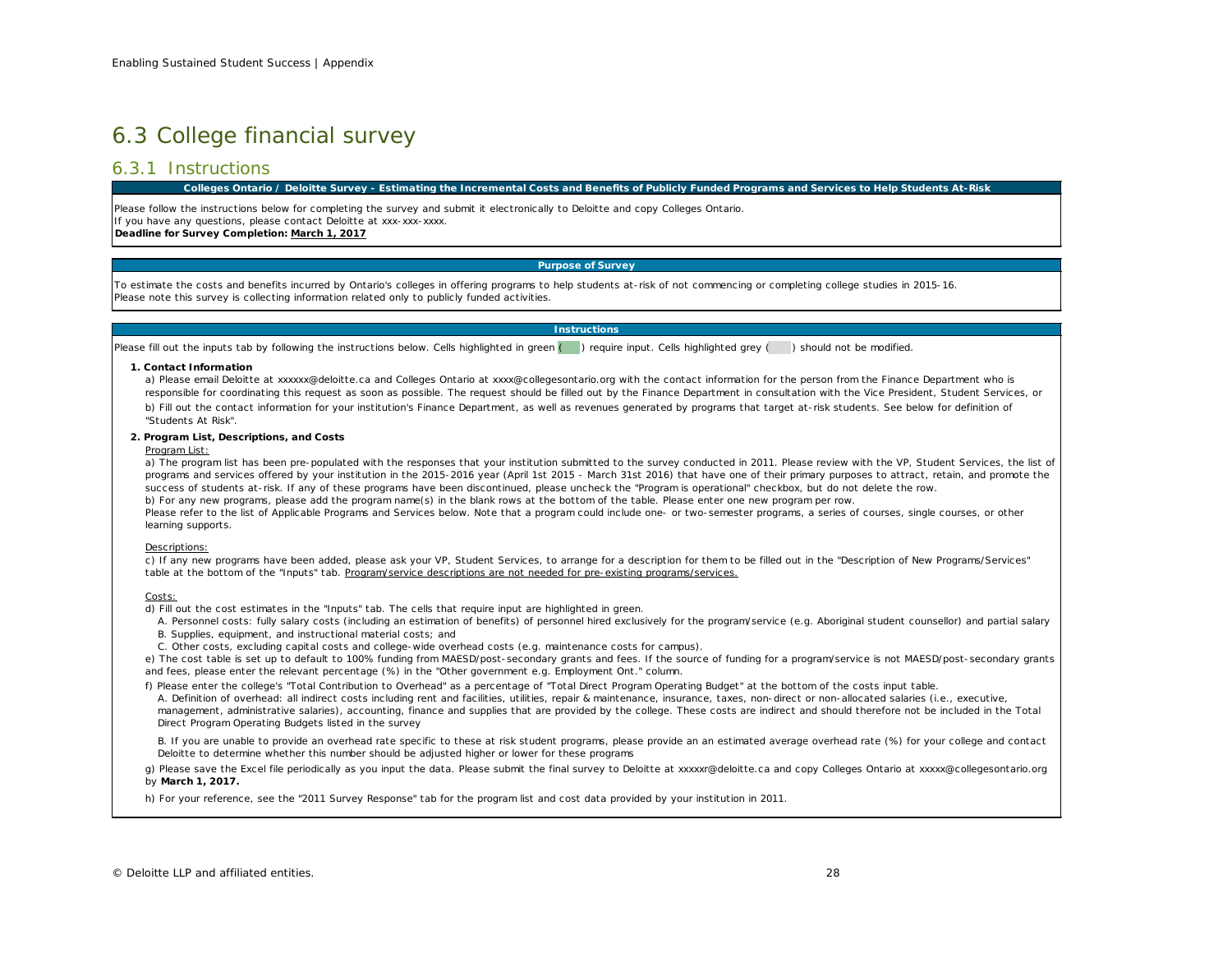# 6.3 College financial survey

## 6.3.1 Instructions

#### **Colleges Ontario / Deloitte Survey - Estimating the Incremental Costs and Benefits of Publicly Funded Programs and Services to Help Students At-Risk**

Please follow the instructions below for completing the survey and submit it electronically to Deloitte and copy Colleges Ontario. If you have any questions, please contact Deloitte at xxx-xxx-xxxx. **Deadline for Survey Completion: March 1, 2017**

#### **Purpose of Survey**

To estimate the costs and benefits incurred by Ontario's colleges in offering programs to help students at-risk of not commencing or completing college studies in 2015-16. Please note this survey is collecting information related only to publicly funded activities.

## **Instructions**

Please fill out the inputs tab by following the instructions below. Cells highlighted in green () require input. Cells highlighted grey () should not be modified.

#### **1. Contact Information**

a) Please email Deloitte at xxxxxx@deloitte.ca and Colleges Ontario at xxxx@collegesontario.org with the contact information for the person from the Finance Department who is responsible for coordinating this request as soon as possible. The request should be filled out by the Finance Department in consultation with the Vice President, Student Services, or

b) Fill out the contact information for your institution's Finance Department, as well as revenues generated by programs that target at-risk students. See below for definition of "Students At Risk".

#### **2. Program List, Descriptions, and Costs**

#### Program List:

a) The program list has been pre-populated with the responses that your institution submitted to the survey conducted in 2011. Please review with the VP, Student Services, the list of programs and services offered by your institution in the 2015-2016 year (April 1st 2015 - March 31st 2016) that have one of their primary purposes to attract, retain, and promote the success of students at-risk. If any of these programs have been discontinued, please uncheck the "Program is operational" checkbox, but do not delete the row. b) For any new programs, please add the program name(s) in the blank rows at the bottom of the table. Please enter one new program per row. Please refer to the list of Applicable Programs and Services below. Note that a program could include one- or two-semester programs, a series of courses, single courses, or other learning supports.

#### Descriptions:

c) If any new programs have been added, please ask your VP, Student Services, to arrange for a description for them to be filled out in the "Description of New Programs/Services" table at the bottom of the "Inputs" tab. Program/service descriptions are not needed for pre-existing programs/services.

#### Costs:

d) Fill out the cost estimates in the "Inputs" tab. The cells that require input are highlighted in green.

A. Personnel costs: fully salary costs (including an estimation of benefits) of personnel hired exclusively for the program/service (e.g. Aboriginal student counsellor) and partial salary B. Supplies, equipment, and instructional material costs; and

C. Other costs, excluding capital costs and college-wide overhead costs (e.g. maintenance costs for campus).

e) The cost table is set up to default to 100% funding from MAESD/post-secondary grants and fees. If the source of funding for a program/service is not MAESD/post-secondary grants and fees, please enter the relevant percentage (%) in the "Other government e.g. Employment Ont." column.

f) Please enter the college's "Total Contribution to Overhead" as a percentage of "Total Direct Program Operating Budget" at the bottom of the costs input table.

A. Definition of overhead: all indirect costs including rent and facilities, utilities, repair & maintenance, insurance, taxes, non-direct or non-allocated salaries (i.e., executive, management, administrative salaries), accounting, finance and supplies that are provided by the college. These costs are indirect and should therefore not be included in the Total Direct Program Operating Budgets listed in the survey

B. If you are unable to provide an overhead rate specific to these at risk student programs, please provide an an estimated average overhead rate (%) for your college and contact Deloitte to determine whether this number should be adjusted higher or lower for these programs

g) Please save the Excel file periodically as you input the data. Please submit the final survey to Deloitte at xxxxxr@deloitte.ca and copy Colleges Ontario at xxxxx@collegesontario.org by **March 1, 2017.**

h) For your reference, see the "2011 Survey Response" tab for the program list and cost data provided by your institution in 2011.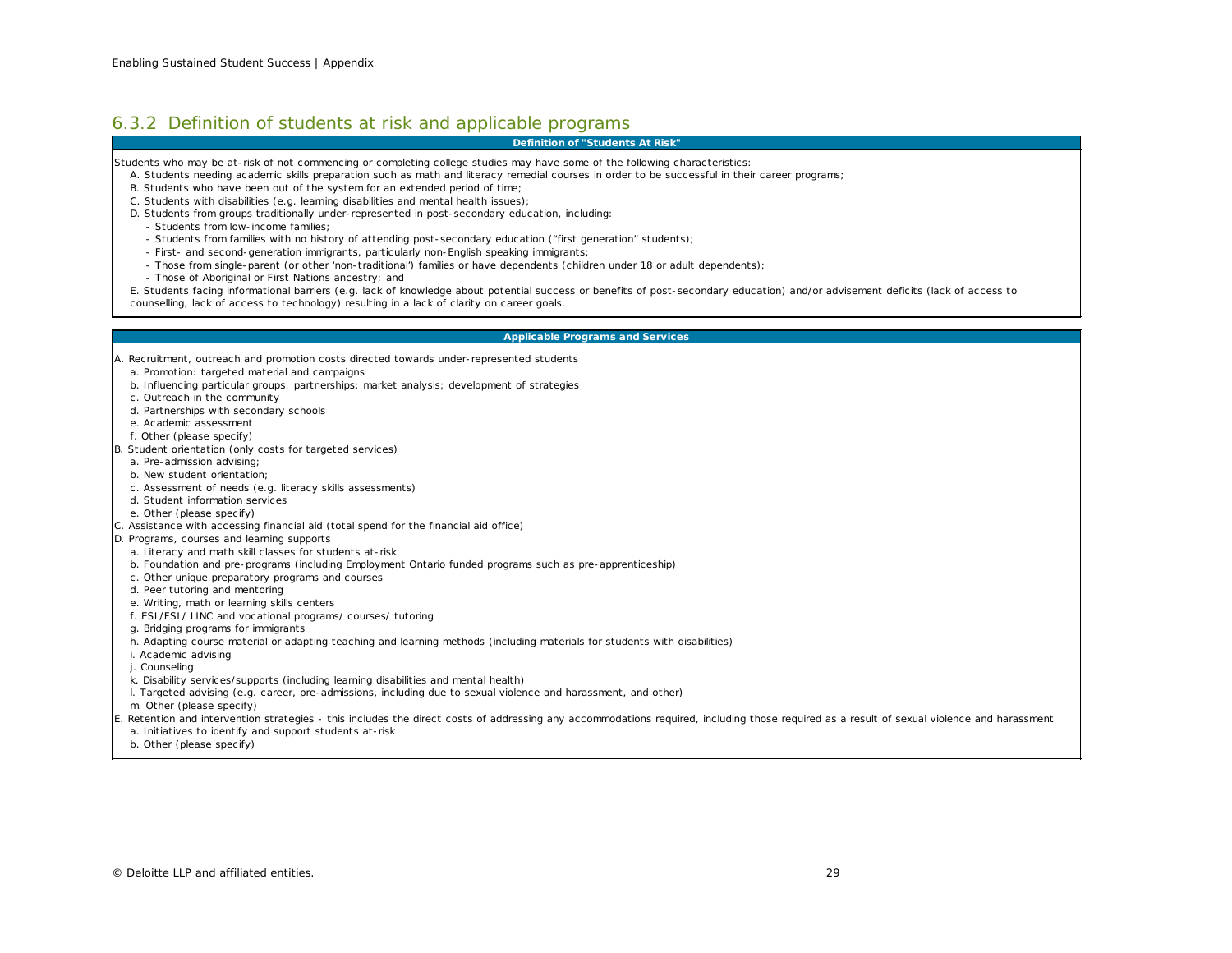## 6.3.2 Definition of students at risk and applicable programs

#### **Definition of "Students At Risk"**

Students who may be at-risk of not commencing or completing college studies may have some of the following characteristics:

- A. Students needing academic skills preparation such as math and literacy remedial courses in order to be successful in their career programs;
- B. Students who have been out of the system for an extended period of time;
- C. Students with disabilities (e.g. learning disabilities and mental health issues);
- D. Students from groups traditionally under-represented in post-secondary education, including:
	- Students from low-income families;
	- Students from families with no history of attending post-secondary education ("first generation" students);
	- First- and second-generation immigrants, particularly non-English speaking immigrants;
	- Those from single-parent (or other 'non-traditional') families or have dependents (children under 18 or adult dependents);
	- Those of Aboriginal or First Nations ancestry; and

E. Students facing informational barriers (e.g. lack of knowledge about potential success or benefits of post-secondary education) and/or advisement deficits (lack of access to counselling, lack of access to technology) resulting in a lack of clarity on career goals.

#### **Applicable Programs and Services**

- A. Recruitment, outreach and promotion costs directed towards under-represented students
- a. Promotion: targeted material and campaigns
- b. Influencing particular groups: partnerships; market analysis; development of strategies
- c. Outreach in the community
- d. Partnerships with secondary schools
- e. Academic assessment
- f. Other (please specify)
- B. Student orientation (only costs for targeted services)
	- a. Pre-admission advising;
	- b. New student orientation;
	- c . Assessment of needs (e.g. literacy skills assessments)
	- d. Student information services
- e. Other (please specify)
- C. Assistance with accessing financial aid (total spend for the financial aid office)
- D. Programs, courses and learning supports
- a. Literacy and math skill classes for students at-risk
- b. Foundation and pre-programs (including Employment Ontario funded programs such as pre-apprenticeship)
- c. Other unique preparatory programs and courses
- d. Peer tutoring and mentoring
- e. Writing, math or learning skills centers
- f. ESL/FSL/ LINC and vocational programs/ courses/ tutoring
- g. Bridging programs for immigrants
- h. Adapting course material or adapting teaching and learning methods (including materials for students with disabilities)
- i. Academic advising
- j. Counseling
- k. Disability services/supports (including learning disabilities and mental health)
- l. Targeted advising (e.g. career, pre-admissions, including due to sexual violence and harassment, and other)

m. Other (please specify)

- E. Retention and intervention strategies this includes the direct costs of addressing any accommodations required, including those required as a result of sexual violence and harassment
- a. Initiatives to identify and support students at-risk
- b. Other (please specify)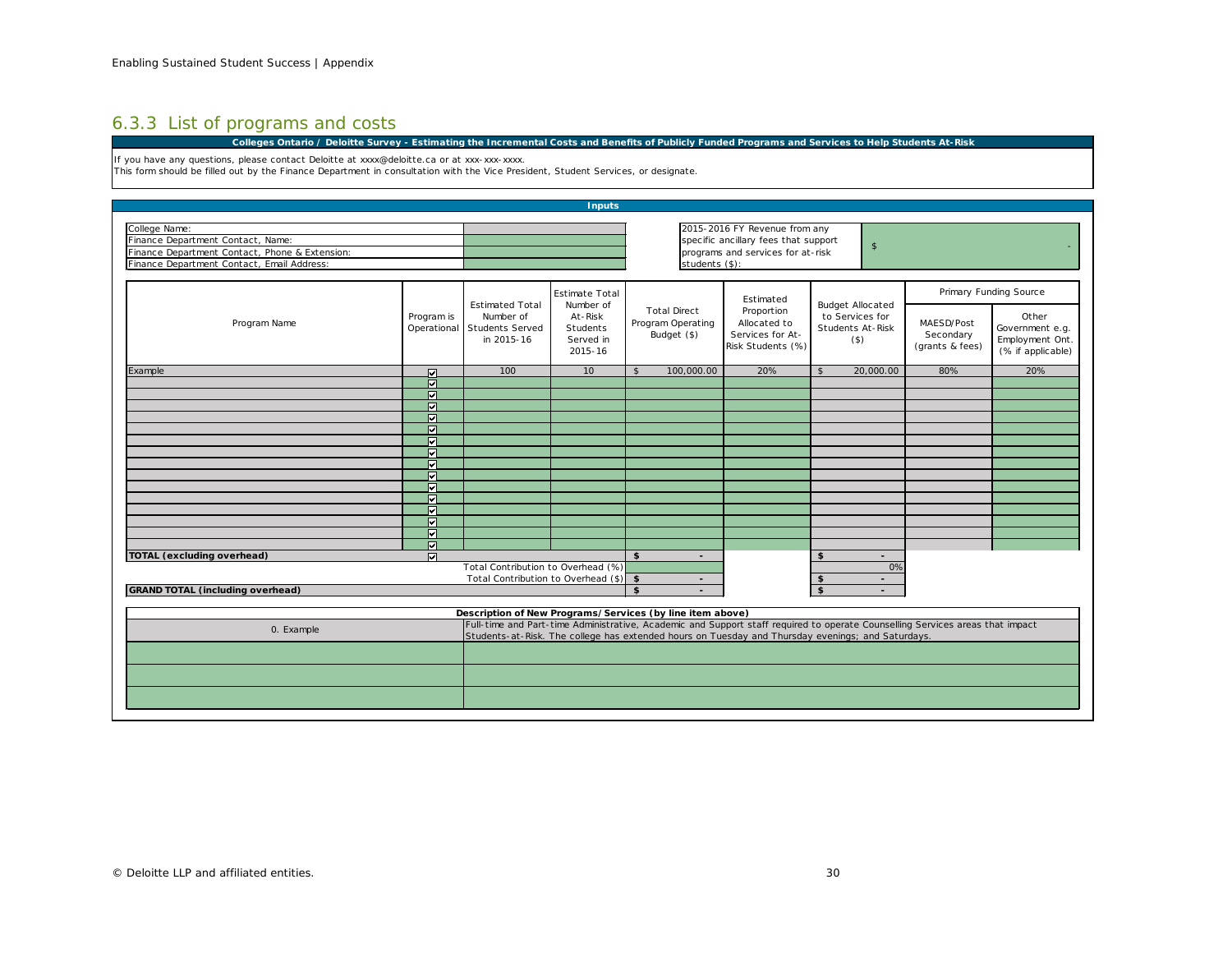# 6.3.3 List of programs and costs

**Colleges Ontario / Deloitte Survey - Estimating the Incremental Costs and Benefits of Publicly Funded Programs and Services to Help Students At-Risk**

If you have any questions, please contact Deloitte at xxxx@deloitte.ca or at xxx-xxx-xxxx.

This form should be filled out by the Finance Department in consultation with the Vice President, Student Services, or designate.

| <b>Inputs</b>                                                                                                                                                                              |                                                                                                   |                                                                             |                                                                                                                                              |                                                         |                                                                                  |                                                                           |                                            |                                                                  |  |  |  |
|--------------------------------------------------------------------------------------------------------------------------------------------------------------------------------------------|---------------------------------------------------------------------------------------------------|-----------------------------------------------------------------------------|----------------------------------------------------------------------------------------------------------------------------------------------|---------------------------------------------------------|----------------------------------------------------------------------------------|---------------------------------------------------------------------------|--------------------------------------------|------------------------------------------------------------------|--|--|--|
| College Name:<br>Finance Department Contact, Name:<br>Finance Department Contact, Phone & Extension:<br>Finance Department Contact, Email Address:                                         |                                                                                                   |                                                                             | 2015-2016 FY Revenue from any<br>specific ancillary fees that support<br>$\mathsf{s}$<br>programs and services for at-risk<br>students (\$): |                                                         |                                                                                  |                                                                           |                                            |                                                                  |  |  |  |
|                                                                                                                                                                                            | Program is<br>Operational                                                                         | <b>Estimated Total</b><br>Number of<br><b>Students Served</b><br>in 2015-16 | <b>Estimate Total</b><br>Number of<br>At-Risk<br>Students<br>Served in<br>2015-16                                                            | <b>Total Direct</b><br>Program Operating<br>Budget (\$) | Estimated<br>Proportion<br>Allocated to<br>Services for At-<br>Risk Students (%) |                                                                           | Primary Funding Source                     |                                                                  |  |  |  |
| Program Name                                                                                                                                                                               |                                                                                                   |                                                                             |                                                                                                                                              |                                                         |                                                                                  | <b>Budget Allocated</b><br>to Services for<br>Students At-Risk<br>$($ \$) | MAESD/Post<br>Secondary<br>(grants & fees) | Other<br>Government e.g.<br>Employment Ont.<br>(% if applicable) |  |  |  |
| Example                                                                                                                                                                                    | ☑                                                                                                 | 100                                                                         | 10                                                                                                                                           | 100,000,00<br>\$                                        | 20%                                                                              | 20,000.00<br>\$                                                           | 80%                                        | 20%                                                              |  |  |  |
|                                                                                                                                                                                            | ज                                                                                                 |                                                                             |                                                                                                                                              |                                                         |                                                                                  |                                                                           |                                            |                                                                  |  |  |  |
|                                                                                                                                                                                            | ☑                                                                                                 |                                                                             |                                                                                                                                              |                                                         |                                                                                  |                                                                           |                                            |                                                                  |  |  |  |
|                                                                                                                                                                                            | जि                                                                                                |                                                                             |                                                                                                                                              |                                                         |                                                                                  |                                                                           |                                            |                                                                  |  |  |  |
|                                                                                                                                                                                            | $\overline{M}$                                                                                    |                                                                             |                                                                                                                                              |                                                         |                                                                                  |                                                                           |                                            |                                                                  |  |  |  |
|                                                                                                                                                                                            | м                                                                                                 |                                                                             |                                                                                                                                              |                                                         |                                                                                  |                                                                           |                                            |                                                                  |  |  |  |
|                                                                                                                                                                                            | $\overline{M}$                                                                                    |                                                                             |                                                                                                                                              |                                                         |                                                                                  |                                                                           |                                            |                                                                  |  |  |  |
|                                                                                                                                                                                            | ज                                                                                                 |                                                                             |                                                                                                                                              |                                                         |                                                                                  |                                                                           |                                            |                                                                  |  |  |  |
|                                                                                                                                                                                            | $\overline{M}$                                                                                    |                                                                             |                                                                                                                                              |                                                         |                                                                                  |                                                                           |                                            |                                                                  |  |  |  |
|                                                                                                                                                                                            | $\overline{M}$                                                                                    |                                                                             |                                                                                                                                              |                                                         |                                                                                  |                                                                           |                                            |                                                                  |  |  |  |
|                                                                                                                                                                                            | ज                                                                                                 |                                                                             |                                                                                                                                              |                                                         |                                                                                  |                                                                           |                                            |                                                                  |  |  |  |
|                                                                                                                                                                                            | ल                                                                                                 |                                                                             |                                                                                                                                              |                                                         |                                                                                  |                                                                           |                                            |                                                                  |  |  |  |
|                                                                                                                                                                                            | ज                                                                                                 |                                                                             |                                                                                                                                              |                                                         |                                                                                  |                                                                           |                                            |                                                                  |  |  |  |
|                                                                                                                                                                                            | न्न                                                                                               |                                                                             |                                                                                                                                              |                                                         |                                                                                  |                                                                           |                                            |                                                                  |  |  |  |
|                                                                                                                                                                                            | 冈                                                                                                 |                                                                             |                                                                                                                                              |                                                         |                                                                                  |                                                                           |                                            |                                                                  |  |  |  |
|                                                                                                                                                                                            | ल                                                                                                 |                                                                             |                                                                                                                                              |                                                         |                                                                                  |                                                                           |                                            |                                                                  |  |  |  |
| <b>TOTAL (excluding overhead)</b>                                                                                                                                                          | ज                                                                                                 |                                                                             |                                                                                                                                              | $$^{\circ}$<br>$\blacksquare$                           |                                                                                  | \$                                                                        |                                            |                                                                  |  |  |  |
|                                                                                                                                                                                            | Total Contribution to Overhead (%)                                                                |                                                                             |                                                                                                                                              |                                                         | 0%                                                                               |                                                                           |                                            |                                                                  |  |  |  |
|                                                                                                                                                                                            | Total Contribution to Overhead (\$)   \$                                                          |                                                                             | $\blacksquare$                                                                                                                               |                                                         | \$                                                                               |                                                                           |                                            |                                                                  |  |  |  |
| <b>GRAND TOTAL (including overhead)</b>                                                                                                                                                    |                                                                                                   |                                                                             |                                                                                                                                              | \$<br>$\overline{\phantom{a}}$                          |                                                                                  | $\mathbf{\hat{z}}$                                                        |                                            |                                                                  |  |  |  |
|                                                                                                                                                                                            |                                                                                                   |                                                                             |                                                                                                                                              |                                                         |                                                                                  |                                                                           |                                            |                                                                  |  |  |  |
| Description of New Programs/Services (by line item above)<br>Full-time and Part-time Administrative, Academic and Support staff required to operate Counselling Services areas that impact |                                                                                                   |                                                                             |                                                                                                                                              |                                                         |                                                                                  |                                                                           |                                            |                                                                  |  |  |  |
| 0. Example                                                                                                                                                                                 |                                                                                                   |                                                                             |                                                                                                                                              |                                                         |                                                                                  |                                                                           |                                            |                                                                  |  |  |  |
|                                                                                                                                                                                            | Students-at-Risk. The college has extended hours on Tuesday and Thursday evenings; and Saturdays. |                                                                             |                                                                                                                                              |                                                         |                                                                                  |                                                                           |                                            |                                                                  |  |  |  |
|                                                                                                                                                                                            |                                                                                                   |                                                                             |                                                                                                                                              |                                                         |                                                                                  |                                                                           |                                            |                                                                  |  |  |  |
|                                                                                                                                                                                            |                                                                                                   |                                                                             |                                                                                                                                              |                                                         |                                                                                  |                                                                           |                                            |                                                                  |  |  |  |
|                                                                                                                                                                                            |                                                                                                   |                                                                             |                                                                                                                                              |                                                         |                                                                                  |                                                                           |                                            |                                                                  |  |  |  |
|                                                                                                                                                                                            |                                                                                                   |                                                                             |                                                                                                                                              |                                                         |                                                                                  |                                                                           |                                            |                                                                  |  |  |  |
|                                                                                                                                                                                            |                                                                                                   |                                                                             |                                                                                                                                              |                                                         |                                                                                  |                                                                           |                                            |                                                                  |  |  |  |
|                                                                                                                                                                                            |                                                                                                   |                                                                             |                                                                                                                                              |                                                         |                                                                                  |                                                                           |                                            |                                                                  |  |  |  |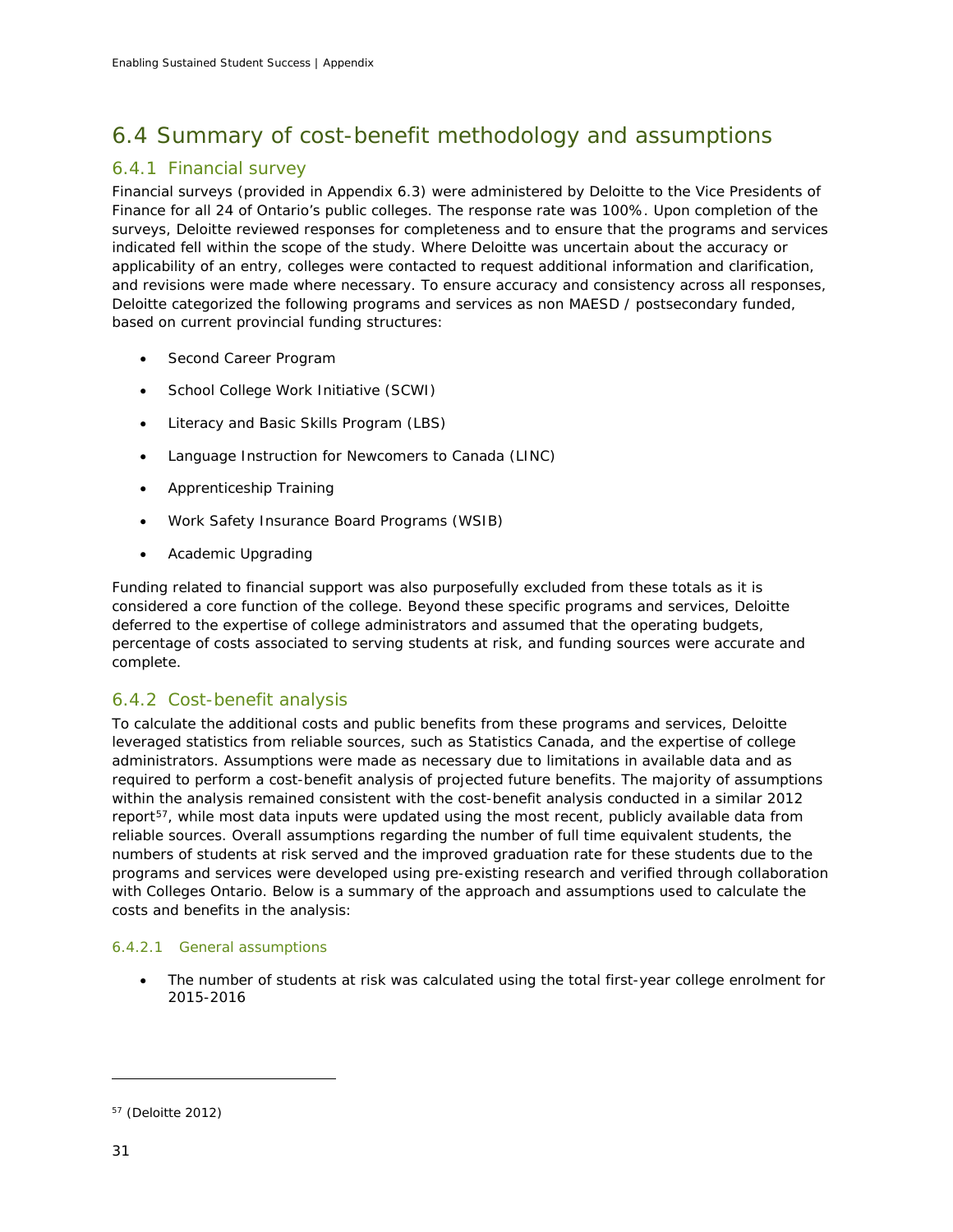# 6.4 Summary of cost-benefit methodology and assumptions

# 6.4.1 Financial survey

Financial surveys (provided in Appendix 6.3) were administered by Deloitte to the Vice Presidents of Finance for all 24 of Ontario's public colleges. The response rate was 100%. Upon completion of the surveys, Deloitte reviewed responses for completeness and to ensure that the programs and services indicated fell within the scope of the study. Where Deloitte was uncertain about the accuracy or applicability of an entry, colleges were contacted to request additional information and clarification, and revisions were made where necessary. To ensure accuracy and consistency across all responses, Deloitte categorized the following programs and services as non MAESD / postsecondary funded, based on current provincial funding structures:

- Second Career Program
- School College Work Initiative (SCWI)
- Literacy and Basic Skills Program (LBS)
- Language Instruction for Newcomers to Canada (LINC)
- Apprenticeship Training
- Work Safety Insurance Board Programs (WSIB)
- Academic Upgrading

Funding related to financial support was also purposefully excluded from these totals as it is considered a core function of the college. Beyond these specific programs and services, Deloitte deferred to the expertise of college administrators and assumed that the operating budgets, percentage of costs associated to serving students at risk, and funding sources were accurate and complete.

## 6.4.2 Cost-benefit analysis

To calculate the additional costs and public benefits from these programs and services, Deloitte leveraged statistics from reliable sources, such as Statistics Canada, and the expertise of college administrators. Assumptions were made as necessary due to limitations in available data and as required to perform a cost-benefit analysis of projected future benefits. The majority of assumptions within the analysis remained consistent with the cost-benefit analysis conducted in a similar 2012 report<sup>57</sup>, while most data inputs were updated using the most recent, publicly available data from reliable sources. Overall assumptions regarding the number of full time equivalent students, the numbers of students at risk served and the improved graduation rate for these students due to the programs and services were developed using pre-existing research and verified through collaboration with Colleges Ontario. Below is a summary of the approach and assumptions used to calculate the costs and benefits in the analysis:

## *6.4.2.1 General assumptions*

• The number of students at risk was calculated using the total first-year college enrolment for 2015-2016

<span id="page-32-0"></span><sup>57</sup> (Deloitte 2012)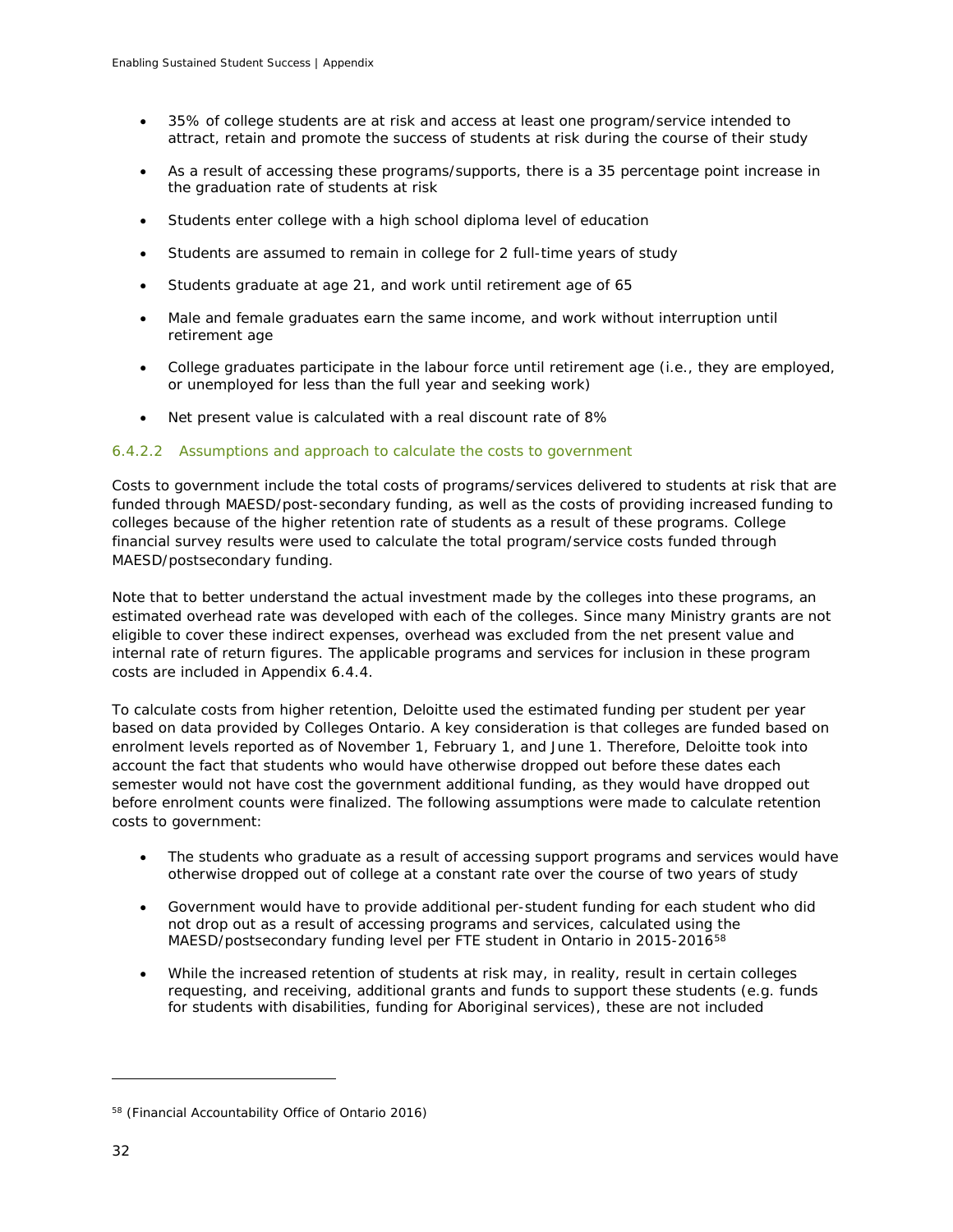- 35% of college students are at risk and access at least one program/service intended to attract, retain and promote the success of students at risk during the course of their study
- As a result of accessing these programs/supports, there is a 35 percentage point increase in the graduation rate of students at risk
- Students enter college with a high school diploma level of education
- Students are assumed to remain in college for 2 full-time years of study
- Students graduate at age 21, and work until retirement age of 65
- Male and female graduates earn the same income, and work without interruption until retirement age
- College graduates participate in the labour force until retirement age (i.e., they are employed, or unemployed for less than the full year and seeking work)
- Net present value is calculated with a real discount rate of 8%

## *6.4.2.2 Assumptions and approach to calculate the costs to government*

Costs to government include the total costs of programs/services delivered to students at risk that are funded through MAESD/post-secondary funding, as well as the costs of providing increased funding to colleges because of the higher retention rate of students as a result of these programs. College financial survey results were used to calculate the total program/service costs funded through MAESD/postsecondary funding.

Note that to better understand the actual investment made by the colleges into these programs, an estimated overhead rate was developed with each of the colleges. Since many Ministry grants are not eligible to cover these indirect expenses, overhead was excluded from the net present value and internal rate of return figures. The applicable programs and services for inclusion in these program costs are included in Appendix 6.4.4.

To calculate costs from higher retention, Deloitte used the estimated funding per student per year based on data provided by Colleges Ontario. A key consideration is that colleges are funded based on enrolment levels reported as of November 1, February 1, and June 1. Therefore, Deloitte took into account the fact that students who would have otherwise dropped out before these dates each semester would not have cost the government additional funding, as they would have dropped out before enrolment counts were finalized. The following assumptions were made to calculate retention costs to government:

- The students who graduate as a result of accessing support programs and services would have otherwise dropped out of college at a constant rate over the course of two years of study
- Government would have to provide additional per-student funding for each student who did not drop out as a result of accessing programs and services, calculated using the MAESD/postsecondary funding level per FTE student in Ontario in 2015-2016[58](#page-33-0)
- While the increased retention of students at risk may, in reality, result in certain colleges requesting, and receiving, additional grants and funds to support these students (e.g. funds for students with disabilities, funding for Aboriginal services), these are not included

<span id="page-33-0"></span><sup>58</sup> (Financial Accountability Office of Ontario 2016)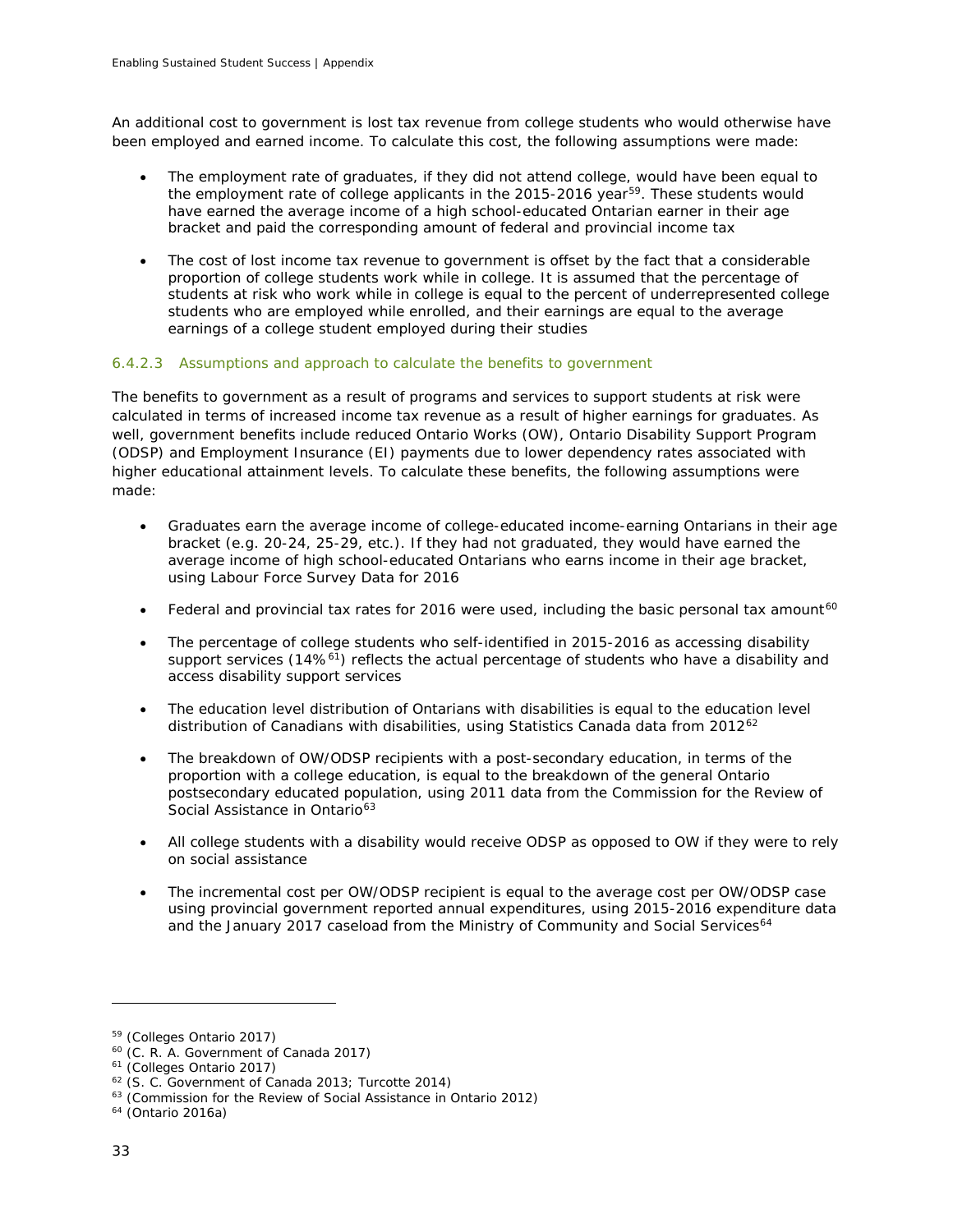An additional cost to government is lost tax revenue from college students who would otherwise have been employed and earned income. To calculate this cost, the following assumptions were made:

- The employment rate of graduates, if they did not attend college, would have been equal to the employment rate of college applicants in the 2015-2016 year<sup>59</sup>. These students would have earned the average income of a high school-educated Ontarian earner in their age bracket and paid the corresponding amount of federal and provincial income tax
- The cost of lost income tax revenue to government is offset by the fact that a considerable proportion of college students work while in college. It is assumed that the percentage of students at risk who work while in college is equal to the percent of underrepresented college students who are employed while enrolled, and their earnings are equal to the average earnings of a college student employed during their studies

## *6.4.2.3 Assumptions and approach to calculate the benefits to government*

The benefits to government as a result of programs and services to support students at risk were calculated in terms of increased income tax revenue as a result of higher earnings for graduates. As well, government benefits include reduced Ontario Works (OW), Ontario Disability Support Program (ODSP) and Employment Insurance (EI) payments due to lower dependency rates associated with higher educational attainment levels. To calculate these benefits, the following assumptions were made:

- Graduates earn the average income of college-educated income-earning Ontarians in their age bracket (e.g. 20-24, 25-29, etc.). If they had not graduated, they would have earned the average income of high school-educated Ontarians who earns income in their age bracket, using Labour Force Survey Data for 2016
- Federal and provincial tax rates for 2016 were used, including the basic personal tax amount<sup>[60](#page-34-1)</sup>
- The percentage of college students who self-identified in 2015-2016 as accessing disability support services (14%<sup>61</sup>) reflects the actual percentage of students who have a disability and access disability support services
- The education level distribution of Ontarians with disabilities is equal to the education level distribution of Canadians with disabilities, using Statistics Canada data from 2012<sup>[62](#page-34-3)</sup>
- The breakdown of OW/ODSP recipients with a post-secondary education, in terms of the proportion with a college education, is equal to the breakdown of the general Ontario postsecondary educated population, using 2011 data from the Commission for the Review of Social Assistance in Ontario<sup>[63](#page-34-4)</sup>
- All college students with a disability would receive ODSP as opposed to OW if they were to rely on social assistance
- The incremental cost per OW/ODSP recipient is equal to the average cost per OW/ODSP case using provincial government reported annual expenditures, using 2015-2016 expenditure data and the January 2017 caseload from the Ministry of Community and Social Services<sup>[64](#page-34-5)</sup>

<span id="page-34-0"></span><sup>59</sup> (Colleges Ontario 2017)

<span id="page-34-1"></span><sup>60</sup> (C. R. A. Government of Canada 2017)

<span id="page-34-2"></span><sup>61</sup> (Colleges Ontario 2017)

<span id="page-34-3"></span><sup>62</sup> (S. C. Government of Canada 2013; Turcotte 2014)

<span id="page-34-4"></span> $63$  (Commission for the Review of Social Assistance in Ontario 2012)

<span id="page-34-5"></span><sup>64</sup> (Ontario 2016a)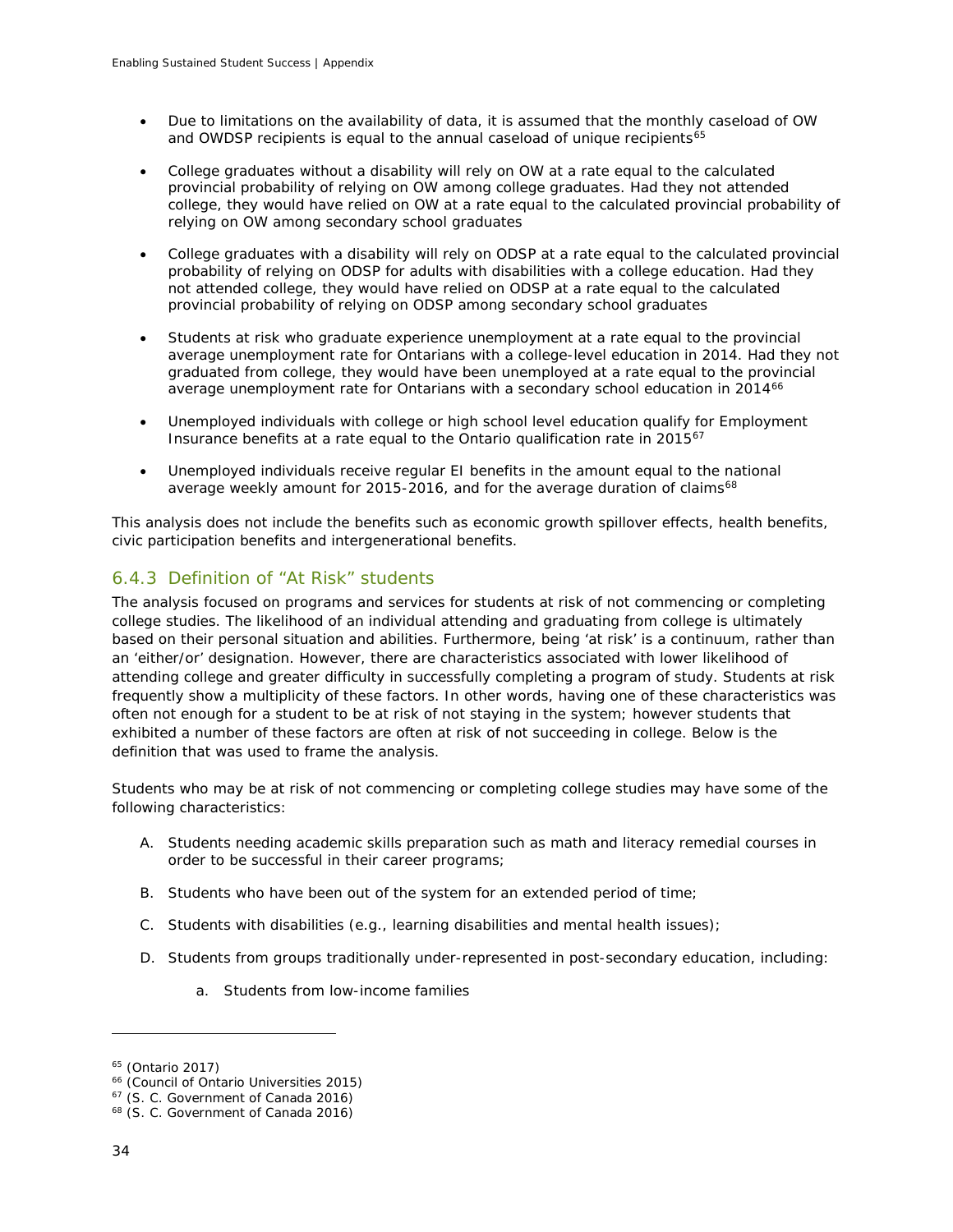- Due to limitations on the availability of data, it is assumed that the monthly caseload of OW and OWDSP recipients is equal to the annual caseload of unique recipients $65$
- College graduates without a disability will rely on OW at a rate equal to the calculated provincial probability of relying on OW among college graduates. Had they not attended college, they would have relied on OW at a rate equal to the calculated provincial probability of relying on OW among secondary school graduates
- College graduates with a disability will rely on ODSP at a rate equal to the calculated provincial probability of relying on ODSP for adults with disabilities with a college education. Had they not attended college, they would have relied on ODSP at a rate equal to the calculated provincial probability of relying on ODSP among secondary school graduates
- Students at risk who graduate experience unemployment at a rate equal to the provincial average unemployment rate for Ontarians with a college-level education in 2014. Had they not graduated from college, they would have been unemployed at a rate equal to the provincial average unemployment rate for Ontarians with a secondary school education in 2014<sup>[66](#page-35-1)</sup>
- Unemployed individuals with college or high school level education qualify for Employment Insurance benefits at a rate equal to the Ontario qualification rate in 2015[67](#page-35-2)
- Unemployed individuals receive regular EI benefits in the amount equal to the national average weekly amount for 2015-2016, and for the average duration of claims<sup>[68](#page-35-3)</sup>

This analysis does not include the benefits such as economic growth spillover effects, health benefits, civic participation benefits and intergenerational benefits.

## 6.4.3 Definition of "At Risk" students

The analysis focused on programs and services for students at risk of not commencing or completing college studies. The likelihood of an individual attending and graduating from college is ultimately based on their personal situation and abilities. Furthermore, being 'at risk' is a continuum, rather than an 'either/or' designation. However, there are characteristics associated with lower likelihood of attending college and greater difficulty in successfully completing a program of study. Students at risk frequently show a multiplicity of these factors. In other words, having one of these characteristics was often not enough for a student to be at risk of not staying in the system; however students that exhibited a number of these factors are often at risk of not succeeding in college. Below is the definition that was used to frame the analysis.

Students who may be at risk of not commencing or completing college studies may have some of the following characteristics:

- A. Students needing academic skills preparation such as math and literacy remedial courses in order to be successful in their career programs;
- B. Students who have been out of the system for an extended period of time;
- C. Students with disabilities (e.g., learning disabilities and mental health issues);
- D. Students from groups traditionally under-represented in post-secondary education, including:
	- a. Students from low-income families

<span id="page-35-0"></span><sup>65</sup> (Ontario 2017)

<span id="page-35-1"></span><sup>66</sup> (Council of Ontario Universities 2015)

<span id="page-35-2"></span><sup>&</sup>lt;sup>67</sup> (S. C. Government of Canada 2016)

<span id="page-35-3"></span><sup>&</sup>lt;sup>68</sup> (S. C. Government of Canada 2016)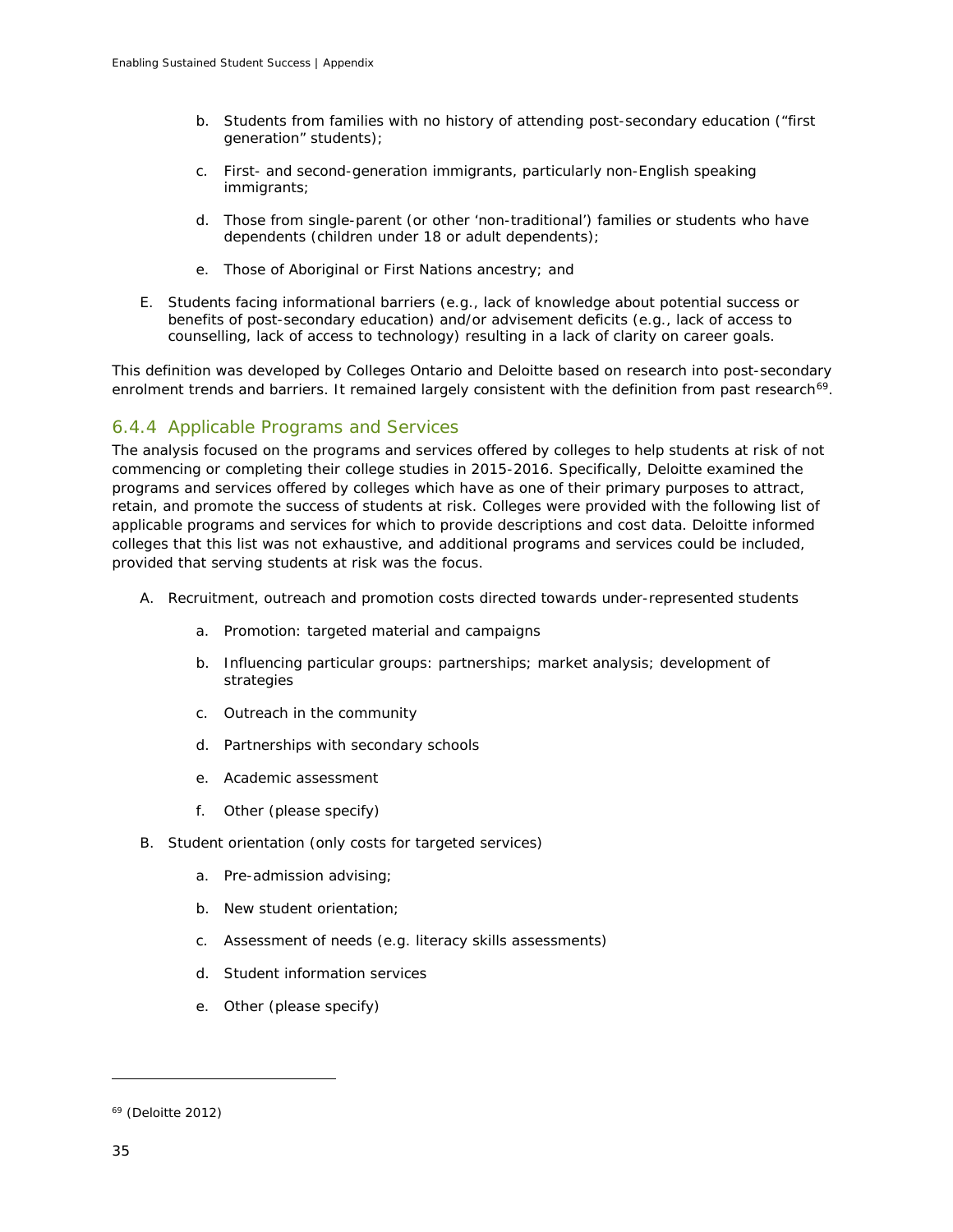- b. Students from families with no history of attending post-secondary education ("first generation" students);
- c. First- and second-generation immigrants, particularly non-English speaking immigrants;
- d. Those from single-parent (or other 'non-traditional') families or students who have dependents (children under 18 or adult dependents);
- e. Those of Aboriginal or First Nations ancestry; and
- E. Students facing informational barriers (e.g., lack of knowledge about potential success or benefits of post-secondary education) and/or advisement deficits (e.g., lack of access to counselling, lack of access to technology) resulting in a lack of clarity on career goals.

This definition was developed by Colleges Ontario and Deloitte based on research into post-secondary enrolment trends and barriers. It remained largely consistent with the definition from past research<sup>[69](#page-36-0)</sup>.

## 6.4.4 Applicable Programs and Services

The analysis focused on the programs and services offered by colleges to help students at risk of not commencing or completing their college studies in 2015-2016. Specifically, Deloitte examined the programs and services offered by colleges which have as one of their primary purposes to attract, retain, and promote the success of students at risk. Colleges were provided with the following list of applicable programs and services for which to provide descriptions and cost data. Deloitte informed colleges that this list was not exhaustive, and additional programs and services could be included, provided that serving students at risk was the focus.

- A. Recruitment, outreach and promotion costs directed towards under-represented students
	- a. Promotion: targeted material and campaigns
	- b. Influencing particular groups: partnerships; market analysis; development of strategies
	- c. Outreach in the community
	- d. Partnerships with secondary schools
	- e. Academic assessment
	- f. Other (please specify)
- B. Student orientation (only costs for targeted services)
	- a. Pre-admission advising;
	- b. New student orientation;
	- c. Assessment of needs (e.g. literacy skills assessments)
	- d. Student information services
	- e. Other (please specify)

<span id="page-36-0"></span> $69$  (Deloitte 2012)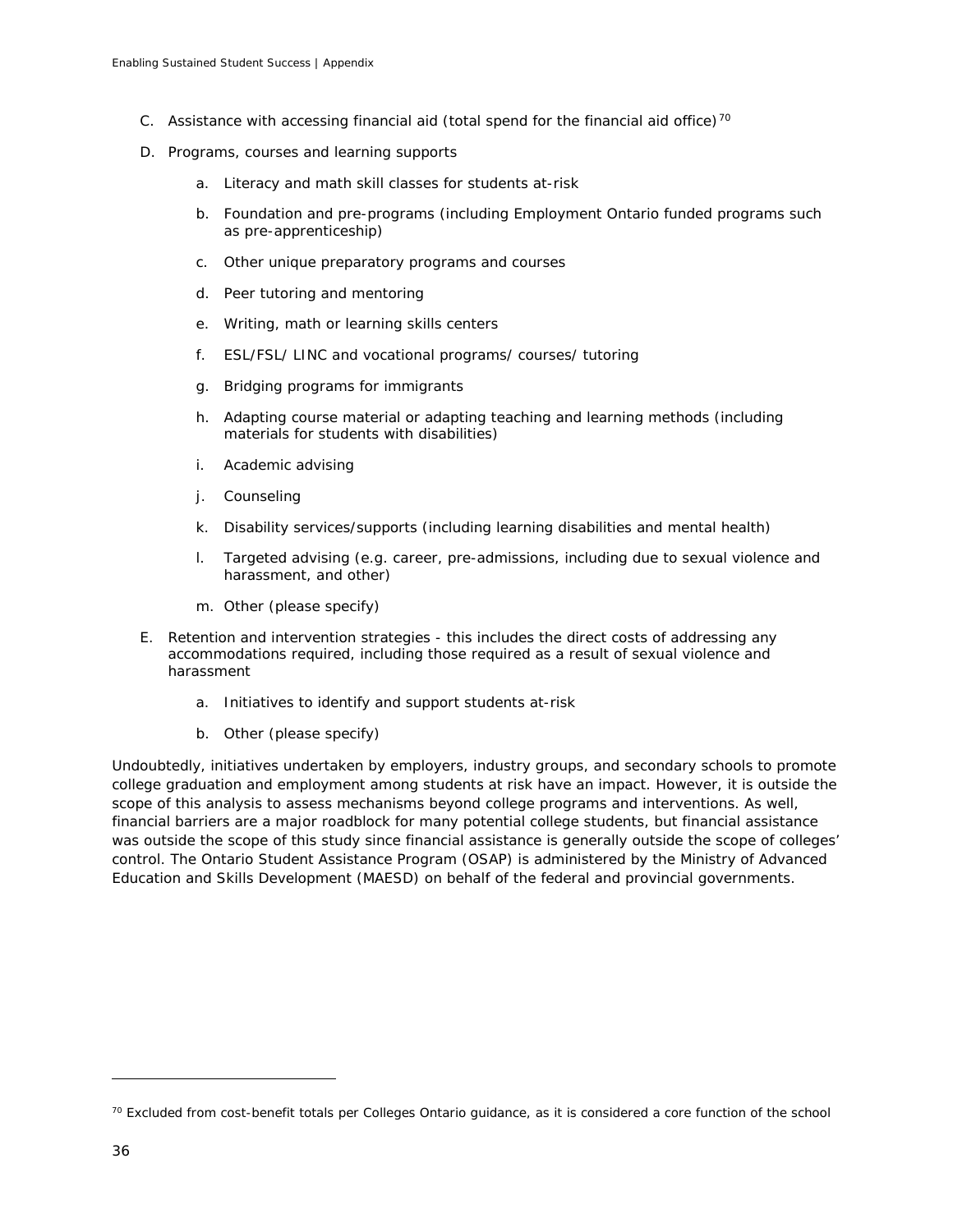- C. Assistance with accessing financial aid (total spend for the financial aid office)<sup>[70](#page-37-0)</sup>
- D. Programs, courses and learning supports
	- a. Literacy and math skill classes for students at-risk
	- b. Foundation and pre-programs (including Employment Ontario funded programs such as pre-apprenticeship)
	- c. Other unique preparatory programs and courses
	- d. Peer tutoring and mentoring
	- e. Writing, math or learning skills centers
	- f. ESL/FSL/ LINC and vocational programs/ courses/ tutoring
	- g. Bridging programs for immigrants
	- h. Adapting course material or adapting teaching and learning methods (including materials for students with disabilities)
	- i. Academic advising
	- j. Counseling
	- k. Disability services/supports (including learning disabilities and mental health)
	- l. Targeted advising (e.g. career, pre-admissions, including due to sexual violence and harassment, and other)
	- m. Other (please specify)
- E. Retention and intervention strategies this includes the direct costs of addressing any accommodations required, including those required as a result of sexual violence and harassment
	- a. Initiatives to identify and support students at-risk
	- b. Other (please specify)

Undoubtedly, initiatives undertaken by employers, industry groups, and secondary schools to promote college graduation and employment among students at risk have an impact. However, it is outside the scope of this analysis to assess mechanisms beyond college programs and interventions. As well, financial barriers are a major roadblock for many potential college students, but financial assistance was outside the scope of this study since financial assistance is generally outside the scope of colleges' control. The Ontario Student Assistance Program (OSAP) is administered by the Ministry of Advanced Education and Skills Development (MAESD) on behalf of the federal and provincial governments.

<span id="page-37-0"></span> $70$  Excluded from cost-benefit totals per Colleges Ontario guidance, as it is considered a core function of the school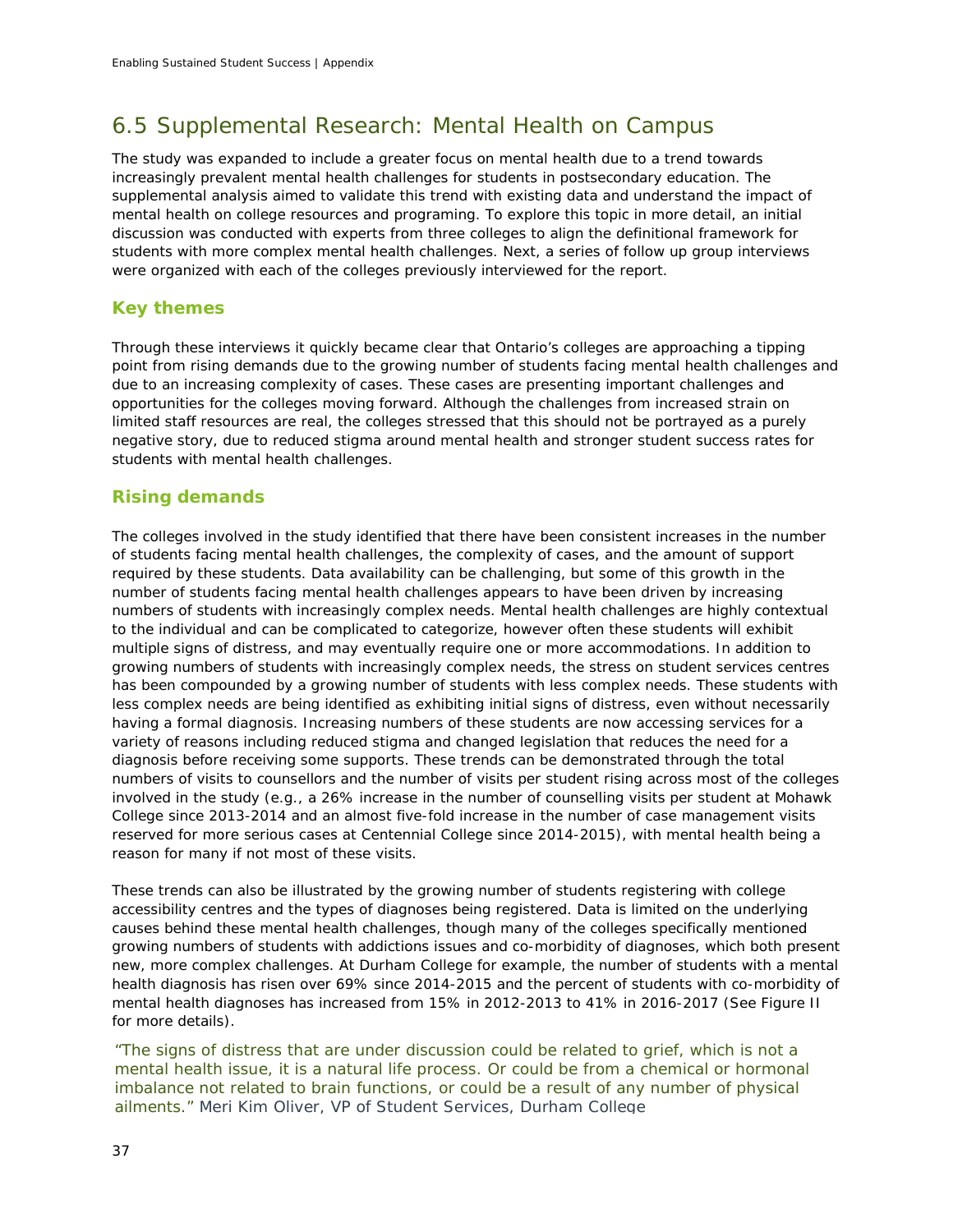# 6.5 Supplemental Research: Mental Health on Campus

The study was expanded to include a greater focus on mental health due to a trend towards increasingly prevalent mental health challenges for students in postsecondary education. The supplemental analysis aimed to validate this trend with existing data and understand the impact of mental health on college resources and programing. To explore this topic in more detail, an initial discussion was conducted with experts from three colleges to align the definitional framework for students with more complex mental health challenges. Next, a series of follow up group interviews were organized with each of the colleges previously interviewed for the report.

## *Key themes*

Through these interviews it quickly became clear that Ontario's colleges are approaching a tipping point from rising demands due to the growing number of students facing mental health challenges and due to an increasing complexity of cases. These cases are presenting important challenges and opportunities for the colleges moving forward. Although the challenges from increased strain on limited staff resources are real, the colleges stressed that this should not be portrayed as a purely negative story, due to reduced stigma around mental health and stronger student success rates for students with mental health challenges.

## *Rising demands*

The colleges involved in the study identified that there have been consistent increases in the number of students facing mental health challenges, the complexity of cases, and the amount of support required by these students. Data availability can be challenging, but some of this growth in the number of students facing mental health challenges appears to have been driven by increasing numbers of students with increasingly complex needs. Mental health challenges are highly contextual to the individual and can be complicated to categorize, however often these students will exhibit multiple signs of distress, and may eventually require one or more accommodations. In addition to growing numbers of students with increasingly complex needs, the stress on student services centres has been compounded by a growing number of students with less complex needs. These students with less complex needs are being identified as exhibiting initial signs of distress, even without necessarily having a formal diagnosis. Increasing numbers of these students are now accessing services for a variety of reasons including reduced stigma and changed legislation that reduces the need for a diagnosis before receiving some supports. These trends can be demonstrated through the total numbers of visits to counsellors and the number of visits per student rising across most of the colleges involved in the study (e.g., a 26% increase in the number of counselling visits per student at Mohawk College since 2013-2014 and an almost five-fold increase in the number of case management visits reserved for more serious cases at Centennial College since 2014-2015), with mental health being a reason for many if not most of these visits.

These trends can also be illustrated by the growing number of students registering with college accessibility centres and the types of diagnoses being registered. Data is limited on the underlying causes behind these mental health challenges, though many of the colleges specifically mentioned growing numbers of students with addictions issues and co-morbidity of diagnoses, which both present new, more complex challenges. At Durham College for example, the number of students with a mental health diagnosis has risen over 69% since 2014-2015 and the percent of students with co-morbidity of mental health diagnoses has increased from 15% in 2012-2013 to 41% in 2016-2017 (See Figure II for more details).

*"The signs of distress that are under discussion could be related to grief, which is not a mental health issue, it is a natural life process. Or could be from a chemical or hormonal imbalance not related to brain functions, or could be a result of any number of physical ailments." Meri Kim Oliver, VP of Student Services, Durham College*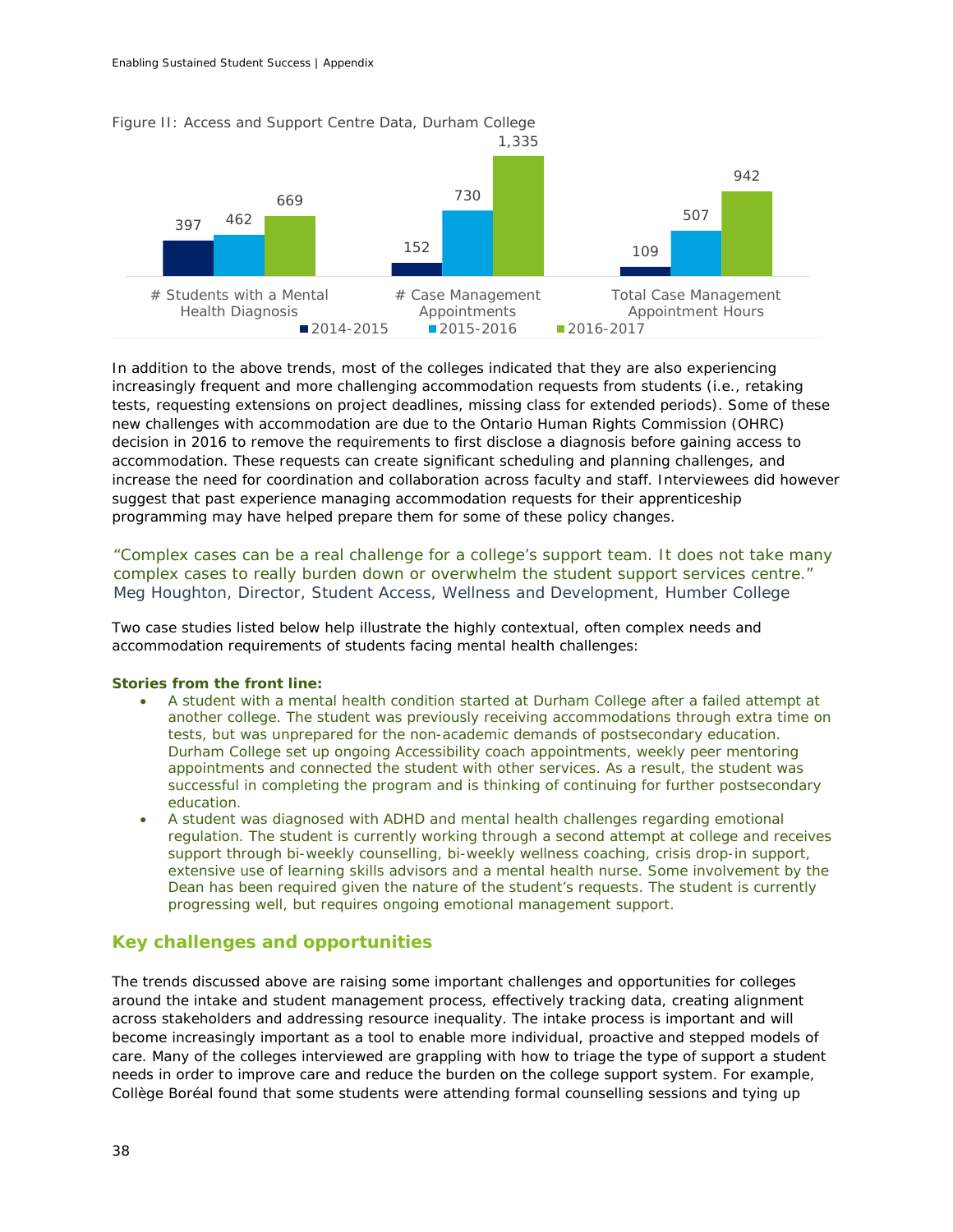

In addition to the above trends, most of the colleges indicated that they are also experiencing increasingly frequent and more challenging accommodation requests from students (i.e., retaking tests, requesting extensions on project deadlines, missing class for extended periods). Some of these new challenges with accommodation are due to the Ontario Human Rights Commission (OHRC) decision in 2016 to remove the requirements to first disclose a diagnosis before gaining access to accommodation. These requests can create significant scheduling and planning challenges, and increase the need for coordination and collaboration across faculty and staff. Interviewees did however suggest that past experience managing accommodation requests for their apprenticeship programming may have helped prepare them for some of these policy changes.

*"Complex cases can be a real challenge for a college's support team. It does not take many complex cases to really burden down or overwhelm the student support services centre." Meg Houghton, Director, Student Access, Wellness and Development, Humber College*

Two case studies listed below help illustrate the highly contextual, often complex needs and accommodation requirements of students facing mental health challenges:

### *Stories from the front line:*

- *A student with a mental health condition started at Durham College after a failed attempt at another college. The student was previously receiving accommodations through extra time on tests, but was unprepared for the non-academic demands of postsecondary education. Durham College set up ongoing Accessibility coach appointments, weekly peer mentoring appointments and connected the student with other services. As a result, the student was successful in completing the program and is thinking of continuing for further postsecondary education.*
- *A student was diagnosed with ADHD and mental health challenges regarding emotional regulation. The student is currently working through a second attempt at college and receives support through bi-weekly counselling, bi-weekly wellness coaching, crisis drop-in support, extensive use of learning skills advisors and a mental health nurse. Some involvement by the Dean has been required given the nature of the student's requests. The student is currently progressing well, but requires ongoing emotional management support.*

## *Key challenges and opportunities*

The trends discussed above are raising some important challenges and opportunities for colleges around the intake and student management process, effectively tracking data, creating alignment across stakeholders and addressing resource inequality. The intake process is important and will become increasingly important as a tool to enable more individual, proactive and stepped models of care. Many of the colleges interviewed are grappling with how to triage the type of support a student needs in order to improve care and reduce the burden on the college support system. For example, Collège Boréal found that some students were attending formal counselling sessions and tying up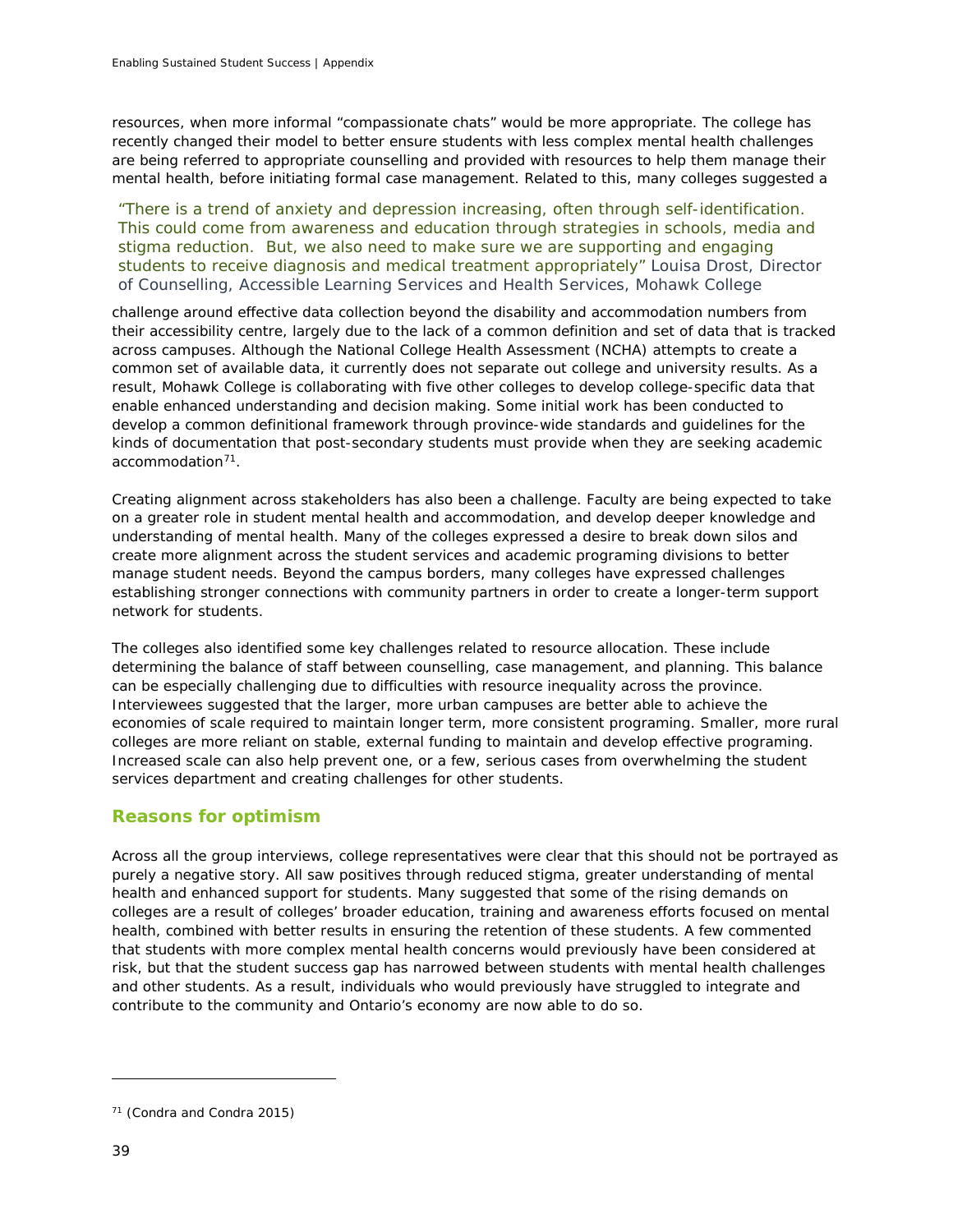resources, when more informal "compassionate chats" would be more appropriate. The college has recently changed their model to better ensure students with less complex mental health challenges are being referred to appropriate counselling and provided with resources to help them manage their mental health, before initiating formal case management. Related to this, many colleges suggested a

*"There is a trend of anxiety and depression increasing, often through self-identification. This could come from awareness and education through strategies in schools, media and stigma reduction. But, we also need to make sure we are supporting and engaging students to receive diagnosis and medical treatment appropriately" Louisa Drost, Director of Counselling, Accessible Learning Services and Health Services, Mohawk College*

challenge around effective data collection beyond the disability and accommodation numbers from their accessibility centre, largely due to the lack of a common definition and set of data that is tracked across campuses. Although the National College Health Assessment (NCHA) attempts to create a common set of available data, it currently does not separate out college and university results. As a result, Mohawk College is collaborating with five other colleges to develop college-specific data that enable enhanced understanding and decision making. Some initial work has been conducted to develop a common definitional framework through province-wide standards and guidelines for the kinds of documentation that post-secondary students must provide when they are seeking academic accommodation[71.](#page-40-0)

Creating alignment across stakeholders has also been a challenge. Faculty are being expected to take on a greater role in student mental health and accommodation, and develop deeper knowledge and understanding of mental health. Many of the colleges expressed a desire to break down silos and create more alignment across the student services and academic programing divisions to better manage student needs. Beyond the campus borders, many colleges have expressed challenges establishing stronger connections with community partners in order to create a longer-term support network for students.

The colleges also identified some key challenges related to resource allocation. These include determining the balance of staff between counselling, case management, and planning. This balance can be especially challenging due to difficulties with resource inequality across the province. Interviewees suggested that the larger, more urban campuses are better able to achieve the economies of scale required to maintain longer term, more consistent programing. Smaller, more rural colleges are more reliant on stable, external funding to maintain and develop effective programing. Increased scale can also help prevent one, or a few, serious cases from overwhelming the student services department and creating challenges for other students.

## *Reasons for optimism*

Across all the group interviews, college representatives were clear that this should not be portrayed as purely a negative story. All saw positives through reduced stigma, greater understanding of mental health and enhanced support for students. Many suggested that some of the rising demands on colleges are a result of colleges' broader education, training and awareness efforts focused on mental health, combined with better results in ensuring the retention of these students. A few commented that students with more complex mental health concerns would previously have been considered at risk, but that the student success gap has narrowed between students with mental health challenges and other students. As a result, individuals who would previously have struggled to integrate and contribute to the community and Ontario's economy are now able to do so.

<span id="page-40-0"></span><sup>71</sup> (Condra and Condra 2015)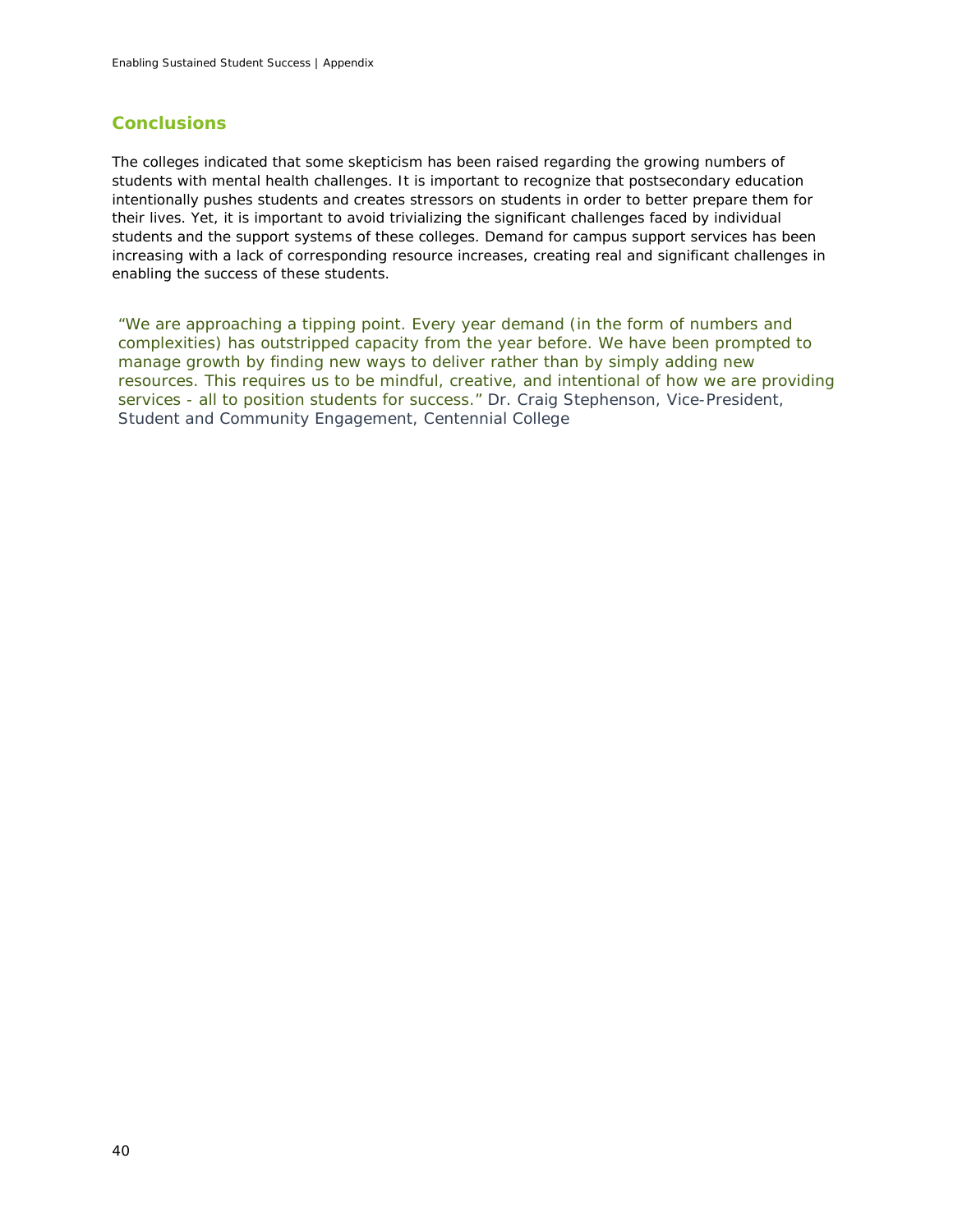## *Conclusions*

The colleges indicated that some skepticism has been raised regarding the growing numbers of students with mental health challenges. It is important to recognize that postsecondary education intentionally pushes students and creates stressors on students in order to better prepare them for their lives. Yet, it is important to avoid trivializing the significant challenges faced by individual students and the support systems of these colleges. Demand for campus support services has been increasing with a lack of corresponding resource increases, creating real and significant challenges in enabling the success of these students.

*"We are approaching a tipping point. Every year demand (in the form of numbers and complexities) has outstripped capacity from the year before. We have been prompted to manage growth by finding new ways to deliver rather than by simply adding new resources. This requires us to be mindful, creative, and intentional of how we are providing services - all to position students for success." Dr. Craig Stephenson, Vice-President, Student and Community Engagement, Centennial College*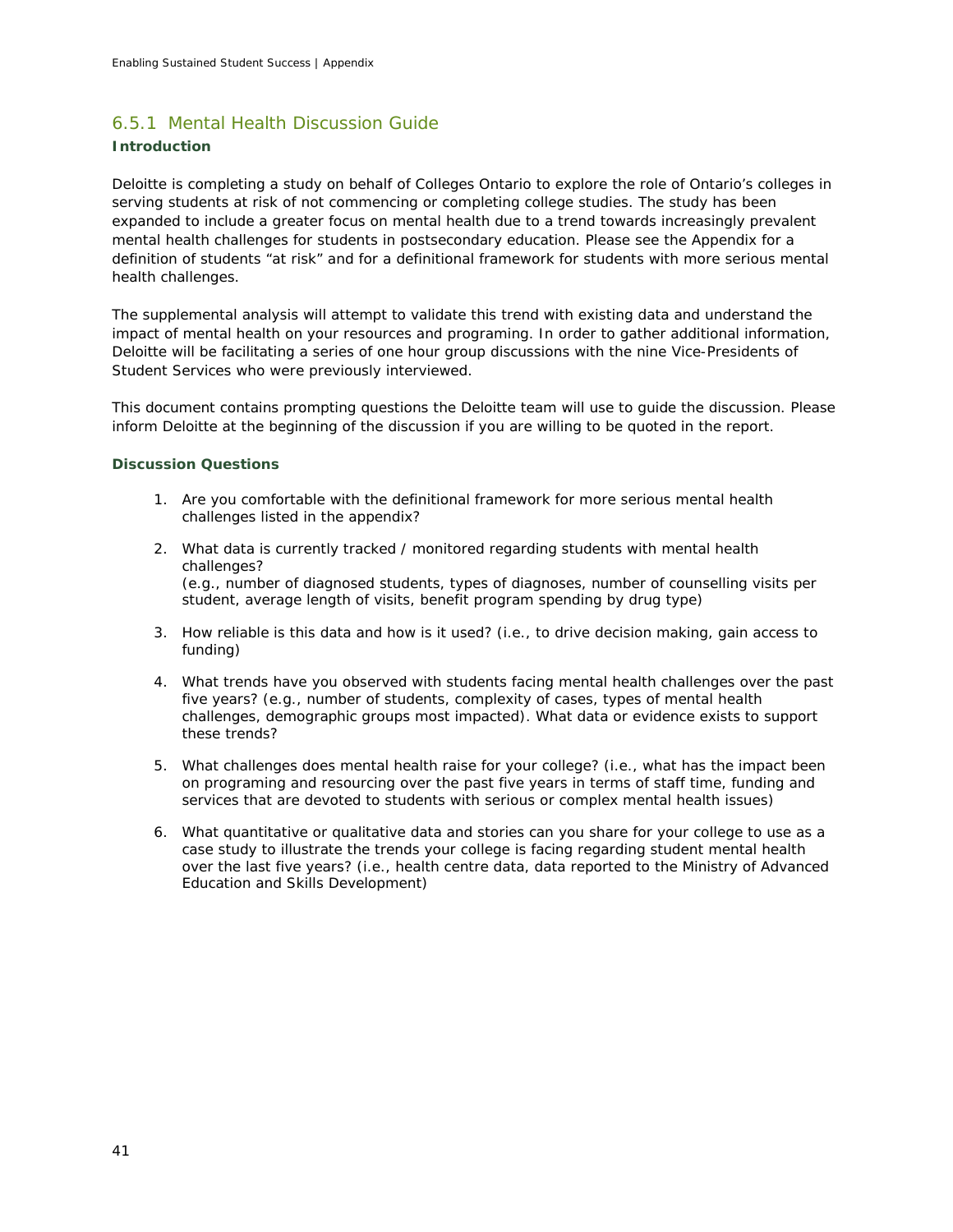## 6.5.1 Mental Health Discussion Guide

## **Introduction**

Deloitte is completing a study on behalf of Colleges Ontario to explore the role of Ontario's colleges in serving students at risk of not commencing or completing college studies. The study has been expanded to include a greater focus on mental health due to a trend towards increasingly prevalent mental health challenges for students in postsecondary education. Please see the Appendix for a definition of students "at risk" and for a definitional framework for students with more serious mental health challenges.

The supplemental analysis will attempt to validate this trend with existing data and understand the impact of mental health on your resources and programing. In order to gather additional information, Deloitte will be facilitating a series of one hour group discussions with the nine Vice-Presidents of Student Services who were previously interviewed.

This document contains prompting questions the Deloitte team will use to guide the discussion. Please inform Deloitte at the beginning of the discussion if you are willing to be quoted in the report.

### **Discussion Questions**

- 1. Are you comfortable with the definitional framework for more serious mental health challenges listed in the appendix?
- 2. What data is currently tracked / monitored regarding students with mental health challenges? (e.g., number of diagnosed students, types of diagnoses, number of counselling visits per student, average length of visits, benefit program spending by drug type)
- 3. How reliable is this data and how is it used? (i.e., to drive decision making, gain access to funding)
- 4. What trends have you observed with students facing mental health challenges over the past five years? (e.g., number of students, complexity of cases, types of mental health challenges, demographic groups most impacted). What data or evidence exists to support these trends?
- 5. What challenges does mental health raise for your college? (i.e., what has the impact been on programing and resourcing over the past five years in terms of staff time, funding and services that are devoted to students with serious or complex mental health issues)
- 6. What quantitative or qualitative data and stories can you share for your college to use as a case study to illustrate the trends your college is facing regarding student mental health over the last five years? (i.e., health centre data, data reported to the Ministry of Advanced Education and Skills Development)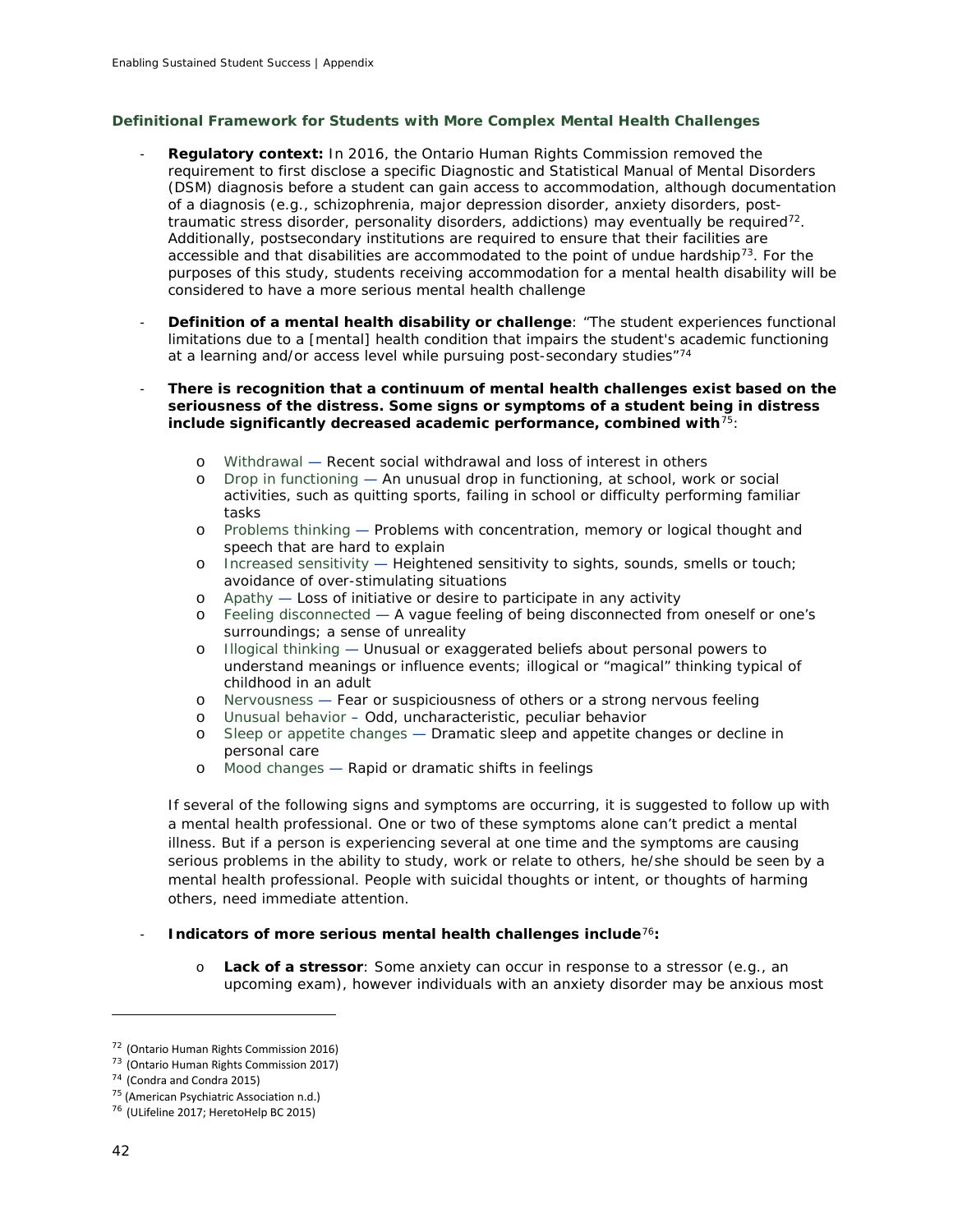## **Definitional Framework for Students with More Complex Mental Health Challenges**

- **Regulatory context:** In 2016, the Ontario Human Rights Commission removed the requirement to first disclose a specific Diagnostic and Statistical Manual of Mental Disorders (DSM) diagnosis before a student can gain access to accommodation, although documentation of a diagnosis (e.g., schizophrenia, major depression disorder, anxiety disorders, post-traumatic stress disorder, personality disorders, addictions) may eventually be required<sup>[72](#page-43-0)</sup>. Additionally, postsecondary institutions are required to ensure that their facilities are accessible and that disabilities are accommodated to the point of undue hardship<sup>[73](#page-43-1)</sup>. For the purposes of this study, students receiving accommodation for a mental health disability will be considered to have a more serious mental health challenge
- **Definition of a mental health disability or challenge:** "The student experiences functional limitations due to a [mental] health condition that impairs the student's academic functioning at a learning and/or access level while pursuing post-secondary studies"[74](#page-43-2)
- **There is recognition that a continuum of mental health challenges exist based on the seriousness of the distress. Some signs or symptoms of a student being in distress include significantly decreased academic performance, combined with**[75](#page-43-3):
	- o Withdrawal Recent social withdrawal and loss of interest in others
	- o Drop in functioning An unusual drop in functioning, at school, work or social activities, such as quitting sports, failing in school or difficulty performing familiar tasks
	- o Problems thinking Problems with concentration, memory or logical thought and speech that are hard to explain
	- o Increased sensitivity Heightened sensitivity to sights, sounds, smells or touch; avoidance of over-stimulating situations
	- o Apathy Loss of initiative or desire to participate in any activity o<br>  $\overline{P}$  Feeling disconnected A vaque feeling of being disconnected from
	- Feeling disconnected A vague feeling of being disconnected from oneself or one's surroundings; a sense of unreality
	- o Illogical thinking Unusual or exaggerated beliefs about personal powers to understand meanings or influence events; illogical or "magical" thinking typical of childhood in an adult
	- o Nervousness Fear or suspiciousness of others or a strong nervous feeling<br>o Unusual behavior Odd, uncharacteristic, peculiar behavior
	- Unusual behavior Odd, uncharacteristic, peculiar behavior
	- o Sleep or appetite changes Dramatic sleep and appetite changes or decline in personal care
	- o Mood changes Rapid or dramatic shifts in feelings

If several of the following signs and symptoms are occurring, it is suggested to follow up with a mental health professional. One or two of these symptoms alone can't predict a mental illness. But if a person is experiencing several at one time and the symptoms are causing serious problems in the ability to study, work or relate to others, he/she should be seen by a mental health professional. People with suicidal thoughts or intent, or thoughts of harming others, need immediate attention.

## - **Indicators of more serious mental health challenges include**[76](#page-43-4)**:**

o **Lack of a stressor**: Some anxiety can occur in response to a stressor (e.g., an upcoming exam), however individuals with an anxiety disorder may be anxious most

<span id="page-43-0"></span><sup>72</sup> (Ontario Human Rights Commission 2016)

<span id="page-43-1"></span><sup>73</sup> (Ontario Human Rights Commission 2017)

<span id="page-43-2"></span><sup>74</sup> (Condra and Condra 2015)

<span id="page-43-3"></span><sup>&</sup>lt;sup>75</sup> (American Psychiatric Association n.d.)

<span id="page-43-4"></span><sup>76</sup> (ULifeline 2017; HeretoHelp BC 2015)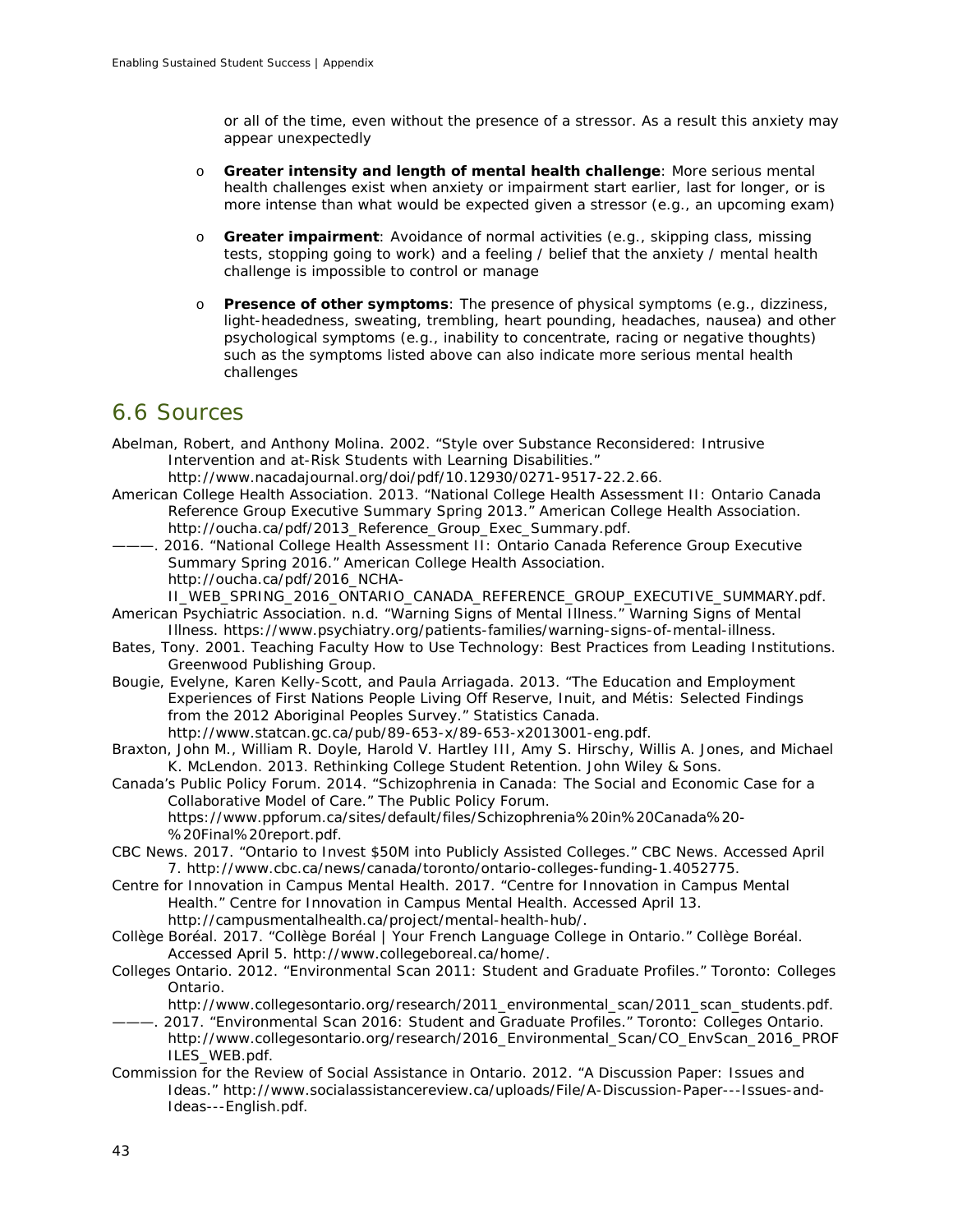or all of the time, even without the presence of a stressor. As a result this anxiety may appear unexpectedly

- o **Greater intensity and length of mental health challenge**: More serious mental health challenges exist when anxiety or impairment start earlier, last for longer, or is more intense than what would be expected given a stressor (e.g., an upcoming exam)
- o **Greater impairment**: Avoidance of normal activities (e.g., skipping class, missing tests, stopping going to work) and a feeling / belief that the anxiety / mental health challenge is impossible to control or manage
- o **Presence of other symptoms**: The presence of physical symptoms (e.g., dizziness, light-headedness, sweating, trembling, heart pounding, headaches, nausea) and other psychological symptoms (e.g., inability to concentrate, racing or negative thoughts) such as the symptoms listed above can also indicate more serious mental health challenges

# 6.6 Sources

- Abelman, Robert, and Anthony Molina. 2002. "Style over Substance Reconsidered: Intrusive Intervention and at-Risk Students with Learning Disabilities."
	- http://www.nacadajournal.org/doi/pdf/10.12930/0271-9517-22.2.66.
- American College Health Association. 2013. "National College Health Assessment II: Ontario Canada Reference Group Executive Summary Spring 2013." American College Health Association. http://oucha.ca/pdf/2013\_Reference\_Group\_Exec\_Summary.pdf.
- ———. 2016. "National College Health Assessment II: Ontario Canada Reference Group Executive Summary Spring 2016." American College Health Association. http://oucha.ca/pdf/2016\_NCHA-
- II\_WEB\_SPRING\_2016\_ONTARIO\_CANADA\_REFERENCE\_GROUP\_EXECUTIVE\_SUMMARY.pdf. American Psychiatric Association. n.d. "Warning Signs of Mental Illness." *Warning Signs of Mental*
- *Illness*. https://www.psychiatry.org/patients-families/warning-signs-of-mental-illness. Bates, Tony. 2001. *Teaching Faculty How to Use Technology: Best Practices from Leading Institutions*.
- Greenwood Publishing Group.
- Bougie, Evelyne, Karen Kelly-Scott, and Paula Arriagada. 2013. "The Education and Employment Experiences of First Nations People Living Off Reserve, Inuit, and Métis: Selected Findings from the 2012 Aboriginal Peoples Survey." Statistics Canada. http://www.statcan.gc.ca/pub/89-653-x/89-653-x2013001-eng.pdf.
- Braxton, John M., William R. Doyle, Harold V. Hartley III, Amy S. Hirschy, Willis A. Jones, and Michael K. McLendon. 2013. *Rethinking College Student Retention*. John Wiley & Sons.
- Canada's Public Policy Forum. 2014. "Schizophrenia in Canada: The Social and Economic Case for a Collaborative Model of Care." The Public Policy Forum. https://www.ppforum.ca/sites/default/files/Schizophrenia%20in%20Canada%20- %20Final%20report.pdf.
- CBC News. 2017. "Ontario to Invest \$50M into Publicly Assisted Colleges." *CBC News*. Accessed April 7. http://www.cbc.ca/news/canada/toronto/ontario-colleges-funding-1.4052775.
- Centre for Innovation in Campus Mental Health. 2017. "Centre for Innovation in Campus Mental Health." *Centre for Innovation in Campus Mental Health*. Accessed April 13. http://campusmentalhealth.ca/project/mental-health-hub/.
- Collège Boréal. 2017. "Collège Boréal | Your French Language College in Ontario." *Collège Boréal*. Accessed April 5. http://www.collegeboreal.ca/home/.
- Colleges Ontario. 2012. "Environmental Scan 2011: Student and Graduate Profiles." Toronto: Colleges Ontario.
	- http://www.collegesontario.org/research/2011\_environmental\_scan/2011\_scan\_students.pdf.
- ———. 2017. "Environmental Scan 2016: Student and Graduate Profiles." Toronto: Colleges Ontario. http://www.collegesontario.org/research/2016\_Environmental\_Scan/CO\_EnvScan\_2016\_PROF ILES\_WEB.pdf.
- Commission for the Review of Social Assistance in Ontario. 2012. "A Discussion Paper: Issues and Ideas." http://www.socialassistancereview.ca/uploads/File/A-Discussion-Paper---Issues-and-Ideas---English.pdf.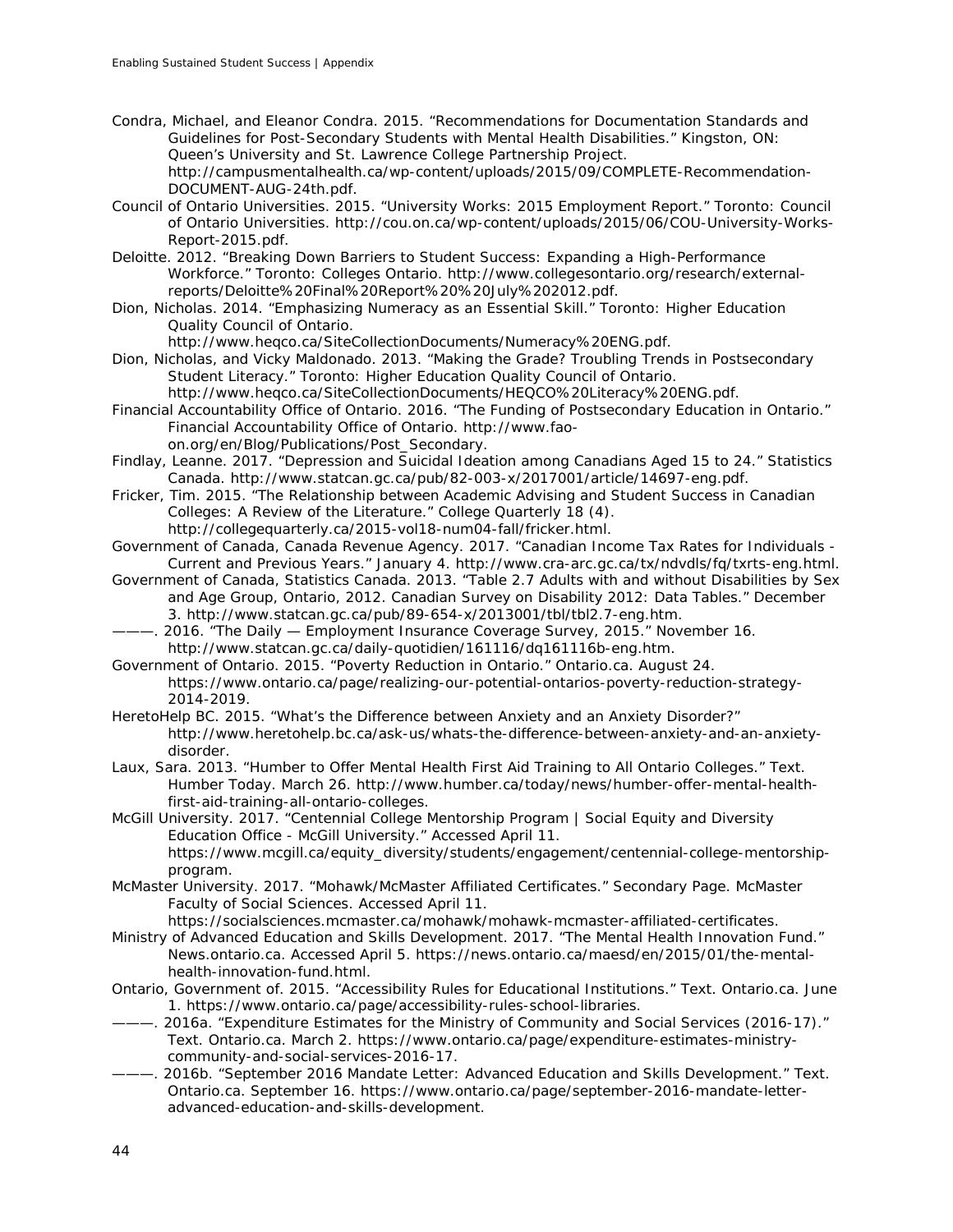Condra, Michael, and Eleanor Condra. 2015. "Recommendations for Documentation Standards and Guidelines for Post-Secondary Students with Mental Health Disabilities." Kingston, ON: Queen's University and St. Lawrence College Partnership Project. http://campusmentalhealth.ca/wp-content/uploads/2015/09/COMPLETE-Recommendation-DOCUMENT-AUG-24th.pdf.

- Council of Ontario Universities. 2015. "University Works: 2015 Employment Report." Toronto: Council of Ontario Universities. http://cou.on.ca/wp-content/uploads/2015/06/COU-University-Works-Report-2015.pdf.
- Deloitte. 2012. "Breaking Down Barriers to Student Success: Expanding a High-Performance Workforce." Toronto: Colleges Ontario. http://www.collegesontario.org/research/externalreports/Deloitte%20Final%20Report%20%20July%202012.pdf.
- Dion, Nicholas. 2014. "Emphasizing Numeracy as an Essential Skill." Toronto: Higher Education Quality Council of Ontario.

http://www.heqco.ca/SiteCollectionDocuments/Numeracy%20ENG.pdf.

Dion, Nicholas, and Vicky Maldonado. 2013. "Making the Grade? Troubling Trends in Postsecondary Student Literacy." Toronto: Higher Education Quality Council of Ontario.

http://www.heqco.ca/SiteCollectionDocuments/HEQCO%20Literacy%20ENG.pdf.

Financial Accountability Office of Ontario. 2016. "The Funding of Postsecondary Education in Ontario." *Financial Accountability Office of Ontario*. http://www.faoon.org/en/Blog/Publications/Post\_Secondary.

- Findlay, Leanne. 2017. "Depression and Suicidal Ideation among Canadians Aged 15 to 24." Statistics Canada. http://www.statcan.gc.ca/pub/82-003-x/2017001/article/14697-eng.pdf.
- Fricker, Tim. 2015. "The Relationship between Academic Advising and Student Success in Canadian Colleges: A Review of the Literature." *College Quarterly* 18 (4).

http://collegequarterly.ca/2015-vol18-num04-fall/fricker.html.

- Government of Canada, Canada Revenue Agency. 2017. "Canadian Income Tax Rates for Individuals Current and Previous Years." January 4. http://www.cra-arc.gc.ca/tx/ndvdls/fq/txrts-eng.html.
- Government of Canada, Statistics Canada. 2013. "Table 2.7 Adults with and without Disabilities by Sex and Age Group, Ontario, 2012. Canadian Survey on Disability 2012: Data Tables." December 3. http://www.statcan.gc.ca/pub/89-654-x/2013001/tbl/tbl2.7-eng.htm.
- ———. 2016. "The Daily Employment Insurance Coverage Survey, 2015." November 16. http://www.statcan.gc.ca/daily-quotidien/161116/dq161116b-eng.htm.

Government of Ontario. 2015. "Poverty Reduction in Ontario." *Ontario.ca*. August 24. https://www.ontario.ca/page/realizing-our-potential-ontarios-poverty-reduction-strategy-2014-2019.

HeretoHelp BC. 2015. "What's the Difference between Anxiety and an Anxiety Disorder?" http://www.heretohelp.bc.ca/ask-us/whats-the-difference-between-anxiety-and-an-anxietydisorder.

Laux, Sara. 2013. "Humber to Offer Mental Health First Aid Training to All Ontario Colleges." Text. *Humber Today*. March 26. http://www.humber.ca/today/news/humber-offer-mental-healthfirst-aid-training-all-ontario-colleges.

McGill University. 2017. "Centennial College Mentorship Program | Social Equity and Diversity Education Office - McGill University." Accessed April 11. https://www.mcgill.ca/equity\_diversity/students/engagement/centennial-college-mentorshipprogram.

McMaster University. 2017. "Mohawk/McMaster Affiliated Certificates." Secondary Page. *McMaster Faculty of Social Sciences*. Accessed April 11.

https://socialsciences.mcmaster.ca/mohawk/mohawk-mcmaster-affiliated-certificates.

- Ministry of Advanced Education and Skills Development. 2017. "The Mental Health Innovation Fund." *News.ontario.ca*. Accessed April 5. https://news.ontario.ca/maesd/en/2015/01/the-mentalhealth-innovation-fund.html.
- Ontario, Government of. 2015. "Accessibility Rules for Educational Institutions." Text. *Ontario.ca*. June 1. https://www.ontario.ca/page/accessibility-rules-school-libraries.
- 2016a. "Expenditure Estimates for the Ministry of Community and Social Services (2016-17)." Text. *Ontario.ca*. March 2. https://www.ontario.ca/page/expenditure-estimates-ministrycommunity-and-social-services-2016-17.
- ———. 2016b. "September 2016 Mandate Letter: Advanced Education and Skills Development." Text. *Ontario.ca*. September 16. https://www.ontario.ca/page/september-2016-mandate-letteradvanced-education-and-skills-development.